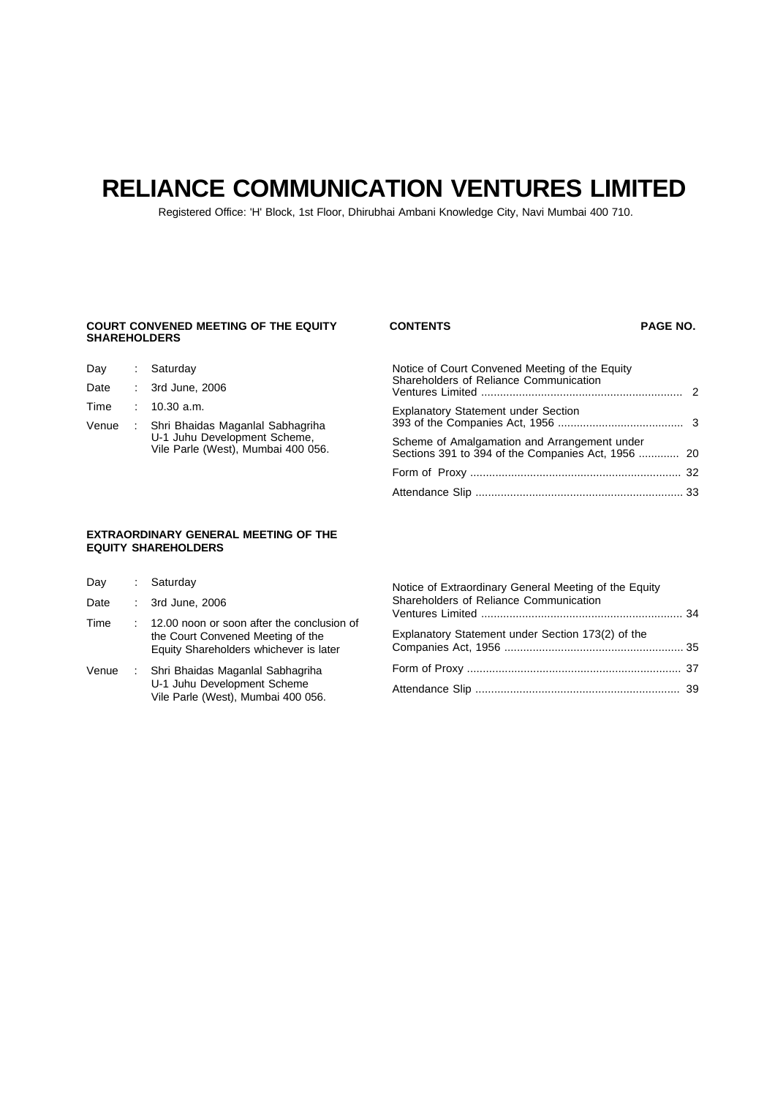# **RELIANCE COMMUNICATION VENTURES LIMITED**

Registered Office: 'H' Block, 1st Floor, Dhirubhai Ambani Knowledge City, Navi Mumbai 400 710.

#### **COURT CONVENED MEETING OF THE EQUITY CONTENTS PAGE NO. SHAREHOLDERS**

Venue : Shri Bhaidas Maganlal Sabhagriha

U-1 Juhu Development Scheme, Vile Parle (West), Mumbai 400 056.

Day : Saturday Date : 3rd June, 2006 Time : 10.30 a.m.

| Notice of Court Convened Meeting of the Equity<br>Shareholders of Reliance Communication           |  |
|----------------------------------------------------------------------------------------------------|--|
| <b>Explanatory Statement under Section</b>                                                         |  |
| Scheme of Amalgamation and Arrangement under<br>Sections 391 to 394 of the Companies Act, 1956  20 |  |
|                                                                                                    |  |
|                                                                                                    |  |

# **EXTRAORDINARY GENERAL MEETING OF THE EQUITY SHAREHOLDERS**

| Day   |        | : Saturday                                                                                                                  | Notice of Extraordinary General Meeting of the Equity |  |
|-------|--------|-----------------------------------------------------------------------------------------------------------------------------|-------------------------------------------------------|--|
| Date  |        | : 3rd June, 2006                                                                                                            | Shareholders of Reliance Communication                |  |
| Time  |        | : 12.00 noon or soon after the conclusion of<br>the Court Convened Meeting of the<br>Equity Shareholders whichever is later | Explanatory Statement under Section 173(2) of the     |  |
| Venue | in the | Shri Bhaidas Maganlal Sabhagriha                                                                                            |                                                       |  |
|       |        | U-1 Juhu Development Scheme<br>Vile Parle (West), Mumbai 400 056.                                                           |                                                       |  |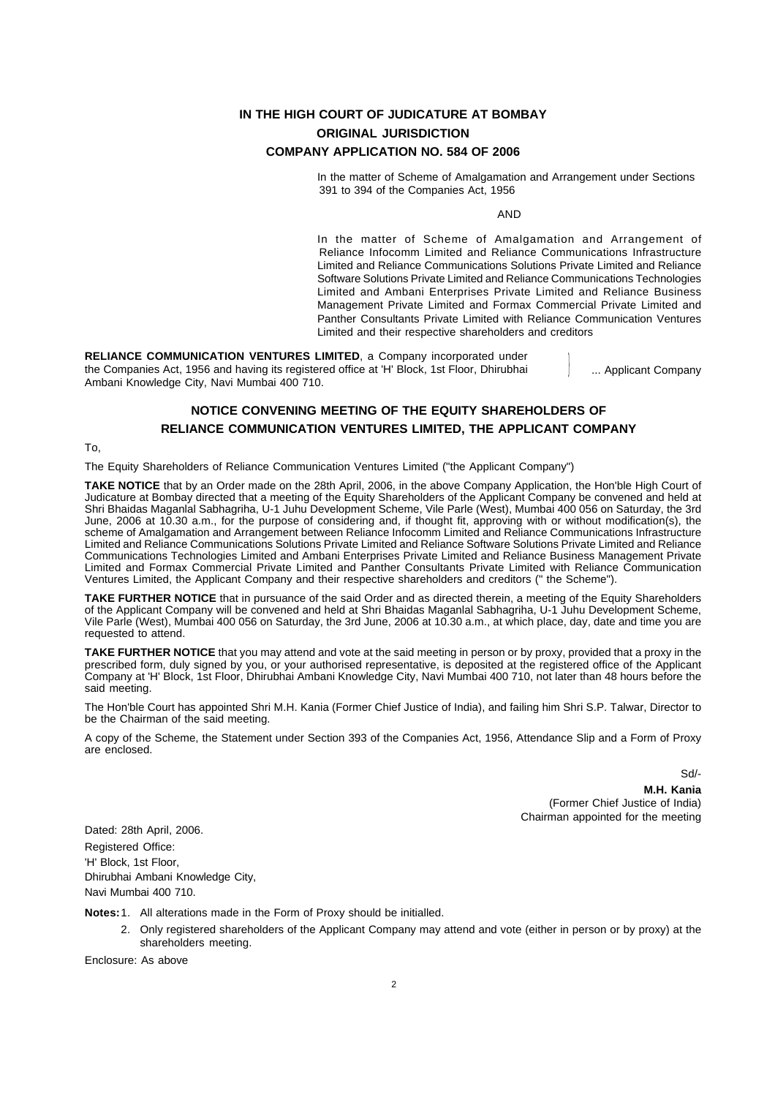# **IN THE HIGH COURT OF JUDICATURE AT BOMBAY ORIGINAL JURISDICTION COMPANY APPLICATION NO. 584 OF 2006**

In the matter of Scheme of Amalgamation and Arrangement under Sections 391 to 394 of the Companies Act, 1956

AND

In the matter of Scheme of Amalgamation and Arrangement of Reliance Infocomm Limited and Reliance Communications Infrastructure Limited and Reliance Communications Solutions Private Limited and Reliance Software Solutions Private Limited and Reliance Communications Technologies Limited and Ambani Enterprises Private Limited and Reliance Business Management Private Limited and Formax Commercial Private Limited and Panther Consultants Private Limited with Reliance Communication Ventures Limited and their respective shareholders and creditors

**RELIANCE COMMUNICATION VENTURES LIMITED**, a Company incorporated under the Companies Act, 1956 and having its registered office at 'H' Block, 1st Floor, Dhirubhai Ambani Knowledge City, Navi Mumbai 400 710.

... Applicant Company

# **NOTICE CONVENING MEETING OF THE EQUITY SHAREHOLDERS OF RELIANCE COMMUNICATION VENTURES LIMITED, THE APPLICANT COMPANY**

To,

The Equity Shareholders of Reliance Communication Ventures Limited ("the Applicant Company")

**TAKE NOTICE** that by an Order made on the 28th April, 2006, in the above Company Application, the Hon'ble High Court of Judicature at Bombay directed that a meeting of the Equity Shareholders of the Applicant Company be convened and held at Shri Bhaidas Maganlal Sabhagriha, U-1 Juhu Development Scheme, Vile Parle (West), Mumbai 400 056 on Saturday, the 3rd June, 2006 at 10.30 a.m., for the purpose of considering and, if thought fit, approving with or without modification(s), the scheme of Amalgamation and Arrangement between Reliance Infocomm Limited and Reliance Communications Infrastructure Limited and Reliance Communications Solutions Private Limited and Reliance Software Solutions Private Limited and Reliance Communications Technologies Limited and Ambani Enterprises Private Limited and Reliance Business Management Private Limited and Formax Commercial Private Limited and Panther Consultants Private Limited with Reliance Communication Ventures Limited, the Applicant Company and their respective shareholders and creditors (" the Scheme").

**TAKE FURTHER NOTICE** that in pursuance of the said Order and as directed therein, a meeting of the Equity Shareholders of the Applicant Company will be convened and held at Shri Bhaidas Maganlal Sabhagriha, U-1 Juhu Development Scheme, Vile Parle (West), Mumbai 400 056 on Saturday, the 3rd June, 2006 at 10.30 a.m., at which place, day, date and time you are requested to attend.

**TAKE FURTHER NOTICE** that you may attend and vote at the said meeting in person or by proxy, provided that a proxy in the prescribed form, duly signed by you, or your authorised representative, is deposited at the registered office of the Applicant Company at 'H' Block, 1st Floor, Dhirubhai Ambani Knowledge City, Navi Mumbai 400 710, not later than 48 hours before the said meeting.

The Hon'ble Court has appointed Shri M.H. Kania (Former Chief Justice of India), and failing him Shri S.P. Talwar, Director to be the Chairman of the said meeting.

A copy of the Scheme, the Statement under Section 393 of the Companies Act, 1956, Attendance Slip and a Form of Proxy are enclosed.

Sd/-

**M.H. Kania** (Former Chief Justice of India) Chairman appointed for the meeting

Dated: 28th April, 2006. Registered Office: 'H' Block, 1st Floor, Dhirubhai Ambani Knowledge City, Navi Mumbai 400 710.

**Notes:**1. All alterations made in the Form of Proxy should be initialled.

2. Only registered shareholders of the Applicant Company may attend and vote (either in person or by proxy) at the shareholders meeting.

Enclosure: As above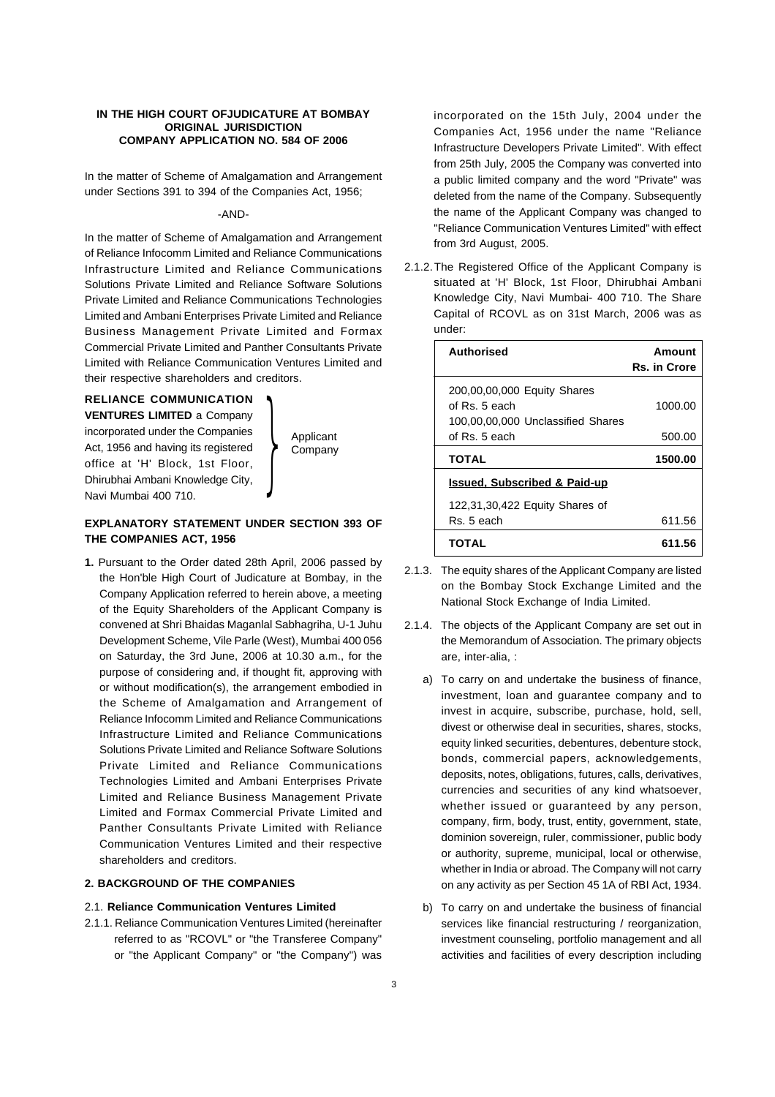#### **IN THE HIGH COURT OFJUDICATURE AT BOMBAY ORIGINAL JURISDICTION COMPANY APPLICATION NO. 584 OF 2006**

In the matter of Scheme of Amalgamation and Arrangement under Sections 391 to 394 of the Companies Act, 1956;

#### -AND-

In the matter of Scheme of Amalgamation and Arrangement of Reliance Infocomm Limited and Reliance Communications Infrastructure Limited and Reliance Communications Solutions Private Limited and Reliance Software Solutions Private Limited and Reliance Communications Technologies Limited and Ambani Enterprises Private Limited and Reliance Business Management Private Limited and Formax Commercial Private Limited and Panther Consultants Private Limited with Reliance Communication Ventures Limited and their respective shareholders and creditors.

**RELIANCE COMMUNICATION VENTURES LIMITED** a Company incorporated under the Companies Act, 1956 and having its registered office at 'H' Block, 1st Floor, Dhirubhai Ambani Knowledge City, Navi Mumbai 400 710.

Applicant Company  $\begin{array}{c} \end{array}$ 

# **EXPLANATORY STATEMENT UNDER SECTION 393 OF THE COMPANIES ACT, 1956**

**1.** Pursuant to the Order dated 28th April, 2006 passed by the Hon'ble High Court of Judicature at Bombay, in the Company Application referred to herein above, a meeting of the Equity Shareholders of the Applicant Company is convened at Shri Bhaidas Maganlal Sabhagriha, U-1 Juhu Development Scheme, Vile Parle (West), Mumbai 400 056 on Saturday, the 3rd June, 2006 at 10.30 a.m., for the purpose of considering and, if thought fit, approving with or without modification(s), the arrangement embodied in the Scheme of Amalgamation and Arrangement of Reliance Infocomm Limited and Reliance Communications Infrastructure Limited and Reliance Communications Solutions Private Limited and Reliance Software Solutions Private Limited and Reliance Communications Technologies Limited and Ambani Enterprises Private Limited and Reliance Business Management Private Limited and Formax Commercial Private Limited and Panther Consultants Private Limited with Reliance Communication Ventures Limited and their respective shareholders and creditors.

# **2. BACKGROUND OF THE COMPANIES**

#### 2.1. **Reliance Communication Ventures Limited**

2.1.1. Reliance Communication Ventures Limited (hereinafter referred to as "RCOVL" or "the Transferee Company" or "the Applicant Company" or "the Company") was

incorporated on the 15th July, 2004 under the Companies Act, 1956 under the name "Reliance Infrastructure Developers Private Limited". With effect from 25th July, 2005 the Company was converted into a public limited company and the word "Private" was deleted from the name of the Company. Subsequently the name of the Applicant Company was changed to "Reliance Communication Ventures Limited" with effect from 3rd August, 2005.

2.1.2.The Registered Office of the Applicant Company is situated at 'H' Block, 1st Floor, Dhirubhai Ambani Knowledge City, Navi Mumbai- 400 710. The Share Capital of RCOVL as on 31st March, 2006 was as under:

| Authorised                              | Amount<br>Rs. in Crore |
|-----------------------------------------|------------------------|
| 200,00,00,000 Equity Shares             |                        |
| of Rs. 5 each                           | 1000.00                |
| 100,00,00,000 Unclassified Shares       |                        |
| of Rs. 5 each                           | 500.00                 |
|                                         |                        |
| <b>TOTAL</b>                            | 1500.00                |
| <b>Issued, Subscribed &amp; Paid-up</b> |                        |
| 122,31,30,422 Equity Shares of          |                        |
| Rs. 5 each                              | 611.56                 |

- 2.1.3. The equity shares of the Applicant Company are listed on the Bombay Stock Exchange Limited and the National Stock Exchange of India Limited.
- 2.1.4. The objects of the Applicant Company are set out in the Memorandum of Association. The primary objects are, inter-alia, :
	- a) To carry on and undertake the business of finance, investment, loan and guarantee company and to invest in acquire, subscribe, purchase, hold, sell, divest or otherwise deal in securities, shares, stocks, equity linked securities, debentures, debenture stock, bonds, commercial papers, acknowledgements, deposits, notes, obligations, futures, calls, derivatives, currencies and securities of any kind whatsoever, whether issued or guaranteed by any person, company, firm, body, trust, entity, government, state, dominion sovereign, ruler, commissioner, public body or authority, supreme, municipal, local or otherwise, whether in India or abroad. The Company will not carry on any activity as per Section 45 1A of RBI Act, 1934.
	- b) To carry on and undertake the business of financial services like financial restructuring / reorganization, investment counseling, portfolio management and all activities and facilities of every description including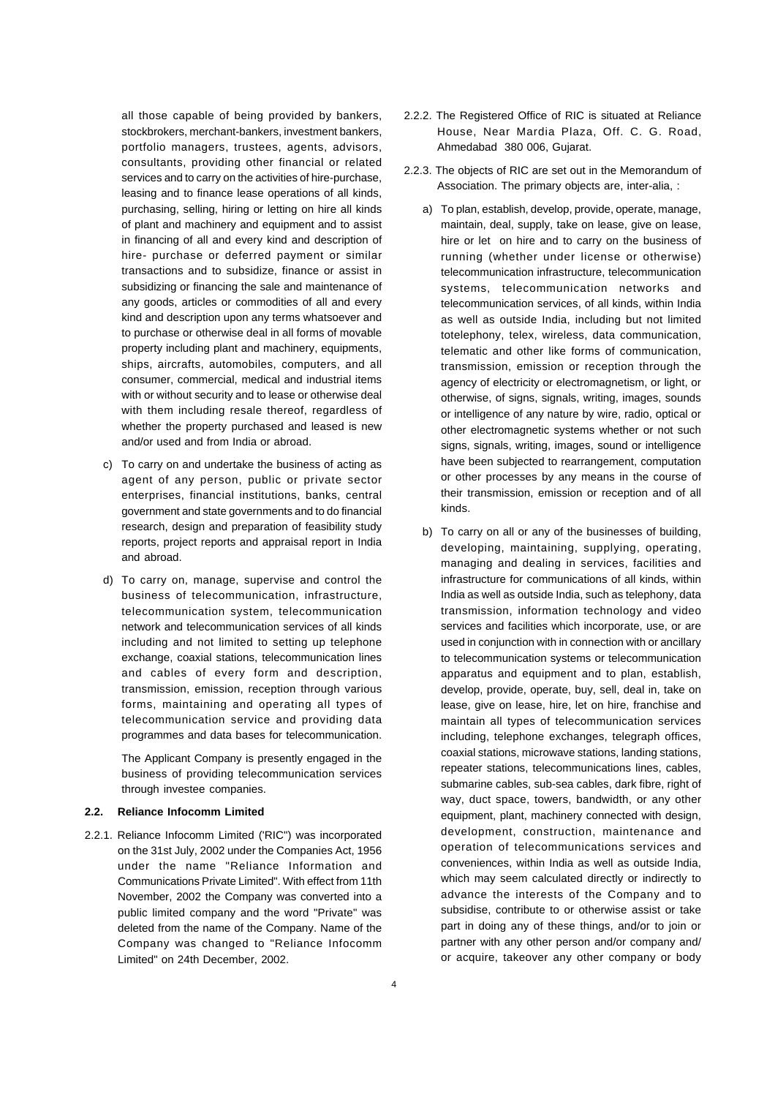all those capable of being provided by bankers, stockbrokers, merchant-bankers, investment bankers, portfolio managers, trustees, agents, advisors, consultants, providing other financial or related services and to carry on the activities of hire-purchase, leasing and to finance lease operations of all kinds, purchasing, selling, hiring or letting on hire all kinds of plant and machinery and equipment and to assist in financing of all and every kind and description of hire- purchase or deferred payment or similar transactions and to subsidize, finance or assist in subsidizing or financing the sale and maintenance of any goods, articles or commodities of all and every kind and description upon any terms whatsoever and to purchase or otherwise deal in all forms of movable property including plant and machinery, equipments, ships, aircrafts, automobiles, computers, and all consumer, commercial, medical and industrial items with or without security and to lease or otherwise deal with them including resale thereof, regardless of whether the property purchased and leased is new and/or used and from India or abroad.

- c) To carry on and undertake the business of acting as agent of any person, public or private sector enterprises, financial institutions, banks, central government and state governments and to do financial research, design and preparation of feasibility study reports, project reports and appraisal report in India and abroad.
- d) To carry on, manage, supervise and control the business of telecommunication, infrastructure, telecommunication system, telecommunication network and telecommunication services of all kinds including and not limited to setting up telephone exchange, coaxial stations, telecommunication lines and cables of every form and description, transmission, emission, reception through various forms, maintaining and operating all types of telecommunication service and providing data programmes and data bases for telecommunication.

The Applicant Company is presently engaged in the business of providing telecommunication services through investee companies.

#### **2.2. Reliance Infocomm Limited**

2.2.1. Reliance Infocomm Limited ('RIC") was incorporated on the 31st July, 2002 under the Companies Act, 1956 under the name "Reliance Information and Communications Private Limited". With effect from 11th November, 2002 the Company was converted into a public limited company and the word "Private" was deleted from the name of the Company. Name of the Company was changed to "Reliance Infocomm Limited" on 24th December, 2002.

- 2.2.2. The Registered Office of RIC is situated at Reliance House, Near Mardia Plaza, Off. C. G. Road, Ahmedabad 380 006, Gujarat.
- 2.2.3. The objects of RIC are set out in the Memorandum of Association. The primary objects are, inter-alia, :
	- a) To plan, establish, develop, provide, operate, manage, maintain, deal, supply, take on lease, give on lease, hire or let on hire and to carry on the business of running (whether under license or otherwise) telecommunication infrastructure, telecommunication systems, telecommunication networks and telecommunication services, of all kinds, within India as well as outside India, including but not limited totelephony, telex, wireless, data communication, telematic and other like forms of communication, transmission, emission or reception through the agency of electricity or electromagnetism, or light, or otherwise, of signs, signals, writing, images, sounds or intelligence of any nature by wire, radio, optical or other electromagnetic systems whether or not such signs, signals, writing, images, sound or intelligence have been subjected to rearrangement, computation or other processes by any means in the course of their transmission, emission or reception and of all kinds.
	- b) To carry on all or any of the businesses of building, developing, maintaining, supplying, operating, managing and dealing in services, facilities and infrastructure for communications of all kinds, within India as well as outside India, such as telephony, data transmission, information technology and video services and facilities which incorporate, use, or are used in conjunction with in connection with or ancillary to telecommunication systems or telecommunication apparatus and equipment and to plan, establish, develop, provide, operate, buy, sell, deal in, take on lease, give on lease, hire, let on hire, franchise and maintain all types of telecommunication services including, telephone exchanges, telegraph offices, coaxial stations, microwave stations, landing stations, repeater stations, telecommunications lines, cables, submarine cables, sub-sea cables, dark fibre, right of way, duct space, towers, bandwidth, or any other equipment, plant, machinery connected with design, development, construction, maintenance and operation of telecommunications services and conveniences, within India as well as outside India, which may seem calculated directly or indirectly to advance the interests of the Company and to subsidise, contribute to or otherwise assist or take part in doing any of these things, and/or to join or partner with any other person and/or company and/ or acquire, takeover any other company or body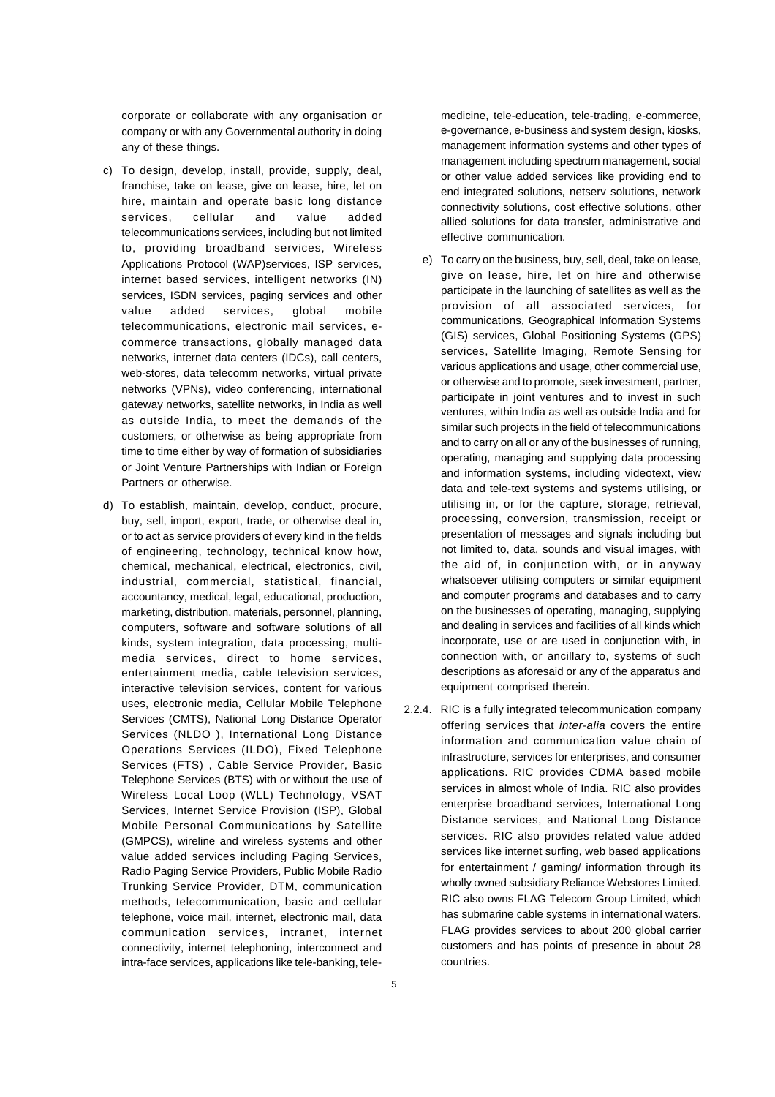corporate or collaborate with any organisation or company or with any Governmental authority in doing any of these things.

- c) To design, develop, install, provide, supply, deal, franchise, take on lease, give on lease, hire, let on hire, maintain and operate basic long distance services, cellular and value added telecommunications services, including but not limited to, providing broadband services, Wireless Applications Protocol (WAP)services, ISP services, internet based services, intelligent networks (IN) services, ISDN services, paging services and other value added services, global mobile telecommunications, electronic mail services, ecommerce transactions, globally managed data networks, internet data centers (IDCs), call centers, web-stores, data telecomm networks, virtual private networks (VPNs), video conferencing, international gateway networks, satellite networks, in India as well as outside India, to meet the demands of the customers, or otherwise as being appropriate from time to time either by way of formation of subsidiaries or Joint Venture Partnerships with Indian or Foreign Partners or otherwise.
- d) To establish, maintain, develop, conduct, procure, buy, sell, import, export, trade, or otherwise deal in, or to act as service providers of every kind in the fields of engineering, technology, technical know how, chemical, mechanical, electrical, electronics, civil, industrial, commercial, statistical, financial, accountancy, medical, legal, educational, production, marketing, distribution, materials, personnel, planning, computers, software and software solutions of all kinds, system integration, data processing, multimedia services, direct to home services, entertainment media, cable television services, interactive television services, content for various uses, electronic media, Cellular Mobile Telephone Services (CMTS), National Long Distance Operator Services (NLDO ), International Long Distance Operations Services (ILDO), Fixed Telephone Services (FTS) , Cable Service Provider, Basic Telephone Services (BTS) with or without the use of Wireless Local Loop (WLL) Technology, VSAT Services, Internet Service Provision (ISP), Global Mobile Personal Communications by Satellite (GMPCS), wireline and wireless systems and other value added services including Paging Services, Radio Paging Service Providers, Public Mobile Radio Trunking Service Provider, DTM, communication methods, telecommunication, basic and cellular telephone, voice mail, internet, electronic mail, data communication services, intranet, internet connectivity, internet telephoning, interconnect and intra-face services, applications like tele-banking, tele-

medicine, tele-education, tele-trading, e-commerce, e-governance, e-business and system design, kiosks, management information systems and other types of management including spectrum management, social or other value added services like providing end to end integrated solutions, netserv solutions, network connectivity solutions, cost effective solutions, other allied solutions for data transfer, administrative and effective communication.

- e) To carry on the business, buy, sell, deal, take on lease, give on lease, hire, let on hire and otherwise participate in the launching of satellites as well as the provision of all associated services, for communications, Geographical Information Systems (GIS) services, Global Positioning Systems (GPS) services, Satellite Imaging, Remote Sensing for various applications and usage, other commercial use, or otherwise and to promote, seek investment, partner, participate in joint ventures and to invest in such ventures, within India as well as outside India and for similar such projects in the field of telecommunications and to carry on all or any of the businesses of running, operating, managing and supplying data processing and information systems, including videotext, view data and tele-text systems and systems utilising, or utilising in, or for the capture, storage, retrieval, processing, conversion, transmission, receipt or presentation of messages and signals including but not limited to, data, sounds and visual images, with the aid of, in conjunction with, or in anyway whatsoever utilising computers or similar equipment and computer programs and databases and to carry on the businesses of operating, managing, supplying and dealing in services and facilities of all kinds which incorporate, use or are used in conjunction with, in connection with, or ancillary to, systems of such descriptions as aforesaid or any of the apparatus and equipment comprised therein.
- 2.2.4. RIC is a fully integrated telecommunication company offering services that inter-alia covers the entire information and communication value chain of infrastructure, services for enterprises, and consumer applications. RIC provides CDMA based mobile services in almost whole of India. RIC also provides enterprise broadband services, International Long Distance services, and National Long Distance services. RIC also provides related value added services like internet surfing, web based applications for entertainment / gaming/ information through its wholly owned subsidiary Reliance Webstores Limited. RIC also owns FLAG Telecom Group Limited, which has submarine cable systems in international waters. FLAG provides services to about 200 global carrier customers and has points of presence in about 28 countries.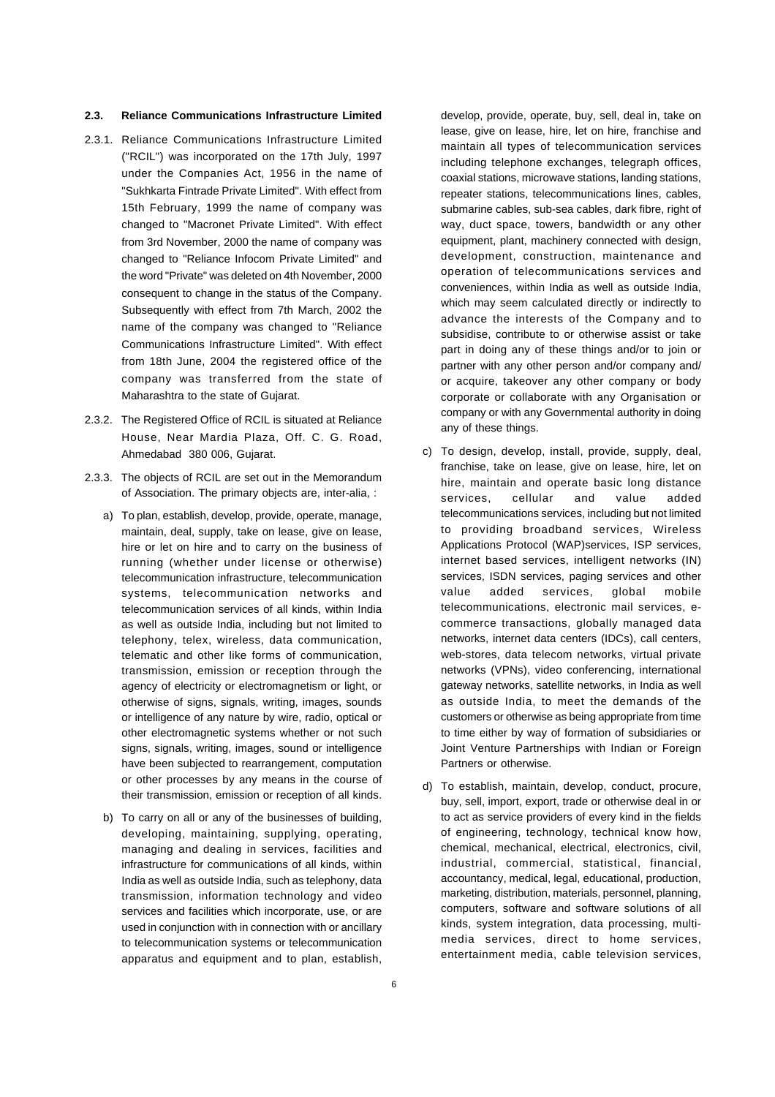#### **2.3. Reliance Communications Infrastructure Limited**

- 2.3.1. Reliance Communications Infrastructure Limited ("RCIL") was incorporated on the 17th July, 1997 under the Companies Act, 1956 in the name of "Sukhkarta Fintrade Private Limited". With effect from 15th February, 1999 the name of company was changed to "Macronet Private Limited". With effect from 3rd November, 2000 the name of company was changed to "Reliance Infocom Private Limited" and the word "Private" was deleted on 4th November, 2000 consequent to change in the status of the Company. Subsequently with effect from 7th March, 2002 the name of the company was changed to "Reliance Communications Infrastructure Limited". With effect from 18th June, 2004 the registered office of the company was transferred from the state of Maharashtra to the state of Gujarat.
- 2.3.2. The Registered Office of RCIL is situated at Reliance House, Near Mardia Plaza, Off. C. G. Road, Ahmedabad 380 006, Gujarat.
- 2.3.3. The objects of RCIL are set out in the Memorandum of Association. The primary objects are, inter-alia, :
	- a) To plan, establish, develop, provide, operate, manage, maintain, deal, supply, take on lease, give on lease, hire or let on hire and to carry on the business of running (whether under license or otherwise) telecommunication infrastructure, telecommunication systems, telecommunication networks and telecommunication services of all kinds, within India as well as outside India, including but not limited to telephony, telex, wireless, data communication, telematic and other like forms of communication, transmission, emission or reception through the agency of electricity or electromagnetism or light, or otherwise of signs, signals, writing, images, sounds or intelligence of any nature by wire, radio, optical or other electromagnetic systems whether or not such signs, signals, writing, images, sound or intelligence have been subjected to rearrangement, computation or other processes by any means in the course of their transmission, emission or reception of all kinds.
	- b) To carry on all or any of the businesses of building, developing, maintaining, supplying, operating, managing and dealing in services, facilities and infrastructure for communications of all kinds, within India as well as outside India, such as telephony, data transmission, information technology and video services and facilities which incorporate, use, or are used in conjunction with in connection with or ancillary to telecommunication systems or telecommunication apparatus and equipment and to plan, establish,

develop, provide, operate, buy, sell, deal in, take on lease, give on lease, hire, let on hire, franchise and maintain all types of telecommunication services including telephone exchanges, telegraph offices, coaxial stations, microwave stations, landing stations, repeater stations, telecommunications lines, cables, submarine cables, sub-sea cables, dark fibre, right of way, duct space, towers, bandwidth or any other equipment, plant, machinery connected with design, development, construction, maintenance and operation of telecommunications services and conveniences, within India as well as outside India, which may seem calculated directly or indirectly to advance the interests of the Company and to subsidise, contribute to or otherwise assist or take part in doing any of these things and/or to join or partner with any other person and/or company and/ or acquire, takeover any other company or body corporate or collaborate with any Organisation or company or with any Governmental authority in doing any of these things.

- c) To design, develop, install, provide, supply, deal, franchise, take on lease, give on lease, hire, let on hire, maintain and operate basic long distance services, cellular and value added telecommunications services, including but not limited to providing broadband services, Wireless Applications Protocol (WAP)services, ISP services, internet based services, intelligent networks (IN) services, ISDN services, paging services and other value added services, global mobile telecommunications, electronic mail services, ecommerce transactions, globally managed data networks, internet data centers (IDCs), call centers, web-stores, data telecom networks, virtual private networks (VPNs), video conferencing, international gateway networks, satellite networks, in India as well as outside India, to meet the demands of the customers or otherwise as being appropriate from time to time either by way of formation of subsidiaries or Joint Venture Partnerships with Indian or Foreign Partners or otherwise.
- d) To establish, maintain, develop, conduct, procure, buy, sell, import, export, trade or otherwise deal in or to act as service providers of every kind in the fields of engineering, technology, technical know how, chemical, mechanical, electrical, electronics, civil, industrial, commercial, statistical, financial, accountancy, medical, legal, educational, production, marketing, distribution, materials, personnel, planning, computers, software and software solutions of all kinds, system integration, data processing, multimedia services, direct to home services, entertainment media, cable television services,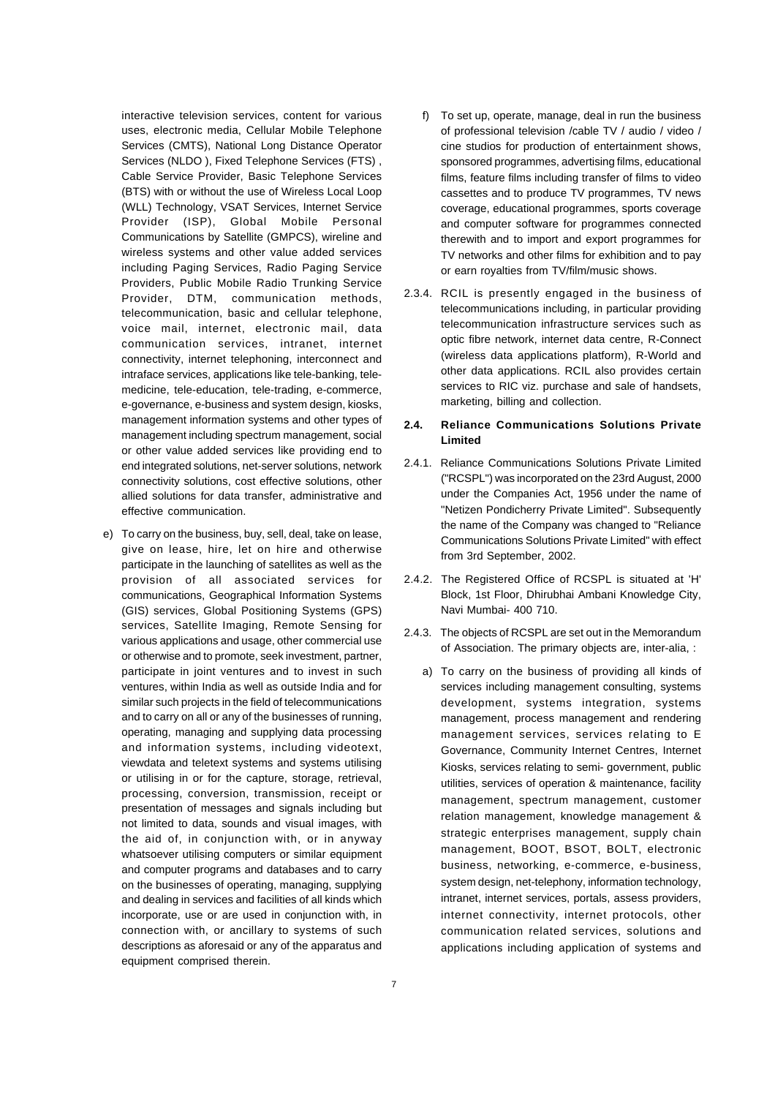interactive television services, content for various uses, electronic media, Cellular Mobile Telephone Services (CMTS), National Long Distance Operator Services (NLDO ), Fixed Telephone Services (FTS) , Cable Service Provider, Basic Telephone Services (BTS) with or without the use of Wireless Local Loop (WLL) Technology, VSAT Services, Internet Service Provider (ISP), Global Mobile Personal Communications by Satellite (GMPCS), wireline and wireless systems and other value added services including Paging Services, Radio Paging Service Providers, Public Mobile Radio Trunking Service Provider, DTM, communication methods, telecommunication, basic and cellular telephone, voice mail, internet, electronic mail, data communication services, intranet, internet connectivity, internet telephoning, interconnect and intraface services, applications like tele-banking, telemedicine, tele-education, tele-trading, e-commerce, e-governance, e-business and system design, kiosks, management information systems and other types of management including spectrum management, social or other value added services like providing end to end integrated solutions, net-server solutions, network connectivity solutions, cost effective solutions, other allied solutions for data transfer, administrative and effective communication.

e) To carry on the business, buy, sell, deal, take on lease, give on lease, hire, let on hire and otherwise participate in the launching of satellites as well as the provision of all associated services for communications, Geographical Information Systems (GIS) services, Global Positioning Systems (GPS) services, Satellite Imaging, Remote Sensing for various applications and usage, other commercial use or otherwise and to promote, seek investment, partner, participate in joint ventures and to invest in such ventures, within India as well as outside India and for similar such projects in the field of telecommunications and to carry on all or any of the businesses of running, operating, managing and supplying data processing and information systems, including videotext, viewdata and teletext systems and systems utilising or utilising in or for the capture, storage, retrieval, processing, conversion, transmission, receipt or presentation of messages and signals including but not limited to data, sounds and visual images, with the aid of, in conjunction with, or in anyway whatsoever utilising computers or similar equipment and computer programs and databases and to carry on the businesses of operating, managing, supplying and dealing in services and facilities of all kinds which incorporate, use or are used in conjunction with, in connection with, or ancillary to systems of such descriptions as aforesaid or any of the apparatus and equipment comprised therein.

- f) To set up, operate, manage, deal in run the business of professional television /cable TV / audio / video / cine studios for production of entertainment shows, sponsored programmes, advertising films, educational films, feature films including transfer of films to video cassettes and to produce TV programmes, TV news coverage, educational programmes, sports coverage and computer software for programmes connected therewith and to import and export programmes for TV networks and other films for exhibition and to pay or earn royalties from TV/film/music shows.
- 2.3.4. RCIL is presently engaged in the business of telecommunications including, in particular providing telecommunication infrastructure services such as optic fibre network, internet data centre, R-Connect (wireless data applications platform), R-World and other data applications. RCIL also provides certain services to RIC viz. purchase and sale of handsets, marketing, billing and collection.

# **2.4. Reliance Communications Solutions Private Limited**

- 2.4.1. Reliance Communications Solutions Private Limited ("RCSPL") was incorporated on the 23rd August, 2000 under the Companies Act, 1956 under the name of "Netizen Pondicherry Private Limited". Subsequently the name of the Company was changed to "Reliance Communications Solutions Private Limited" with effect from 3rd September, 2002.
- 2.4.2. The Registered Office of RCSPL is situated at 'H' Block, 1st Floor, Dhirubhai Ambani Knowledge City, Navi Mumbai- 400 710.
- 2.4.3. The objects of RCSPL are set out in the Memorandum of Association. The primary objects are, inter-alia, :
	- a) To carry on the business of providing all kinds of services including management consulting, systems development, systems integration, systems management, process management and rendering management services, services relating to E Governance, Community Internet Centres, Internet Kiosks, services relating to semi- government, public utilities, services of operation & maintenance, facility management, spectrum management, customer relation management, knowledge management & strategic enterprises management, supply chain management, BOOT, BSOT, BOLT, electronic business, networking, e-commerce, e-business, system design, net-telephony, information technology, intranet, internet services, portals, assess providers, internet connectivity, internet protocols, other communication related services, solutions and applications including application of systems and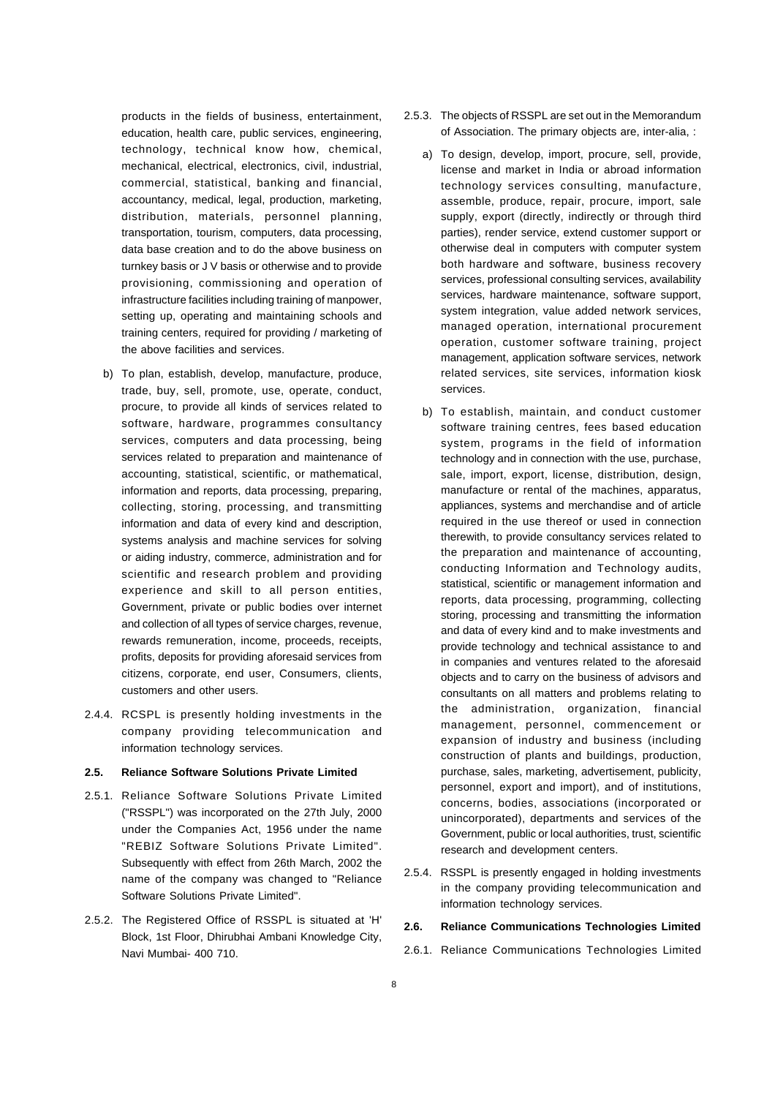products in the fields of business, entertainment, education, health care, public services, engineering, technology, technical know how, chemical, mechanical, electrical, electronics, civil, industrial, commercial, statistical, banking and financial, accountancy, medical, legal, production, marketing, distribution, materials, personnel planning, transportation, tourism, computers, data processing, data base creation and to do the above business on turnkey basis or J V basis or otherwise and to provide provisioning, commissioning and operation of infrastructure facilities including training of manpower, setting up, operating and maintaining schools and training centers, required for providing / marketing of the above facilities and services.

- b) To plan, establish, develop, manufacture, produce, trade, buy, sell, promote, use, operate, conduct, procure, to provide all kinds of services related to software, hardware, programmes consultancy services, computers and data processing, being services related to preparation and maintenance of accounting, statistical, scientific, or mathematical, information and reports, data processing, preparing, collecting, storing, processing, and transmitting information and data of every kind and description, systems analysis and machine services for solving or aiding industry, commerce, administration and for scientific and research problem and providing experience and skill to all person entities, Government, private or public bodies over internet and collection of all types of service charges, revenue, rewards remuneration, income, proceeds, receipts, profits, deposits for providing aforesaid services from citizens, corporate, end user, Consumers, clients, customers and other users.
- 2.4.4. RCSPL is presently holding investments in the company providing telecommunication and information technology services.

#### **2.5. Reliance Software Solutions Private Limited**

- 2.5.1. Reliance Software Solutions Private Limited ("RSSPL") was incorporated on the 27th July, 2000 under the Companies Act, 1956 under the name "REBIZ Software Solutions Private Limited". Subsequently with effect from 26th March, 2002 the name of the company was changed to "Reliance Software Solutions Private Limited".
- 2.5.2. The Registered Office of RSSPL is situated at 'H' Block, 1st Floor, Dhirubhai Ambani Knowledge City, Navi Mumbai- 400 710.
- 2.5.3. The objects of RSSPL are set out in the Memorandum of Association. The primary objects are, inter-alia, :
	- a) To design, develop, import, procure, sell, provide, license and market in India or abroad information technology services consulting, manufacture, assemble, produce, repair, procure, import, sale supply, export (directly, indirectly or through third parties), render service, extend customer support or otherwise deal in computers with computer system both hardware and software, business recovery services, professional consulting services, availability services, hardware maintenance, software support, system integration, value added network services, managed operation, international procurement operation, customer software training, project management, application software services, network related services, site services, information kiosk services.
	- b) To establish, maintain, and conduct customer software training centres, fees based education system, programs in the field of information technology and in connection with the use, purchase, sale, import, export, license, distribution, design, manufacture or rental of the machines, apparatus, appliances, systems and merchandise and of article required in the use thereof or used in connection therewith, to provide consultancy services related to the preparation and maintenance of accounting, conducting Information and Technology audits, statistical, scientific or management information and reports, data processing, programming, collecting storing, processing and transmitting the information and data of every kind and to make investments and provide technology and technical assistance to and in companies and ventures related to the aforesaid objects and to carry on the business of advisors and consultants on all matters and problems relating to the administration, organization, financial management, personnel, commencement or expansion of industry and business (including construction of plants and buildings, production, purchase, sales, marketing, advertisement, publicity, personnel, export and import), and of institutions, concerns, bodies, associations (incorporated or unincorporated), departments and services of the Government, public or local authorities, trust, scientific research and development centers.
- 2.5.4. RSSPL is presently engaged in holding investments in the company providing telecommunication and information technology services.

#### **2.6. Reliance Communications Technologies Limited**

2.6.1. Reliance Communications Technologies Limited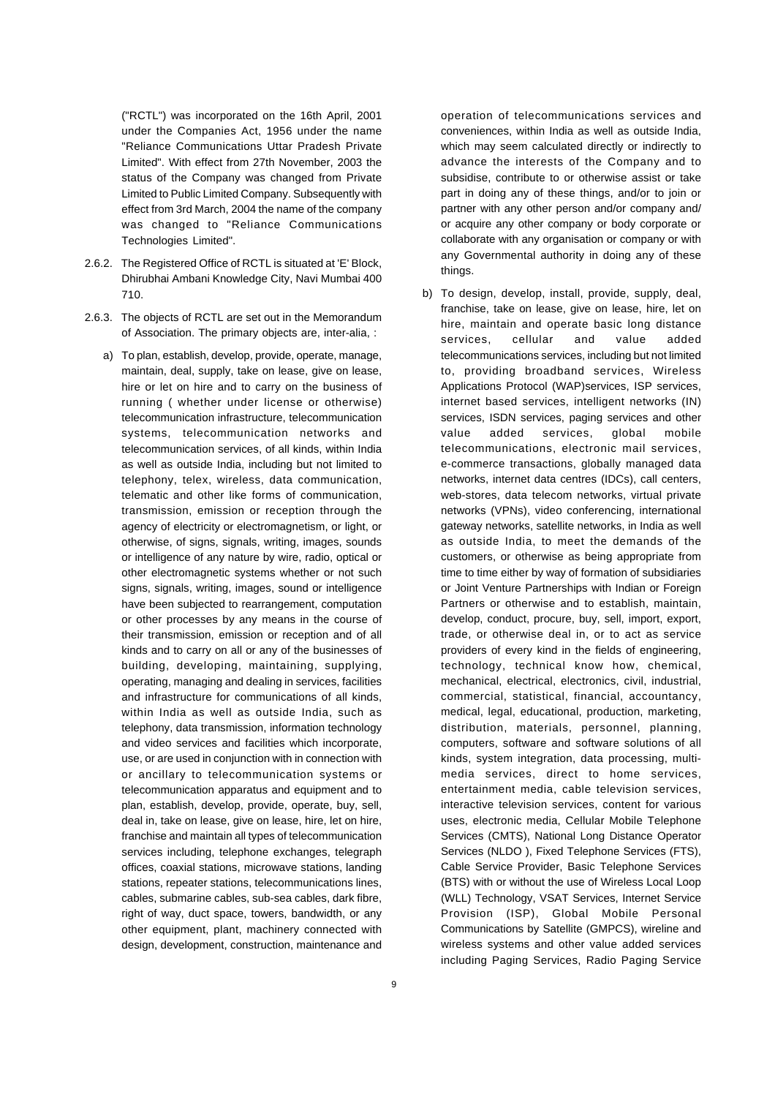("RCTL") was incorporated on the 16th April, 2001 under the Companies Act, 1956 under the name "Reliance Communications Uttar Pradesh Private Limited". With effect from 27th November, 2003 the status of the Company was changed from Private Limited to Public Limited Company. Subsequently with effect from 3rd March, 2004 the name of the company was changed to "Reliance Communications Technologies Limited".

- 2.6.2. The Registered Office of RCTL is situated at 'E' Block, Dhirubhai Ambani Knowledge City, Navi Mumbai 400 710.
- 2.6.3. The objects of RCTL are set out in the Memorandum of Association. The primary objects are, inter-alia, :
	- a) To plan, establish, develop, provide, operate, manage, maintain, deal, supply, take on lease, give on lease, hire or let on hire and to carry on the business of running ( whether under license or otherwise) telecommunication infrastructure, telecommunication systems, telecommunication networks and telecommunication services, of all kinds, within India as well as outside India, including but not limited to telephony, telex, wireless, data communication, telematic and other like forms of communication, transmission, emission or reception through the agency of electricity or electromagnetism, or light, or otherwise, of signs, signals, writing, images, sounds or intelligence of any nature by wire, radio, optical or other electromagnetic systems whether or not such signs, signals, writing, images, sound or intelligence have been subjected to rearrangement, computation or other processes by any means in the course of their transmission, emission or reception and of all kinds and to carry on all or any of the businesses of building, developing, maintaining, supplying, operating, managing and dealing in services, facilities and infrastructure for communications of all kinds, within India as well as outside India, such as telephony, data transmission, information technology and video services and facilities which incorporate, use, or are used in conjunction with in connection with or ancillary to telecommunication systems or telecommunication apparatus and equipment and to plan, establish, develop, provide, operate, buy, sell, deal in, take on lease, give on lease, hire, let on hire, franchise and maintain all types of telecommunication services including, telephone exchanges, telegraph offices, coaxial stations, microwave stations, landing stations, repeater stations, telecommunications lines, cables, submarine cables, sub-sea cables, dark fibre, right of way, duct space, towers, bandwidth, or any other equipment, plant, machinery connected with design, development, construction, maintenance and

operation of telecommunications services and conveniences, within India as well as outside India, which may seem calculated directly or indirectly to advance the interests of the Company and to subsidise, contribute to or otherwise assist or take part in doing any of these things, and/or to join or partner with any other person and/or company and/ or acquire any other company or body corporate or collaborate with any organisation or company or with any Governmental authority in doing any of these things.

b) To design, develop, install, provide, supply, deal, franchise, take on lease, give on lease, hire, let on hire, maintain and operate basic long distance services, cellular and value added telecommunications services, including but not limited to, providing broadband services, Wireless Applications Protocol (WAP)services, ISP services, internet based services, intelligent networks (IN) services, ISDN services, paging services and other value added services, global mobile telecommunications, electronic mail services, e-commerce transactions, globally managed data networks, internet data centres (IDCs), call centers, web-stores, data telecom networks, virtual private networks (VPNs), video conferencing, international gateway networks, satellite networks, in India as well as outside India, to meet the demands of the customers, or otherwise as being appropriate from time to time either by way of formation of subsidiaries or Joint Venture Partnerships with Indian or Foreign Partners or otherwise and to establish, maintain, develop, conduct, procure, buy, sell, import, export, trade, or otherwise deal in, or to act as service providers of every kind in the fields of engineering, technology, technical know how, chemical, mechanical, electrical, electronics, civil, industrial, commercial, statistical, financial, accountancy, medical, legal, educational, production, marketing, distribution, materials, personnel, planning, computers, software and software solutions of all kinds, system integration, data processing, multimedia services, direct to home services, entertainment media, cable television services, interactive television services, content for various uses, electronic media, Cellular Mobile Telephone Services (CMTS), National Long Distance Operator Services (NLDO ), Fixed Telephone Services (FTS), Cable Service Provider, Basic Telephone Services (BTS) with or without the use of Wireless Local Loop (WLL) Technology, VSAT Services, Internet Service Provision (ISP), Global Mobile Personal Communications by Satellite (GMPCS), wireline and wireless systems and other value added services including Paging Services, Radio Paging Service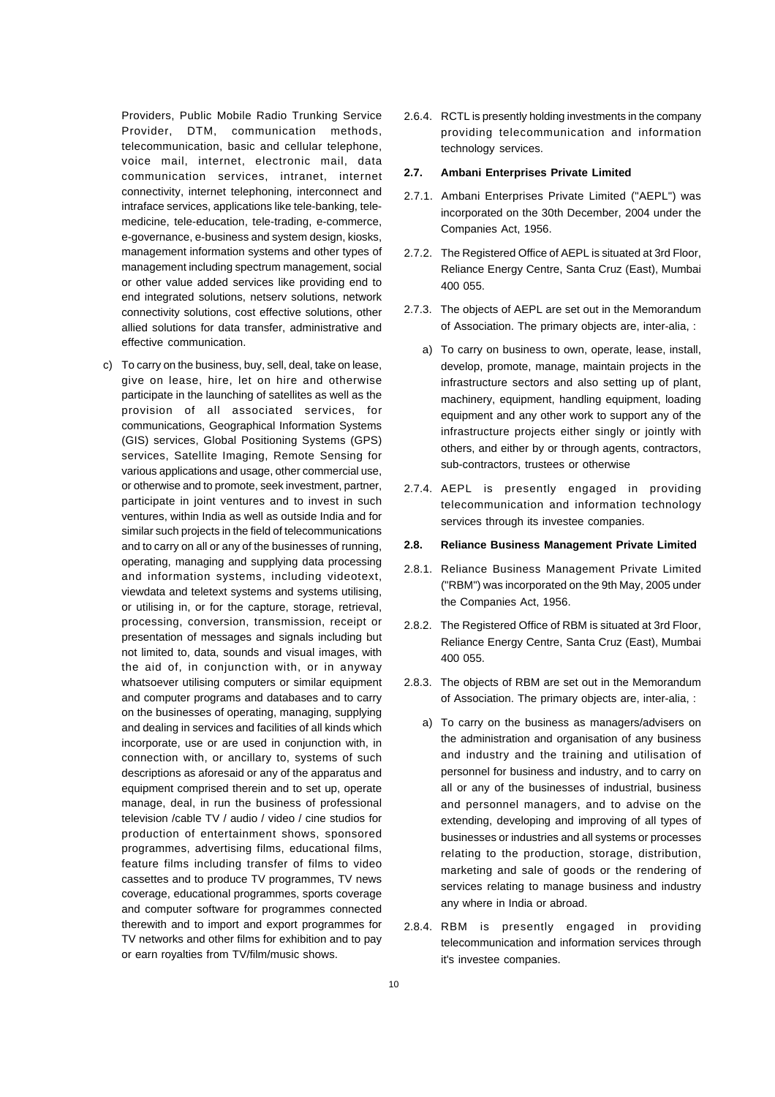Providers, Public Mobile Radio Trunking Service Provider, DTM, communication methods, telecommunication, basic and cellular telephone, voice mail, internet, electronic mail, data communication services, intranet, internet connectivity, internet telephoning, interconnect and intraface services, applications like tele-banking, telemedicine, tele-education, tele-trading, e-commerce, e-governance, e-business and system design, kiosks, management information systems and other types of management including spectrum management, social or other value added services like providing end to end integrated solutions, netserv solutions, network connectivity solutions, cost effective solutions, other allied solutions for data transfer, administrative and effective communication.

c) To carry on the business, buy, sell, deal, take on lease, give on lease, hire, let on hire and otherwise participate in the launching of satellites as well as the provision of all associated services, for communications, Geographical Information Systems (GIS) services, Global Positioning Systems (GPS) services, Satellite Imaging, Remote Sensing for various applications and usage, other commercial use, or otherwise and to promote, seek investment, partner, participate in joint ventures and to invest in such ventures, within India as well as outside India and for similar such projects in the field of telecommunications and to carry on all or any of the businesses of running, operating, managing and supplying data processing and information systems, including videotext, viewdata and teletext systems and systems utilising, or utilising in, or for the capture, storage, retrieval, processing, conversion, transmission, receipt or presentation of messages and signals including but not limited to, data, sounds and visual images, with the aid of, in conjunction with, or in anyway whatsoever utilising computers or similar equipment and computer programs and databases and to carry on the businesses of operating, managing, supplying and dealing in services and facilities of all kinds which incorporate, use or are used in conjunction with, in connection with, or ancillary to, systems of such descriptions as aforesaid or any of the apparatus and equipment comprised therein and to set up, operate manage, deal, in run the business of professional television /cable TV / audio / video / cine studios for production of entertainment shows, sponsored programmes, advertising films, educational films, feature films including transfer of films to video cassettes and to produce TV programmes, TV news coverage, educational programmes, sports coverage and computer software for programmes connected therewith and to import and export programmes for TV networks and other films for exhibition and to pay or earn royalties from TV/film/music shows.

2.6.4. RCTL is presently holding investments in the company providing telecommunication and information technology services.

#### **2.7. Ambani Enterprises Private Limited**

- 2.7.1. Ambani Enterprises Private Limited ("AEPL") was incorporated on the 30th December, 2004 under the Companies Act, 1956.
- 2.7.2. The Registered Office of AEPL is situated at 3rd Floor, Reliance Energy Centre, Santa Cruz (East), Mumbai 400 055.
- 2.7.3. The objects of AEPL are set out in the Memorandum of Association. The primary objects are, inter-alia, :
	- a) To carry on business to own, operate, lease, install, develop, promote, manage, maintain projects in the infrastructure sectors and also setting up of plant, machinery, equipment, handling equipment, loading equipment and any other work to support any of the infrastructure projects either singly or jointly with others, and either by or through agents, contractors, sub-contractors, trustees or otherwise
- 2.7.4. AEPL is presently engaged in providing telecommunication and information technology services through its investee companies.

#### **2.8. Reliance Business Management Private Limited**

- 2.8.1. Reliance Business Management Private Limited ("RBM") was incorporated on the 9th May, 2005 under the Companies Act, 1956.
- 2.8.2. The Registered Office of RBM is situated at 3rd Floor, Reliance Energy Centre, Santa Cruz (East), Mumbai 400 055.
- 2.8.3. The objects of RBM are set out in the Memorandum of Association. The primary objects are, inter-alia, :
	- a) To carry on the business as managers/advisers on the administration and organisation of any business and industry and the training and utilisation of personnel for business and industry, and to carry on all or any of the businesses of industrial, business and personnel managers, and to advise on the extending, developing and improving of all types of businesses or industries and all systems or processes relating to the production, storage, distribution, marketing and sale of goods or the rendering of services relating to manage business and industry any where in India or abroad.
- 2.8.4. RBM is presently engaged in providing telecommunication and information services through it's investee companies.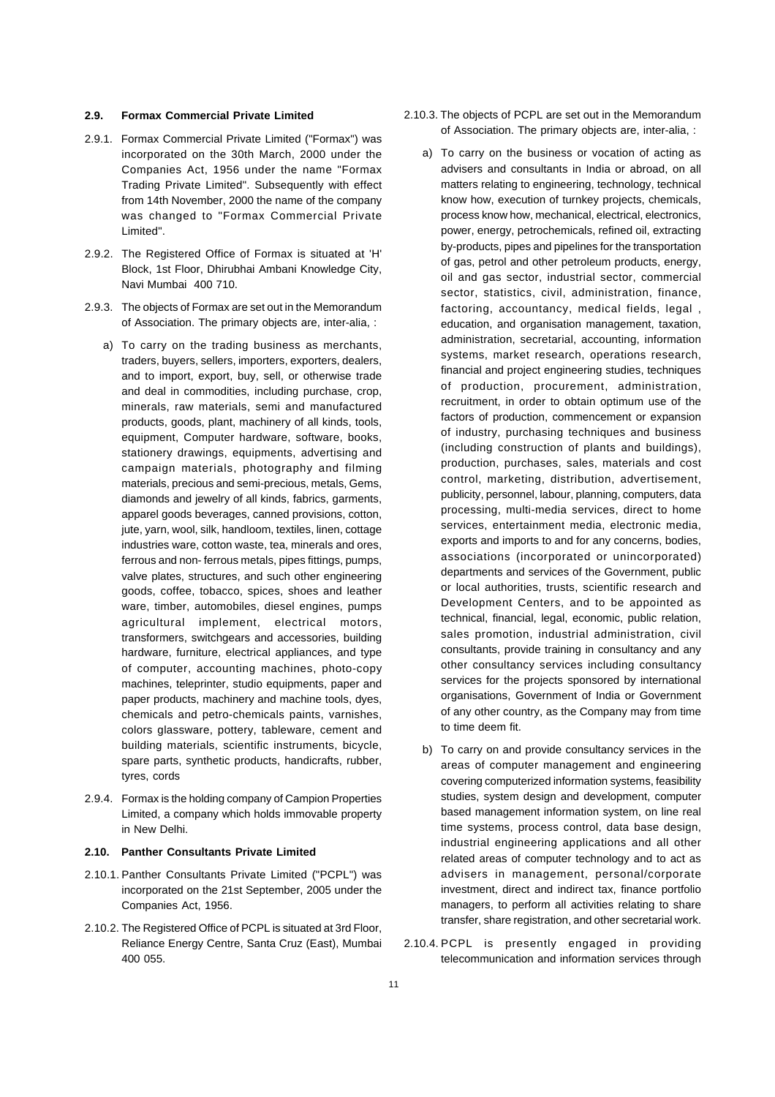# **2.9. Formax Commercial Private Limited**

- 2.9.1. Formax Commercial Private Limited ("Formax") was incorporated on the 30th March, 2000 under the Companies Act, 1956 under the name "Formax Trading Private Limited". Subsequently with effect from 14th November, 2000 the name of the company was changed to "Formax Commercial Private Limited".
- 2.9.2. The Registered Office of Formax is situated at 'H' Block, 1st Floor, Dhirubhai Ambani Knowledge City, Navi Mumbai 400 710.
- 2.9.3. The objects of Formax are set out in the Memorandum of Association. The primary objects are, inter-alia, :
	- a) To carry on the trading business as merchants, traders, buyers, sellers, importers, exporters, dealers, and to import, export, buy, sell, or otherwise trade and deal in commodities, including purchase, crop, minerals, raw materials, semi and manufactured products, goods, plant, machinery of all kinds, tools, equipment, Computer hardware, software, books, stationery drawings, equipments, advertising and campaign materials, photography and filming materials, precious and semi-precious, metals, Gems, diamonds and jewelry of all kinds, fabrics, garments, apparel goods beverages, canned provisions, cotton, jute, yarn, wool, silk, handloom, textiles, linen, cottage industries ware, cotton waste, tea, minerals and ores, ferrous and non- ferrous metals, pipes fittings, pumps, valve plates, structures, and such other engineering goods, coffee, tobacco, spices, shoes and leather ware, timber, automobiles, diesel engines, pumps agricultural implement, electrical motors, transformers, switchgears and accessories, building hardware, furniture, electrical appliances, and type of computer, accounting machines, photo-copy machines, teleprinter, studio equipments, paper and paper products, machinery and machine tools, dyes, chemicals and petro-chemicals paints, varnishes, colors glassware, pottery, tableware, cement and building materials, scientific instruments, bicycle, spare parts, synthetic products, handicrafts, rubber, tyres, cords
- 2.9.4. Formax is the holding company of Campion Properties Limited, a company which holds immovable property in New Delhi.

#### **2.10. Panther Consultants Private Limited**

- 2.10.1. Panther Consultants Private Limited ("PCPL") was incorporated on the 21st September, 2005 under the Companies Act, 1956.
- 2.10.2. The Registered Office of PCPL is situated at 3rd Floor, Reliance Energy Centre, Santa Cruz (East), Mumbai 400 055.
- 2.10.3. The objects of PCPL are set out in the Memorandum of Association. The primary objects are, inter-alia, :
	- a) To carry on the business or vocation of acting as advisers and consultants in India or abroad, on all matters relating to engineering, technology, technical know how, execution of turnkey projects, chemicals, process know how, mechanical, electrical, electronics, power, energy, petrochemicals, refined oil, extracting by-products, pipes and pipelines for the transportation of gas, petrol and other petroleum products, energy, oil and gas sector, industrial sector, commercial sector, statistics, civil, administration, finance, factoring, accountancy, medical fields, legal , education, and organisation management, taxation, administration, secretarial, accounting, information systems, market research, operations research, financial and project engineering studies, techniques of production, procurement, administration, recruitment, in order to obtain optimum use of the factors of production, commencement or expansion of industry, purchasing techniques and business (including construction of plants and buildings), production, purchases, sales, materials and cost control, marketing, distribution, advertisement, publicity, personnel, labour, planning, computers, data processing, multi-media services, direct to home services, entertainment media, electronic media, exports and imports to and for any concerns, bodies, associations (incorporated or unincorporated) departments and services of the Government, public or local authorities, trusts, scientific research and Development Centers, and to be appointed as technical, financial, legal, economic, public relation, sales promotion, industrial administration, civil consultants, provide training in consultancy and any other consultancy services including consultancy services for the projects sponsored by international organisations, Government of India or Government of any other country, as the Company may from time to time deem fit.
	- b) To carry on and provide consultancy services in the areas of computer management and engineering covering computerized information systems, feasibility studies, system design and development, computer based management information system, on line real time systems, process control, data base design, industrial engineering applications and all other related areas of computer technology and to act as advisers in management, personal/corporate investment, direct and indirect tax, finance portfolio managers, to perform all activities relating to share transfer, share registration, and other secretarial work.
- 2.10.4. PCPL is presently engaged in providing telecommunication and information services through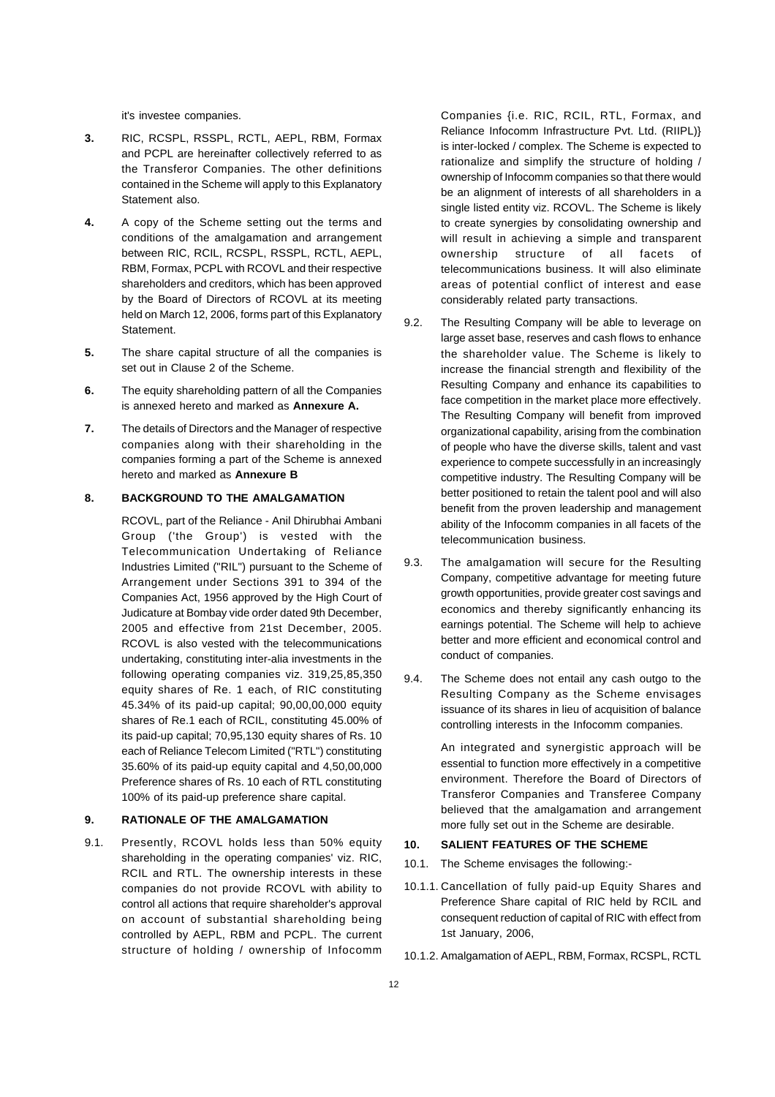it's investee companies.

- **3.** RIC, RCSPL, RSSPL, RCTL, AEPL, RBM, Formax and PCPL are hereinafter collectively referred to as the Transferor Companies. The other definitions contained in the Scheme will apply to this Explanatory Statement also.
- **4.** A copy of the Scheme setting out the terms and conditions of the amalgamation and arrangement between RIC, RCIL, RCSPL, RSSPL, RCTL, AEPL, RBM, Formax, PCPL with RCOVL and their respective shareholders and creditors, which has been approved by the Board of Directors of RCOVL at its meeting held on March 12, 2006, forms part of this Explanatory Statement.
- **5.** The share capital structure of all the companies is set out in Clause 2 of the Scheme.
- **6.** The equity shareholding pattern of all the Companies is annexed hereto and marked as **Annexure A.**
- **7.** The details of Directors and the Manager of respective companies along with their shareholding in the companies forming a part of the Scheme is annexed hereto and marked as **Annexure B**

#### **8. BACKGROUND TO THE AMALGAMATION**

RCOVL, part of the Reliance - Anil Dhirubhai Ambani Group ('the Group') is vested with the Telecommunication Undertaking of Reliance Industries Limited ("RIL") pursuant to the Scheme of Arrangement under Sections 391 to 394 of the Companies Act, 1956 approved by the High Court of Judicature at Bombay vide order dated 9th December, 2005 and effective from 21st December, 2005. RCOVL is also vested with the telecommunications undertaking, constituting inter-alia investments in the following operating companies viz. 319,25,85,350 equity shares of Re. 1 each, of RIC constituting 45.34% of its paid-up capital; 90,00,00,000 equity shares of Re.1 each of RCIL, constituting 45.00% of its paid-up capital; 70,95,130 equity shares of Rs. 10 each of Reliance Telecom Limited ("RTL") constituting 35.60% of its paid-up equity capital and 4,50,00,000 Preference shares of Rs. 10 each of RTL constituting 100% of its paid-up preference share capital.

# **9. RATIONALE OF THE AMALGAMATION**

9.1. Presently, RCOVL holds less than 50% equity shareholding in the operating companies' viz. RIC, RCIL and RTL. The ownership interests in these companies do not provide RCOVL with ability to control all actions that require shareholder's approval on account of substantial shareholding being controlled by AEPL, RBM and PCPL. The current structure of holding / ownership of Infocomm

Companies {i.e. RIC, RCIL, RTL, Formax, and Reliance Infocomm Infrastructure Pvt. Ltd. (RIIPL)} is inter-locked / complex. The Scheme is expected to rationalize and simplify the structure of holding / ownership of Infocomm companies so that there would be an alignment of interests of all shareholders in a single listed entity viz. RCOVL. The Scheme is likely to create synergies by consolidating ownership and will result in achieving a simple and transparent ownership structure of all facets of telecommunications business. It will also eliminate areas of potential conflict of interest and ease considerably related party transactions.

- 9.2. The Resulting Company will be able to leverage on large asset base, reserves and cash flows to enhance the shareholder value. The Scheme is likely to increase the financial strength and flexibility of the Resulting Company and enhance its capabilities to face competition in the market place more effectively. The Resulting Company will benefit from improved organizational capability, arising from the combination of people who have the diverse skills, talent and vast experience to compete successfully in an increasingly competitive industry. The Resulting Company will be better positioned to retain the talent pool and will also benefit from the proven leadership and management ability of the Infocomm companies in all facets of the telecommunication business.
- 9.3. The amalgamation will secure for the Resulting Company, competitive advantage for meeting future growth opportunities, provide greater cost savings and economics and thereby significantly enhancing its earnings potential. The Scheme will help to achieve better and more efficient and economical control and conduct of companies.
- 9.4. The Scheme does not entail any cash outgo to the Resulting Company as the Scheme envisages issuance of its shares in lieu of acquisition of balance controlling interests in the Infocomm companies.

An integrated and synergistic approach will be essential to function more effectively in a competitive environment. Therefore the Board of Directors of Transferor Companies and Transferee Company believed that the amalgamation and arrangement more fully set out in the Scheme are desirable.

# **10. SALIENT FEATURES OF THE SCHEME**

- 10.1. The Scheme envisages the following:-
- 10.1.1. Cancellation of fully paid-up Equity Shares and Preference Share capital of RIC held by RCIL and consequent reduction of capital of RIC with effect from 1st January, 2006,
- 10.1.2. Amalgamation of AEPL, RBM, Formax, RCSPL, RCTL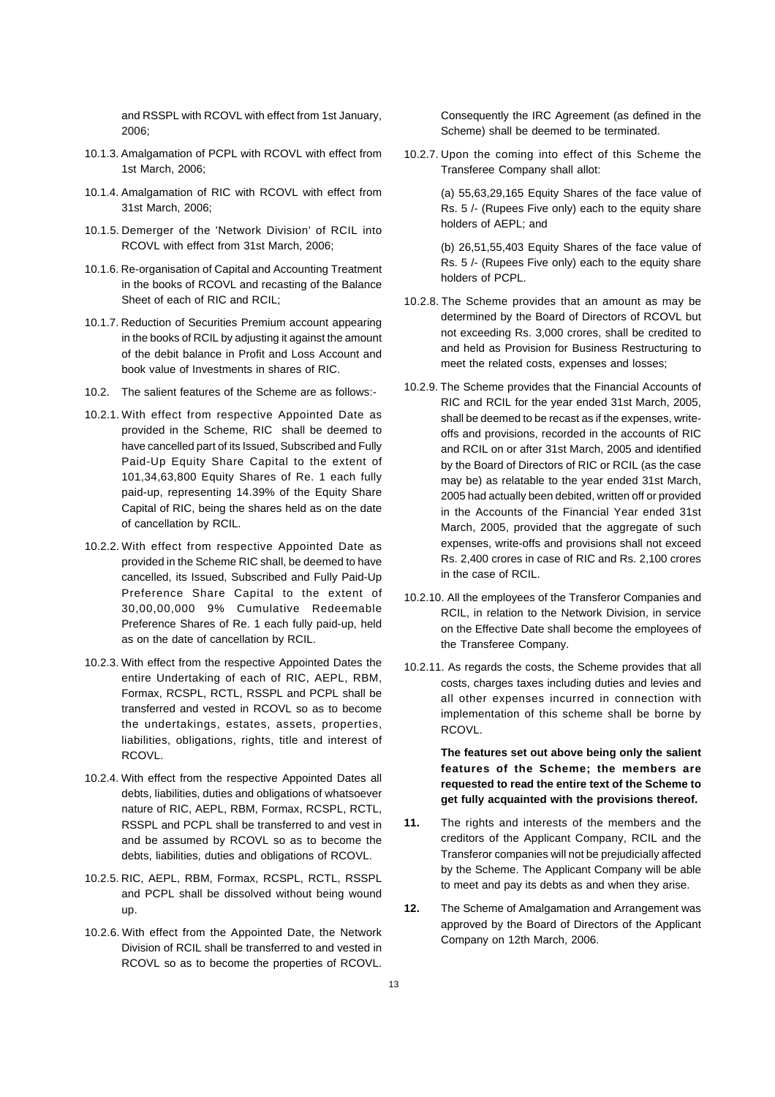and RSSPL with RCOVL with effect from 1st January, 2006;

- 10.1.3. Amalgamation of PCPL with RCOVL with effect from 1st March, 2006;
- 10.1.4. Amalgamation of RIC with RCOVL with effect from 31st March, 2006;
- 10.1.5. Demerger of the 'Network Division' of RCIL into RCOVL with effect from 31st March, 2006;
- 10.1.6. Re-organisation of Capital and Accounting Treatment in the books of RCOVL and recasting of the Balance Sheet of each of RIC and RCIL;
- 10.1.7. Reduction of Securities Premium account appearing in the books of RCIL by adjusting it against the amount of the debit balance in Profit and Loss Account and book value of Investments in shares of RIC.
- 10.2. The salient features of the Scheme are as follows:-
- 10.2.1. With effect from respective Appointed Date as provided in the Scheme, RIC shall be deemed to have cancelled part of its Issued, Subscribed and Fully Paid-Up Equity Share Capital to the extent of 101,34,63,800 Equity Shares of Re. 1 each fully paid-up, representing 14.39% of the Equity Share Capital of RIC, being the shares held as on the date of cancellation by RCIL.
- 10.2.2. With effect from respective Appointed Date as provided in the Scheme RIC shall, be deemed to have cancelled, its Issued, Subscribed and Fully Paid-Up Preference Share Capital to the extent of 30,00,00,000 9% Cumulative Redeemable Preference Shares of Re. 1 each fully paid-up, held as on the date of cancellation by RCIL.
- 10.2.3. With effect from the respective Appointed Dates the entire Undertaking of each of RIC, AEPL, RBM, Formax, RCSPL, RCTL, RSSPL and PCPL shall be transferred and vested in RCOVL so as to become the undertakings, estates, assets, properties, liabilities, obligations, rights, title and interest of RCOVL.
- 10.2.4. With effect from the respective Appointed Dates all debts, liabilities, duties and obligations of whatsoever nature of RIC, AEPL, RBM, Formax, RCSPL, RCTL, RSSPL and PCPL shall be transferred to and vest in and be assumed by RCOVL so as to become the debts, liabilities, duties and obligations of RCOVL.
- 10.2.5. RIC, AEPL, RBM, Formax, RCSPL, RCTL, RSSPL and PCPL shall be dissolved without being wound up.
- 10.2.6. With effect from the Appointed Date, the Network Division of RCIL shall be transferred to and vested in RCOVL so as to become the properties of RCOVL.

Consequently the IRC Agreement (as defined in the Scheme) shall be deemed to be terminated.

10.2.7. Upon the coming into effect of this Scheme the Transferee Company shall allot:

> (a) 55,63,29,165 Equity Shares of the face value of Rs. 5 /- (Rupees Five only) each to the equity share holders of AEPL; and

> (b) 26,51,55,403 Equity Shares of the face value of Rs. 5 /- (Rupees Five only) each to the equity share holders of PCPL.

- 10.2.8. The Scheme provides that an amount as may be determined by the Board of Directors of RCOVL but not exceeding Rs. 3,000 crores, shall be credited to and held as Provision for Business Restructuring to meet the related costs, expenses and losses;
- 10.2.9. The Scheme provides that the Financial Accounts of RIC and RCIL for the year ended 31st March, 2005, shall be deemed to be recast as if the expenses, writeoffs and provisions, recorded in the accounts of RIC and RCIL on or after 31st March, 2005 and identified by the Board of Directors of RIC or RCIL (as the case may be) as relatable to the year ended 31st March, 2005 had actually been debited, written off or provided in the Accounts of the Financial Year ended 31st March, 2005, provided that the aggregate of such expenses, write-offs and provisions shall not exceed Rs. 2,400 crores in case of RIC and Rs. 2,100 crores in the case of RCIL.
- 10.2.10. All the employees of the Transferor Companies and RCIL, in relation to the Network Division, in service on the Effective Date shall become the employees of the Transferee Company.
- 10.2.11. As regards the costs, the Scheme provides that all costs, charges taxes including duties and levies and all other expenses incurred in connection with implementation of this scheme shall be borne by RCOVL.

**The features set out above being only the salient features of the Scheme; the members are requested to read the entire text of the Scheme to get fully acquainted with the provisions thereof.**

- **11.** The rights and interests of the members and the creditors of the Applicant Company, RCIL and the Transferor companies will not be prejudicially affected by the Scheme. The Applicant Company will be able to meet and pay its debts as and when they arise.
- **12.** The Scheme of Amalgamation and Arrangement was approved by the Board of Directors of the Applicant Company on 12th March, 2006.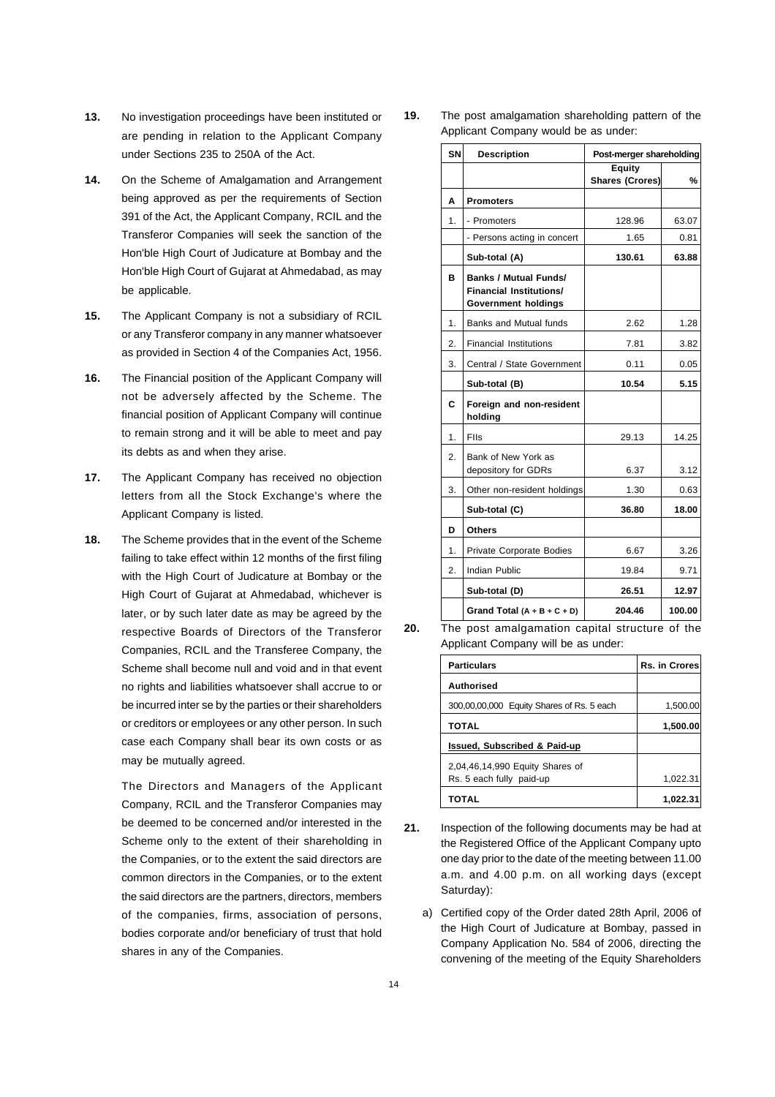- **13.** No investigation proceedings have been instituted or are pending in relation to the Applicant Company under Sections 235 to 250A of the Act.
- **14.** On the Scheme of Amalgamation and Arrangement being approved as per the requirements of Section 391 of the Act, the Applicant Company, RCIL and the Transferor Companies will seek the sanction of the Hon'ble High Court of Judicature at Bombay and the Hon'ble High Court of Gujarat at Ahmedabad, as may be applicable.
- **15.** The Applicant Company is not a subsidiary of RCIL or any Transferor company in any manner whatsoever as provided in Section 4 of the Companies Act, 1956.
- **16.** The Financial position of the Applicant Company will not be adversely affected by the Scheme. The financial position of Applicant Company will continue to remain strong and it will be able to meet and pay its debts as and when they arise.
- **17.** The Applicant Company has received no objection letters from all the Stock Exchange's where the Applicant Company is listed.
- **18.** The Scheme provides that in the event of the Scheme failing to take effect within 12 months of the first filing with the High Court of Judicature at Bombay or the High Court of Gujarat at Ahmedabad, whichever is later, or by such later date as may be agreed by the respective Boards of Directors of the Transferor Companies, RCIL and the Transferee Company, the Scheme shall become null and void and in that event no rights and liabilities whatsoever shall accrue to or be incurred inter se by the parties or their shareholders or creditors or employees or any other person. In such case each Company shall bear its own costs or as may be mutually agreed.

The Directors and Managers of the Applicant Company, RCIL and the Transferor Companies may be deemed to be concerned and/or interested in the Scheme only to the extent of their shareholding in the Companies, or to the extent the said directors are common directors in the Companies, or to the extent the said directors are the partners, directors, members of the companies, firms, association of persons, bodies corporate and/or beneficiary of trust that hold shares in any of the Companies.

**19.** The post amalgamation shareholding pattern of the Applicant Company would be as under:

| SN | <b>Description</b>                                                                           | Post-merger shareholding                |        |
|----|----------------------------------------------------------------------------------------------|-----------------------------------------|--------|
|    |                                                                                              | <b>Equity</b><br><b>Shares (Crores)</b> | %      |
| A  | <b>Promoters</b>                                                                             |                                         |        |
| 1. | - Promoters                                                                                  | 128.96                                  | 63.07  |
|    | - Persons acting in concert                                                                  | 1.65                                    | 0.81   |
|    | Sub-total (A)                                                                                | 130.61                                  | 63.88  |
| B  | <b>Banks / Mutual Funds/</b><br><b>Financial Institutions/</b><br><b>Government holdings</b> |                                         |        |
| 1. | Banks and Mutual funds                                                                       | 2.62                                    | 1.28   |
| 2. | <b>Financial Institutions</b>                                                                | 7.81                                    | 3.82   |
| 3. | Central / State Government                                                                   | 0.11                                    | 0.05   |
|    | Sub-total (B)                                                                                | 10.54                                   | 5.15   |
| C  | Foreign and non-resident<br>holding                                                          |                                         |        |
| 1. | Flis                                                                                         | 29.13                                   | 14.25  |
| 2. | Bank of New York as<br>depository for GDRs                                                   | 6.37                                    | 3.12   |
| 3. | Other non-resident holdings                                                                  | 1.30                                    | 0.63   |
|    | Sub-total (C)                                                                                | 36.80                                   | 18.00  |
| D  | <b>Others</b>                                                                                |                                         |        |
| 1. | Private Corporate Bodies                                                                     | 6.67                                    | 3.26   |
| 2. | <b>Indian Public</b>                                                                         | 19.84                                   | 9.71   |
|    | Sub-total (D)                                                                                | 26.51                                   | 12.97  |
|    | Grand Total $(A + B + C + D)$                                                                | 204.46                                  | 100.00 |

**20.** The post amalgamation capital structure of the Applicant Company will be as under:

| <b>Particulars</b>                        | Rs. in Crores |
|-------------------------------------------|---------------|
| Authorised                                |               |
| 300,00,00,000 Equity Shares of Rs. 5 each | 1,500.00      |
| <b>TOTAL</b>                              | 1,500.00      |
| <b>Issued, Subscribed &amp; Paid-up</b>   |               |
| 2,04,46,14,990 Equity Shares of           |               |
| Rs. 5 each fully paid-up                  | 1,022.31      |
| <b>TOTAL</b>                              | 1.022.31      |

- **21.** Inspection of the following documents may be had at the Registered Office of the Applicant Company upto one day prior to the date of the meeting between 11.00 a.m. and 4.00 p.m. on all working days (except Saturday):
	- a) Certified copy of the Order dated 28th April, 2006 of the High Court of Judicature at Bombay, passed in Company Application No. 584 of 2006, directing the convening of the meeting of the Equity Shareholders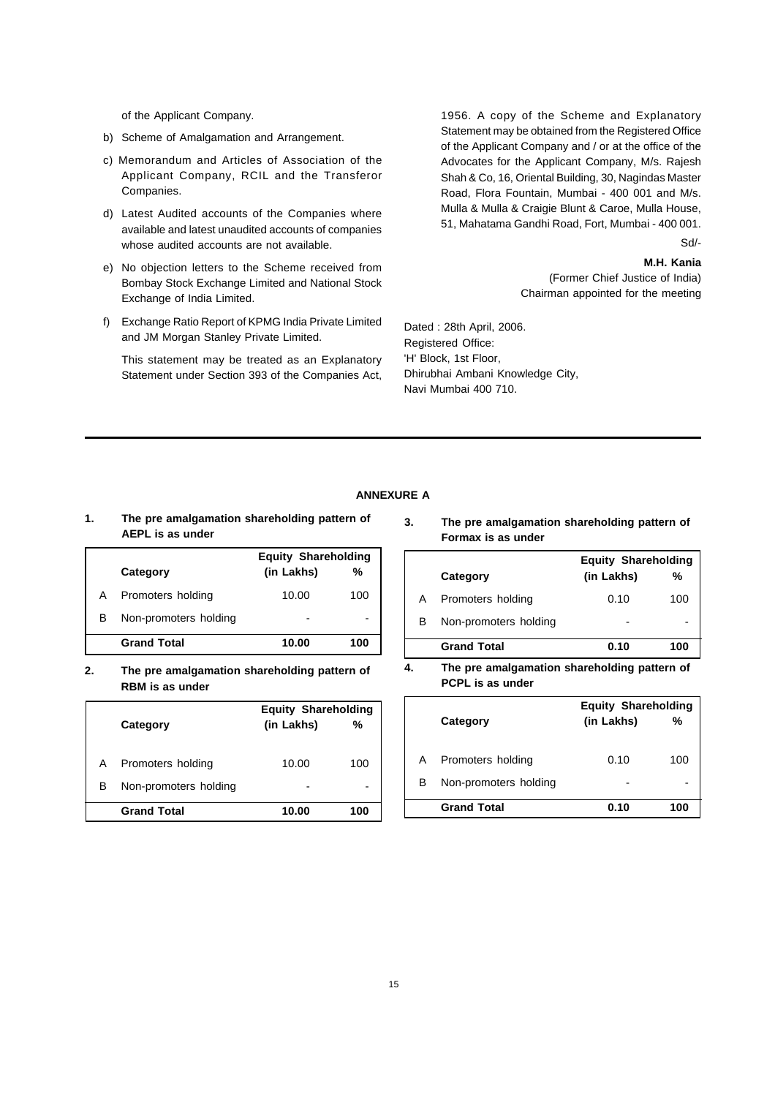of the Applicant Company.

- b) Scheme of Amalgamation and Arrangement.
- c) Memorandum and Articles of Association of the Applicant Company, RCIL and the Transferor Companies.
- d) Latest Audited accounts of the Companies where available and latest unaudited accounts of companies whose audited accounts are not available.
- e) No objection letters to the Scheme received from Bombay Stock Exchange Limited and National Stock Exchange of India Limited.
- f) Exchange Ratio Report of KPMG India Private Limited and JM Morgan Stanley Private Limited.

This statement may be treated as an Explanatory Statement under Section 393 of the Companies Act,

1956. A copy of the Scheme and Explanatory Statement may be obtained from the Registered Office of the Applicant Company and / or at the office of the Advocates for the Applicant Company, M/s. Rajesh Shah & Co, 16, Oriental Building, 30, Nagindas Master Road, Flora Fountain, Mumbai - 400 001 and M/s. Mulla & Mulla & Craigie Blunt & Caroe, Mulla House, 51, Mahatama Gandhi Road, Fort, Mumbai - 400 001.

# Sd/-

**M.H. Kania** (Former Chief Justice of India) Chairman appointed for the meeting

Dated : 28th April, 2006. Registered Office: 'H' Block, 1st Floor, Dhirubhai Ambani Knowledge City, Navi Mumbai 400 710.

# **ANNEXURE A**

# **1. The pre amalgamation shareholding pattern of AEPL is as under**

|   |                       | <b>Equity Shareholding</b> |     |
|---|-----------------------|----------------------------|-----|
|   | Category              | (in Lakhs)                 | %   |
| A | Promoters holding     | 10.00                      | 100 |
| в | Non-promoters holding | $\overline{\phantom{0}}$   |     |
|   | <b>Grand Total</b>    | 10.00                      | 100 |

**2. The pre amalgamation shareholding pattern of RBM is as under**

|   |                       | <b>Equity Shareholding</b> |     |
|---|-----------------------|----------------------------|-----|
|   | Category              | (in Lakhs)                 | %   |
|   |                       |                            |     |
| А | Promoters holding     | 10.00                      | 100 |
|   |                       |                            |     |
| в | Non-promoters holding |                            |     |
|   |                       |                            |     |
|   | <b>Grand Total</b>    | 10.00                      | 100 |

**3. The pre amalgamation shareholding pattern of Formax is as under**

|                          |                                   | <b>Equity Shareholding</b> |               |
|--------------------------|-----------------------------------|----------------------------|---------------|
|                          | Category                          | (in Lakhs)                 | %             |
| A                        | Promoters holding                 | 0.10                       | 100           |
| в                        | Non-promoters holding             | -                          |               |
|                          | <b>Grand Total</b>                | 0.10                       | 100           |
| $\overline{\phantom{a}}$ | $\blacksquare$<br>$\cdot$ .<br>-- | . .                        | $\sim$ $\sim$ |

**4. The pre amalgamation shareholding pattern of PCPL is as under**

|   |                       | <b>Equity Shareholding</b> |     |
|---|-----------------------|----------------------------|-----|
|   | Category              | (in Lakhs)                 | %   |
|   |                       |                            |     |
| Α | Promoters holding     | 0.10                       | 100 |
| в | Non-promoters holding |                            |     |
|   | <b>Grand Total</b>    | 0.10                       | 100 |
|   |                       |                            |     |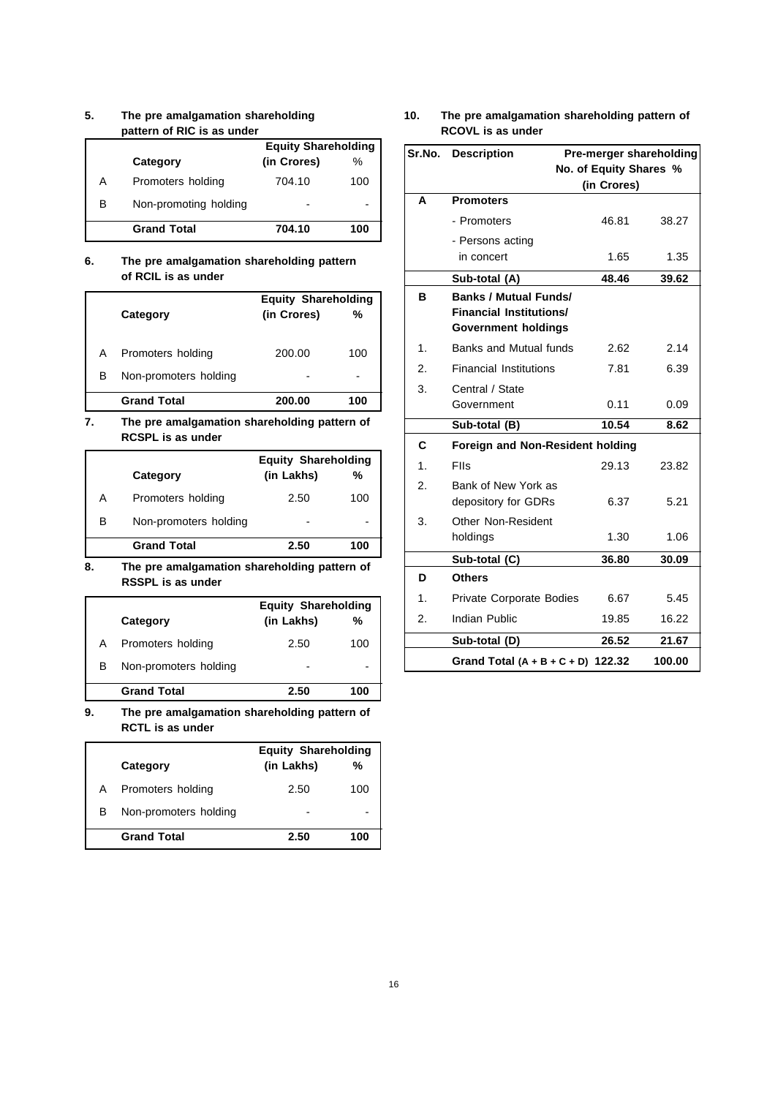# **5. The pre amalgamation shareholding pattern of RIC is as under**

|   |                       | <b>Equity Shareholding</b> |     |
|---|-----------------------|----------------------------|-----|
|   | Category              | (in Crores)                | %   |
| A | Promoters holding     | 704.10                     | 100 |
| В | Non-promoting holding |                            |     |
|   | <b>Grand Total</b>    | 704.10                     | 100 |

# **6. The pre amalgamation shareholding pattern of RCIL is as under**

|   |                       | <b>Equity Shareholding</b> |     |
|---|-----------------------|----------------------------|-----|
|   | Category              | (in Crores)                | %   |
|   |                       |                            |     |
| A | Promoters holding     | 200.00                     | 100 |
| в | Non-promoters holding |                            |     |
|   | <b>Grand Total</b>    | 200.00                     | 100 |

**7. The pre amalgamation shareholding pattern of RCSPL is as under**

|   |                       | <b>Equity Shareholding</b> |     |
|---|-----------------------|----------------------------|-----|
|   | Category              | (in Lakhs)                 | %   |
| A | Promoters holding     | 2.50                       | 100 |
| в | Non-promoters holding |                            |     |
|   | <b>Grand Total</b>    | 2.50                       | 100 |

**8. The pre amalgamation shareholding pattern of RSSPL is as under**

|   |                       | <b>Equity Shareholding</b> |     |  |
|---|-----------------------|----------------------------|-----|--|
|   | Category              | (in Lakhs)                 | %   |  |
| A | Promoters holding     | 2.50                       | 100 |  |
| B | Non-promoters holding | $\overline{\phantom{0}}$   |     |  |
|   | <b>Grand Total</b>    | 2.50                       | 100 |  |

**9. The pre amalgamation shareholding pattern of RCTL is as under**

|   |                       | <b>Equity Shareholding</b> |     |
|---|-----------------------|----------------------------|-----|
|   | Category              | (in Lakhs)                 | %   |
| A | Promoters holding     | 2.50                       | 100 |
| в | Non-promoters holding |                            |     |
|   | <b>Grand Total</b>    | 2.50                       | 100 |

# **10. The pre amalgamation shareholding pattern of RCOVL is as under**

| Sr.No. | <b>Description</b>                                                                           | Pre-merger shareholding<br>No. of Equity Shares %<br>(in Crores) |        |
|--------|----------------------------------------------------------------------------------------------|------------------------------------------------------------------|--------|
| A      | <b>Promoters</b>                                                                             |                                                                  |        |
|        | - Promoters                                                                                  | 46.81                                                            | 38.27  |
|        | - Persons acting                                                                             |                                                                  |        |
|        | in concert                                                                                   | 1.65                                                             | 1.35   |
|        | Sub-total (A)                                                                                | 48.46                                                            | 39.62  |
| в      | <b>Banks / Mutual Funds/</b><br><b>Financial Institutions/</b><br><b>Government holdings</b> |                                                                  |        |
| 1.     | Banks and Mutual funds                                                                       | 2.62                                                             | 2.14   |
| 2.     | <b>Financial Institutions</b>                                                                | 7.81                                                             | 6.39   |
| 3.     | Central / State                                                                              |                                                                  |        |
|        | Government                                                                                   | 0.11                                                             | 0.09   |
|        | Sub-total (B)                                                                                | 10.54                                                            | 8.62   |
| C      | Foreign and Non-Resident holding                                                             |                                                                  |        |
| 1.     | <b>Flis</b>                                                                                  | 29.13                                                            | 23.82  |
| 2.     | Bank of New York as<br>depository for GDRs                                                   | 6.37                                                             | 5.21   |
| 3.     | Other Non-Resident<br>holdings                                                               | 1.30                                                             | 1.06   |
|        | Sub-total (C)                                                                                | 36.80                                                            | 30.09  |
| D      | <b>Others</b>                                                                                |                                                                  |        |
| 1.     | <b>Private Corporate Bodies</b>                                                              | 6.67                                                             | 5.45   |
| 2.     | <b>Indian Public</b>                                                                         | 19.85                                                            | 16.22  |
|        | Sub-total (D)                                                                                | 26.52                                                            | 21.67  |
|        | Grand Total $(A + B + C + D)$ 122.32                                                         |                                                                  | 100.00 |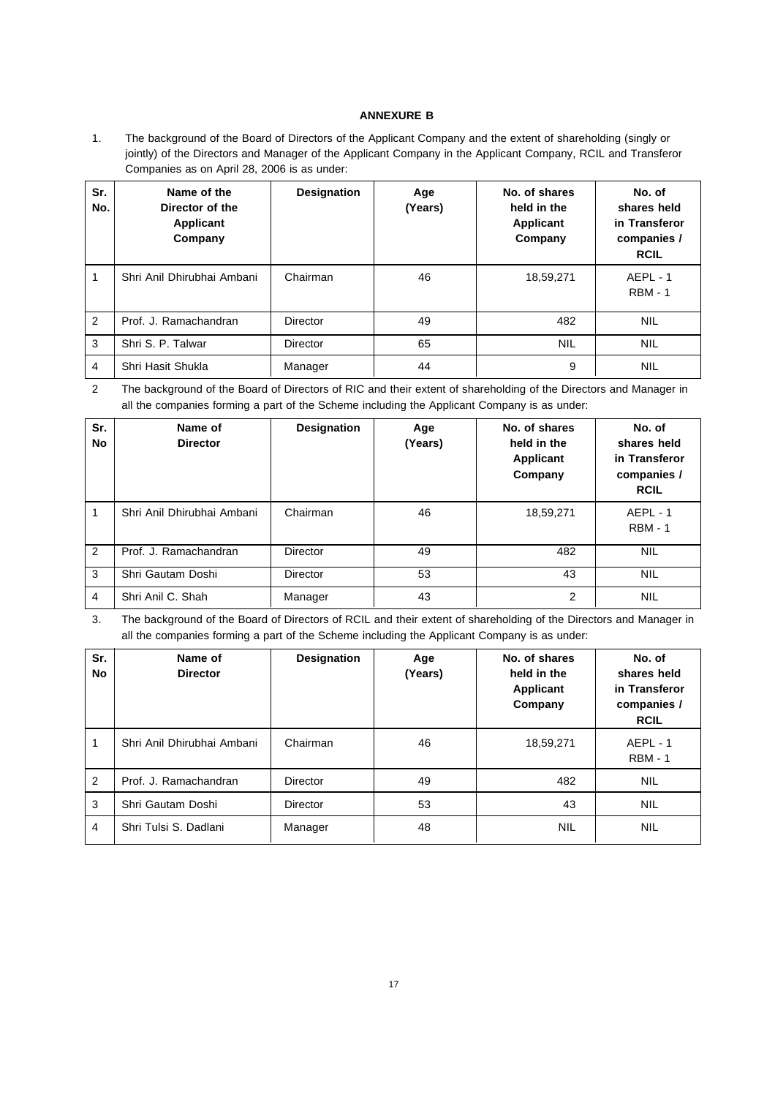# **ANNEXURE B**

1. The background of the Board of Directors of the Applicant Company and the extent of shareholding (singly or jointly) of the Directors and Manager of the Applicant Company in the Applicant Company, RCIL and Transferor Companies as on April 28, 2006 is as under:

| Sr.<br>No. | Name of the<br>Director of the<br>Applicant<br>Company | Designation | Age<br>(Years) | No. of shares<br>held in the<br>Applicant<br>Company | No. of<br>shares held<br>in Transferor<br>companies /<br><b>RCIL</b> |
|------------|--------------------------------------------------------|-------------|----------------|------------------------------------------------------|----------------------------------------------------------------------|
|            | Shri Anil Dhirubhai Ambani                             | Chairman    | 46             | 18,59,271                                            | AEPL-1<br><b>RBM - 1</b>                                             |
| 2          | Prof. J. Ramachandran                                  | Director    | 49             | 482                                                  | <b>NIL</b>                                                           |
| 3          | Shri S. P. Talwar                                      | Director    | 65             | <b>NIL</b>                                           | <b>NIL</b>                                                           |
| 4          | Shri Hasit Shukla                                      | Manager     | 44             | 9                                                    | <b>NIL</b>                                                           |

2 The background of the Board of Directors of RIC and their extent of shareholding of the Directors and Manager in all the companies forming a part of the Scheme including the Applicant Company is as under:

| Sr.<br>No | Name of<br><b>Director</b> | Designation     | Age<br>(Years) | No. of shares<br>held in the<br><b>Applicant</b><br>Company | No. of<br>shares held<br>in Transferor<br>companies /<br><b>RCIL</b> |
|-----------|----------------------------|-----------------|----------------|-------------------------------------------------------------|----------------------------------------------------------------------|
|           | Shri Anil Dhirubhai Ambani | Chairman        | 46             | 18,59,271                                                   | AEPL-1<br><b>RBM - 1</b>                                             |
| 2         | Prof. J. Ramachandran      | Director        | 49             | 482                                                         | <b>NIL</b>                                                           |
| 3         | Shri Gautam Doshi          | <b>Director</b> | 53             | 43                                                          | <b>NIL</b>                                                           |
| 4         | Shri Anil C. Shah          | Manager         | 43             | 2                                                           | <b>NIL</b>                                                           |

3. The background of the Board of Directors of RCIL and their extent of shareholding of the Directors and Manager in all the companies forming a part of the Scheme including the Applicant Company is as under:

| Sr.<br>No | Name of<br><b>Director</b> | Designation | Age<br>(Years) | No. of shares<br>held in the<br>Applicant<br>Company | No. of<br>shares held<br>in Transferor<br>companies /<br><b>RCIL</b> |
|-----------|----------------------------|-------------|----------------|------------------------------------------------------|----------------------------------------------------------------------|
|           | Shri Anil Dhirubhai Ambani | Chairman    | 46             | 18,59,271                                            | AEPL-1<br><b>RBM - 1</b>                                             |
| 2         | Prof. J. Ramachandran      | Director    | 49             | 482                                                  | <b>NIL</b>                                                           |
| 3         | Shri Gautam Doshi          | Director    | 53             | 43                                                   | <b>NIL</b>                                                           |
| 4         | Shri Tulsi S. Dadlani      | Manager     | 48             | <b>NIL</b>                                           | <b>NIL</b>                                                           |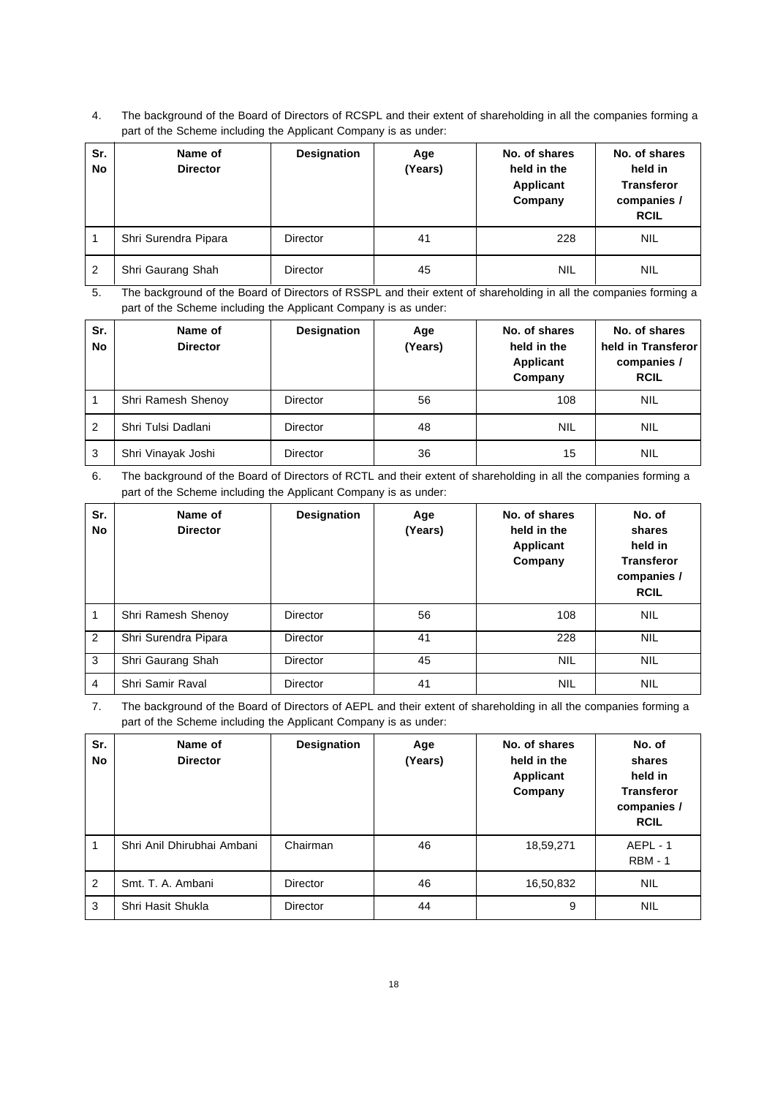4. The background of the Board of Directors of RCSPL and their extent of shareholding in all the companies forming a part of the Scheme including the Applicant Company is as under:

| Sr.<br>No | Name of<br><b>Director</b> | Designation | Age<br>(Years) | No. of shares<br>held in the<br>Applicant<br>Company | No. of shares<br>held in<br><b>Transferor</b><br>companies /<br><b>RCIL</b> |
|-----------|----------------------------|-------------|----------------|------------------------------------------------------|-----------------------------------------------------------------------------|
|           | Shri Surendra Pipara       | Director    | 41             | 228                                                  | <b>NIL</b>                                                                  |
| 2         | Shri Gaurang Shah          | Director    | 45             | <b>NIL</b>                                           | <b>NIL</b>                                                                  |

5. The background of the Board of Directors of RSSPL and their extent of shareholding in all the companies forming a part of the Scheme including the Applicant Company is as under:

| Sr.<br><b>No</b> | Name of<br><b>Director</b> | <b>Designation</b> | Age<br>(Years) | No. of shares<br>held in the<br>Applicant<br>Company | No. of shares<br>held in Transferor<br>companies /<br><b>RCIL</b> |
|------------------|----------------------------|--------------------|----------------|------------------------------------------------------|-------------------------------------------------------------------|
|                  | Shri Ramesh Shenoy         | <b>Director</b>    | 56             | 108                                                  | <b>NIL</b>                                                        |
| 2                | Shri Tulsi Dadlani         | Director           | 48             | <b>NIL</b>                                           | <b>NIL</b>                                                        |
| 3                | Shri Vinayak Joshi         | <b>Director</b>    | 36             | 15                                                   | <b>NIL</b>                                                        |

6. The background of the Board of Directors of RCTL and their extent of shareholding in all the companies forming a part of the Scheme including the Applicant Company is as under:

| Sr.<br><b>No</b> | Name of<br><b>Director</b> | Designation     | Age<br>(Years) | No. of shares<br>held in the<br><b>Applicant</b><br>Company | No. of<br>shares<br>held in<br><b>Transferor</b><br>companies /<br><b>RCIL</b> |
|------------------|----------------------------|-----------------|----------------|-------------------------------------------------------------|--------------------------------------------------------------------------------|
|                  | Shri Ramesh Shenoy         | <b>Director</b> | 56             | 108                                                         | <b>NIL</b>                                                                     |
| $\mathcal{P}$    | Shri Surendra Pipara       | <b>Director</b> | 41             | 228                                                         | <b>NIL</b>                                                                     |
| 3                | Shri Gaurang Shah          | <b>Director</b> | 45             | <b>NIL</b>                                                  | <b>NIL</b>                                                                     |
| 4                | Shri Samir Raval           | <b>Director</b> | 41             | <b>NIL</b>                                                  | <b>NIL</b>                                                                     |

7. The background of the Board of Directors of AEPL and their extent of shareholding in all the companies forming a part of the Scheme including the Applicant Company is as under:

| Sr.<br><b>No</b> | Name of<br><b>Director</b> | Designation     | Age<br>(Years) | No. of shares<br>held in the<br><b>Applicant</b><br>Company | No. of<br>shares<br>held in<br><b>Transferor</b><br>companies /<br><b>RCIL</b> |
|------------------|----------------------------|-----------------|----------------|-------------------------------------------------------------|--------------------------------------------------------------------------------|
|                  | Shri Anil Dhirubhai Ambani | Chairman        | 46             | 18,59,271                                                   | AEPL - 1<br><b>RBM - 1</b>                                                     |
| 2                | Smt. T. A. Ambani          | <b>Director</b> | 46             | 16,50,832                                                   | <b>NIL</b>                                                                     |
| 3                | Shri Hasit Shukla          | <b>Director</b> | 44             | 9                                                           | <b>NIL</b>                                                                     |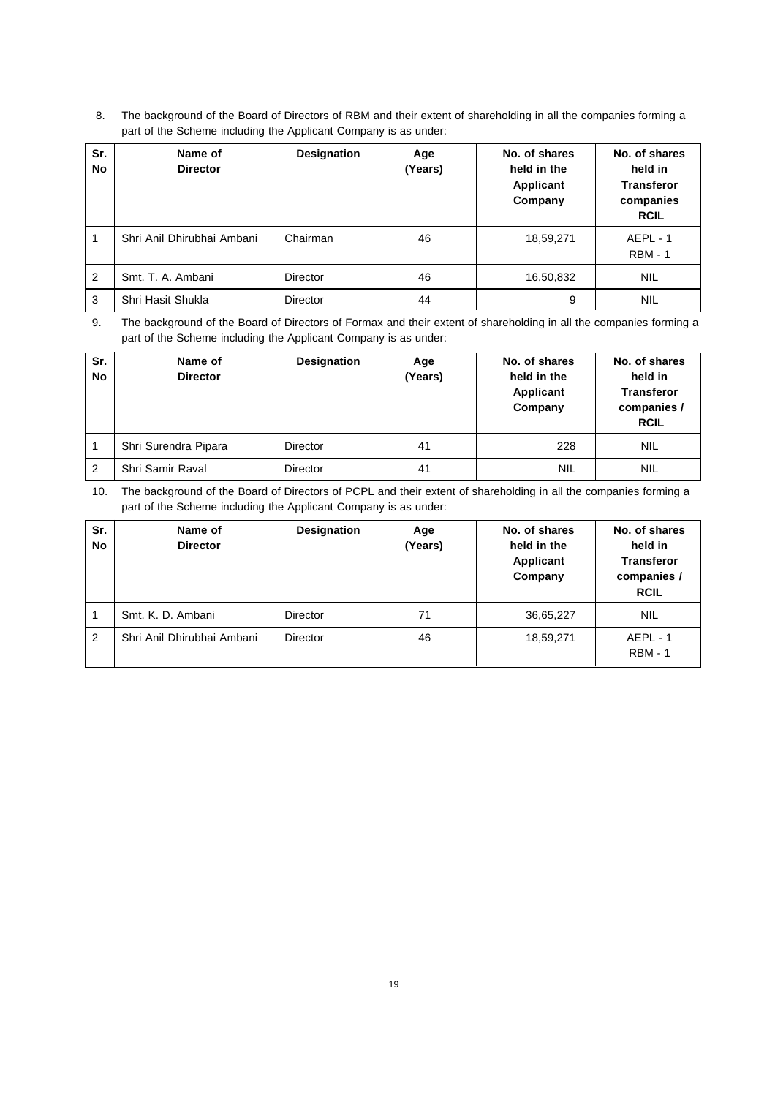8. The background of the Board of Directors of RBM and their extent of shareholding in all the companies forming a part of the Scheme including the Applicant Company is as under:

| Sr.<br><b>No</b> | Name of<br><b>Director</b> | <b>Designation</b> | Age<br>(Years) | No. of shares<br>held in the<br>Applicant<br>Company | No. of shares<br>held in<br><b>Transferor</b><br>companies<br><b>RCIL</b> |
|------------------|----------------------------|--------------------|----------------|------------------------------------------------------|---------------------------------------------------------------------------|
|                  | Shri Anil Dhirubhai Ambani | Chairman           | 46             | 18,59,271                                            | AEPL-1<br><b>RBM - 1</b>                                                  |
| $\overline{2}$   | Smt. T. A. Ambani          | <b>Director</b>    | 46             | 16,50,832                                            | <b>NIL</b>                                                                |
| 3                | Shri Hasit Shukla          | <b>Director</b>    | 44             | 9                                                    | <b>NIL</b>                                                                |

9. The background of the Board of Directors of Formax and their extent of shareholding in all the companies forming a part of the Scheme including the Applicant Company is as under:

| Sr.<br><b>No</b> | Name of<br><b>Director</b> | <b>Designation</b> | Age<br>(Years) | No. of shares<br>held in the<br>Applicant<br>Company | No. of shares<br>held in<br><b>Transferor</b><br>companies /<br><b>RCIL</b> |
|------------------|----------------------------|--------------------|----------------|------------------------------------------------------|-----------------------------------------------------------------------------|
|                  | Shri Surendra Pipara       | Director           | 41             | 228                                                  | <b>NIL</b>                                                                  |
| $\overline{2}$   | Shri Samir Raval           | <b>Director</b>    | 41             | <b>NIL</b>                                           | <b>NIL</b>                                                                  |

10. The background of the Board of Directors of PCPL and their extent of shareholding in all the companies forming a part of the Scheme including the Applicant Company is as under:

| Sr.<br><b>No</b> | Name of<br><b>Director</b> | Designation     | Age<br>(Years) | No. of shares<br>held in the<br>Applicant<br>Company | No. of shares<br>held in<br><b>Transferor</b><br>companies /<br><b>RCIL</b> |
|------------------|----------------------------|-----------------|----------------|------------------------------------------------------|-----------------------------------------------------------------------------|
|                  | Smt. K. D. Ambani          | Director        | 71             | 36,65,227                                            | <b>NIL</b>                                                                  |
| $\overline{2}$   | Shri Anil Dhirubhai Ambani | <b>Director</b> | 46             | 18,59,271                                            | AEPL - 1<br><b>RBM - 1</b>                                                  |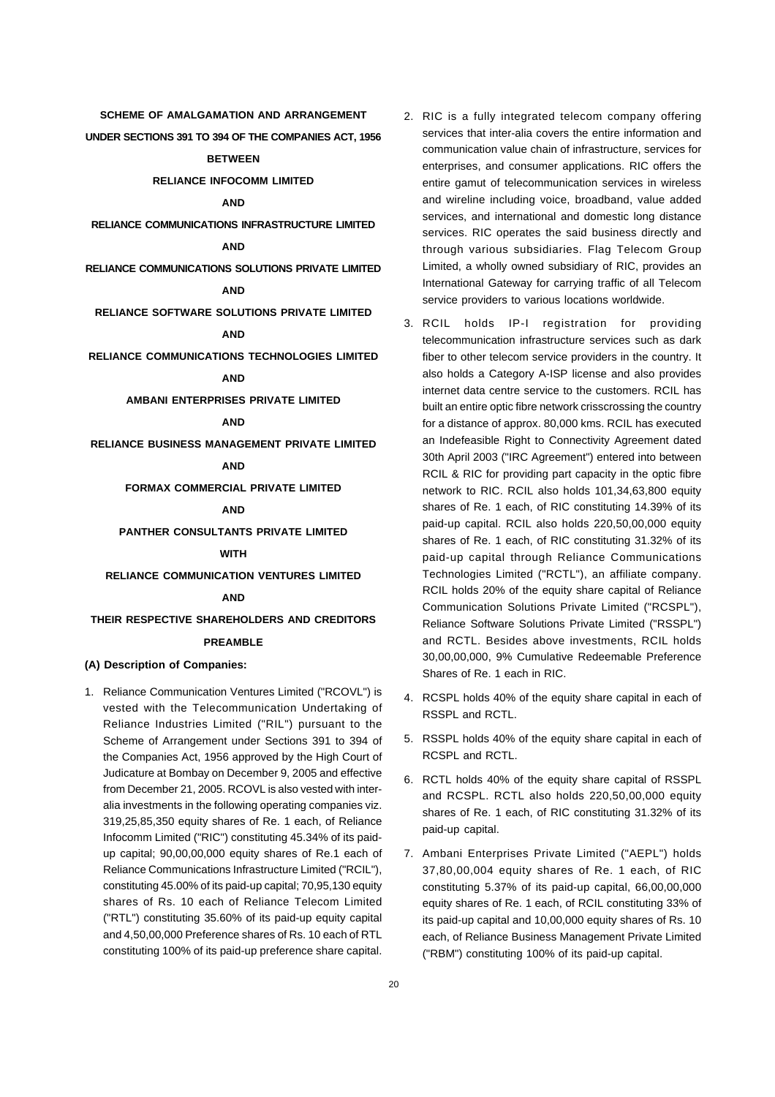#### **SCHEME OF AMALGAMATION AND ARRANGEMENT**

**UNDER SECTIONS 391 TO 394 OF THE COMPANIES ACT, 1956**

#### **BETWEEN**

**RELIANCE INFOCOMM LIMITED**

#### **AND**

**RELIANCE COMMUNICATIONS INFRASTRUCTURE LIMITED**

# **AND**

**RELIANCE COMMUNICATIONS SOLUTIONS PRIVATE LIMITED**

#### **AND**

**RELIANCE SOFTWARE SOLUTIONS PRIVATE LIMITED**

# **AND**

**RELIANCE COMMUNICATIONS TECHNOLOGIES LIMITED**

# **AND**

**AMBANI ENTERPRISES PRIVATE LIMITED**

# **AND**

**RELIANCE BUSINESS MANAGEMENT PRIVATE LIMITED**

# **AND**

**FORMAX COMMERCIAL PRIVATE LIMITED**

# **AND**

**PANTHER CONSULTANTS PRIVATE LIMITED**

### **WITH**

**RELIANCE COMMUNICATION VENTURES LIMITED**

#### **AND**

**THEIR RESPECTIVE SHAREHOLDERS AND CREDITORS**

#### **PREAMBLE**

#### **(A) Description of Companies:**

1. Reliance Communication Ventures Limited ("RCOVL") is vested with the Telecommunication Undertaking of Reliance Industries Limited ("RIL") pursuant to the Scheme of Arrangement under Sections 391 to 394 of the Companies Act, 1956 approved by the High Court of Judicature at Bombay on December 9, 2005 and effective from December 21, 2005. RCOVL is also vested with interalia investments in the following operating companies viz. 319,25,85,350 equity shares of Re. 1 each, of Reliance Infocomm Limited ("RIC") constituting 45.34% of its paidup capital; 90,00,00,000 equity shares of Re.1 each of Reliance Communications Infrastructure Limited ("RCIL"), constituting 45.00% of its paid-up capital; 70,95,130 equity shares of Rs. 10 each of Reliance Telecom Limited ("RTL") constituting 35.60% of its paid-up equity capital and 4,50,00,000 Preference shares of Rs. 10 each of RTL constituting 100% of its paid-up preference share capital.

- 2. RIC is a fully integrated telecom company offering services that inter-alia covers the entire information and communication value chain of infrastructure, services for enterprises, and consumer applications. RIC offers the entire gamut of telecommunication services in wireless and wireline including voice, broadband, value added services, and international and domestic long distance services. RIC operates the said business directly and through various subsidiaries. Flag Telecom Group Limited, a wholly owned subsidiary of RIC, provides an International Gateway for carrying traffic of all Telecom service providers to various locations worldwide.
- 3. RCIL holds IP-I registration for providing telecommunication infrastructure services such as dark fiber to other telecom service providers in the country. It also holds a Category A-ISP license and also provides internet data centre service to the customers. RCIL has built an entire optic fibre network crisscrossing the country for a distance of approx. 80,000 kms. RCIL has executed an Indefeasible Right to Connectivity Agreement dated 30th April 2003 ("IRC Agreement") entered into between RCIL & RIC for providing part capacity in the optic fibre network to RIC. RCIL also holds 101,34,63,800 equity shares of Re. 1 each, of RIC constituting 14.39% of its paid-up capital. RCIL also holds 220,50,00,000 equity shares of Re. 1 each, of RIC constituting 31.32% of its paid-up capital through Reliance Communications Technologies Limited ("RCTL"), an affiliate company. RCIL holds 20% of the equity share capital of Reliance Communication Solutions Private Limited ("RCSPL"), Reliance Software Solutions Private Limited ("RSSPL") and RCTL. Besides above investments, RCIL holds 30,00,00,000, 9% Cumulative Redeemable Preference Shares of Re. 1 each in RIC.
- 4. RCSPL holds 40% of the equity share capital in each of RSSPL and RCTL.
- 5. RSSPL holds 40% of the equity share capital in each of RCSPL and RCTL.
- 6. RCTL holds 40% of the equity share capital of RSSPL and RCSPL. RCTL also holds 220,50,00,000 equity shares of Re. 1 each, of RIC constituting 31.32% of its paid-up capital.
- 7. Ambani Enterprises Private Limited ("AEPL") holds 37,80,00,004 equity shares of Re. 1 each, of RIC constituting 5.37% of its paid-up capital, 66,00,00,000 equity shares of Re. 1 each, of RCIL constituting 33% of its paid-up capital and 10,00,000 equity shares of Rs. 10 each, of Reliance Business Management Private Limited ("RBM") constituting 100% of its paid-up capital.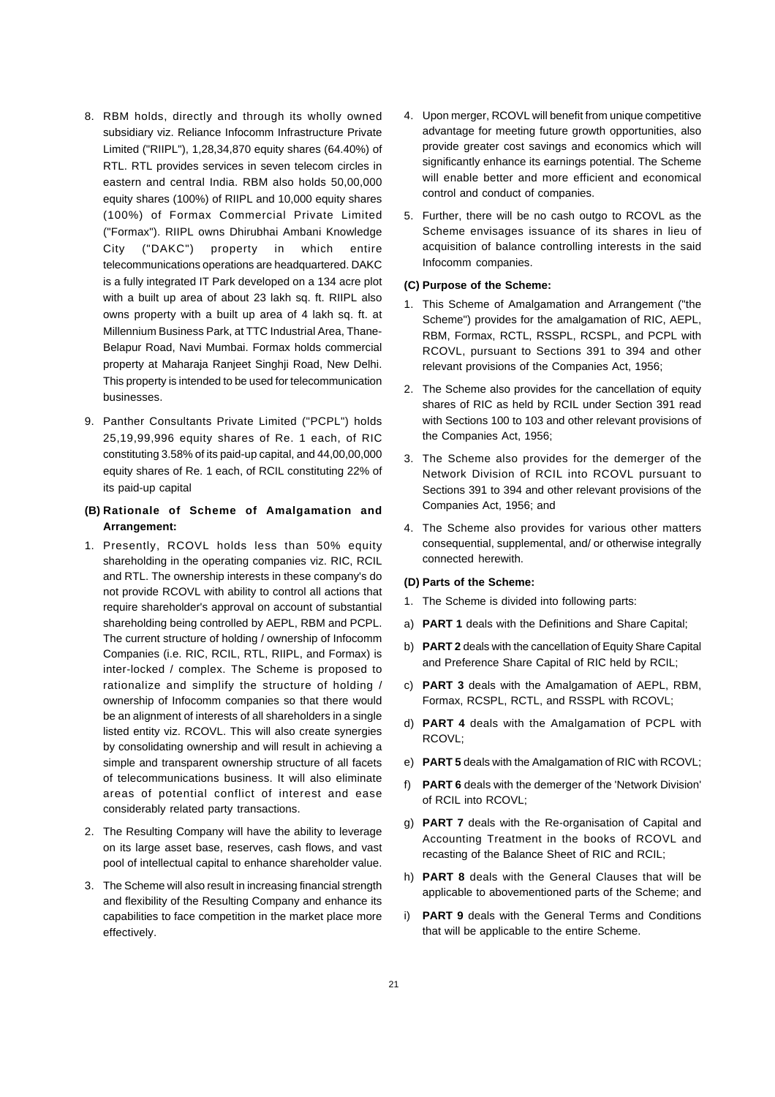- 8. RBM holds, directly and through its wholly owned subsidiary viz. Reliance Infocomm Infrastructure Private Limited ("RIIPL"), 1,28,34,870 equity shares (64.40%) of RTL. RTL provides services in seven telecom circles in eastern and central India. RBM also holds 50,00,000 equity shares (100%) of RIIPL and 10,000 equity shares (100%) of Formax Commercial Private Limited ("Formax"). RIIPL owns Dhirubhai Ambani Knowledge City ("DAKC") property in which entire telecommunications operations are headquartered. DAKC is a fully integrated IT Park developed on a 134 acre plot with a built up area of about 23 lakh sq. ft. RIIPL also owns property with a built up area of 4 lakh sq. ft. at Millennium Business Park, at TTC Industrial Area, Thane-Belapur Road, Navi Mumbai. Formax holds commercial property at Maharaja Ranjeet Singhji Road, New Delhi. This property is intended to be used for telecommunication businesses.
- 9. Panther Consultants Private Limited ("PCPL") holds 25,19,99,996 equity shares of Re. 1 each, of RIC constituting 3.58% of its paid-up capital, and 44,00,00,000 equity shares of Re. 1 each, of RCIL constituting 22% of its paid-up capital

# **(B) Rationale of Scheme of Amalgamation and Arrangement:**

- 1. Presently, RCOVL holds less than 50% equity shareholding in the operating companies viz. RIC, RCIL and RTL. The ownership interests in these company's do not provide RCOVL with ability to control all actions that require shareholder's approval on account of substantial shareholding being controlled by AEPL, RBM and PCPL. The current structure of holding / ownership of Infocomm Companies (i.e. RIC, RCIL, RTL, RIIPL, and Formax) is inter-locked / complex. The Scheme is proposed to rationalize and simplify the structure of holding / ownership of Infocomm companies so that there would be an alignment of interests of all shareholders in a single listed entity viz. RCOVL. This will also create synergies by consolidating ownership and will result in achieving a simple and transparent ownership structure of all facets of telecommunications business. It will also eliminate areas of potential conflict of interest and ease considerably related party transactions.
- 2. The Resulting Company will have the ability to leverage on its large asset base, reserves, cash flows, and vast pool of intellectual capital to enhance shareholder value.
- 3. The Scheme will also result in increasing financial strength and flexibility of the Resulting Company and enhance its capabilities to face competition in the market place more effectively.
- 4. Upon merger, RCOVL will benefit from unique competitive advantage for meeting future growth opportunities, also provide greater cost savings and economics which will significantly enhance its earnings potential. The Scheme will enable better and more efficient and economical control and conduct of companies.
- 5. Further, there will be no cash outgo to RCOVL as the Scheme envisages issuance of its shares in lieu of acquisition of balance controlling interests in the said Infocomm companies.

### **(C) Purpose of the Scheme:**

- 1. This Scheme of Amalgamation and Arrangement ("the Scheme") provides for the amalgamation of RIC, AEPL, RBM, Formax, RCTL, RSSPL, RCSPL, and PCPL with RCOVL, pursuant to Sections 391 to 394 and other relevant provisions of the Companies Act, 1956;
- 2. The Scheme also provides for the cancellation of equity shares of RIC as held by RCIL under Section 391 read with Sections 100 to 103 and other relevant provisions of the Companies Act, 1956;
- 3. The Scheme also provides for the demerger of the Network Division of RCIL into RCOVL pursuant to Sections 391 to 394 and other relevant provisions of the Companies Act, 1956; and
- 4. The Scheme also provides for various other matters consequential, supplemental, and/ or otherwise integrally connected herewith.

#### **(D) Parts of the Scheme:**

- 1. The Scheme is divided into following parts:
- a) **PART 1** deals with the Definitions and Share Capital;
- b) **PART 2** deals with the cancellation of Equity Share Capital and Preference Share Capital of RIC held by RCIL;
- c) **PART 3** deals with the Amalgamation of AEPL, RBM, Formax, RCSPL, RCTL, and RSSPL with RCOVL;
- d) **PART 4** deals with the Amalgamation of PCPL with RCOVL;
- e) **PART 5** deals with the Amalgamation of RIC with RCOVL;
- f) **PART 6** deals with the demerger of the 'Network Division' of RCIL into RCOVL;
- g) **PART 7** deals with the Re-organisation of Capital and Accounting Treatment in the books of RCOVL and recasting of the Balance Sheet of RIC and RCIL;
- h) **PART 8** deals with the General Clauses that will be applicable to abovementioned parts of the Scheme; and
- i) **PART 9** deals with the General Terms and Conditions that will be applicable to the entire Scheme.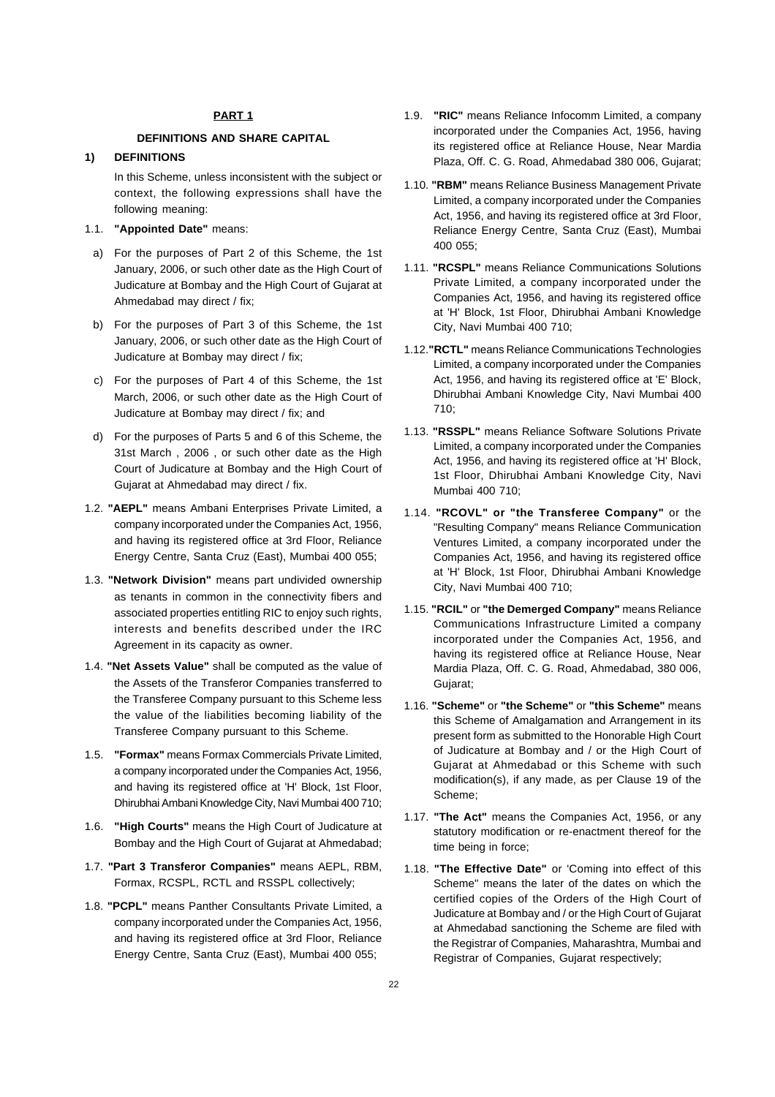# **PART 1**

### **DEFINITIONS AND SHARE CAPITAL**

**1) DEFINITIONS**

In this Scheme, unless inconsistent with the subject or context, the following expressions shall have the following meaning:

- 1.1. **"Appointed Date"** means:
	- a) For the purposes of Part 2 of this Scheme, the 1st January, 2006, or such other date as the High Court of Judicature at Bombay and the High Court of Gujarat at Ahmedabad may direct / fix;
	- b) For the purposes of Part 3 of this Scheme, the 1st January, 2006, or such other date as the High Court of Judicature at Bombay may direct / fix;
	- c) For the purposes of Part 4 of this Scheme, the 1st March, 2006, or such other date as the High Court of Judicature at Bombay may direct / fix; and
	- d) For the purposes of Parts 5 and 6 of this Scheme, the 31st March , 2006 , or such other date as the High Court of Judicature at Bombay and the High Court of Gujarat at Ahmedabad may direct / fix.
- 1.2. **"AEPL"** means Ambani Enterprises Private Limited, a company incorporated under the Companies Act, 1956, and having its registered office at 3rd Floor, Reliance Energy Centre, Santa Cruz (East), Mumbai 400 055;
- 1.3. **"Network Division"** means part undivided ownership as tenants in common in the connectivity fibers and associated properties entitling RIC to enjoy such rights, interests and benefits described under the IRC Agreement in its capacity as owner.
- 1.4. **"Net Assets Value"** shall be computed as the value of the Assets of the Transferor Companies transferred to the Transferee Company pursuant to this Scheme less the value of the liabilities becoming liability of the Transferee Company pursuant to this Scheme.
- 1.5. **"Formax"** means Formax Commercials Private Limited, a company incorporated under the Companies Act, 1956, and having its registered office at 'H' Block, 1st Floor, Dhirubhai Ambani Knowledge City, Navi Mumbai 400 710;
- 1.6. **"High Courts"** means the High Court of Judicature at Bombay and the High Court of Gujarat at Ahmedabad;
- 1.7. **"Part 3 Transferor Companies"** means AEPL, RBM, Formax, RCSPL, RCTL and RSSPL collectively;
- 1.8. **"PCPL"** means Panther Consultants Private Limited, a company incorporated under the Companies Act, 1956, and having its registered office at 3rd Floor, Reliance Energy Centre, Santa Cruz (East), Mumbai 400 055;
- 1.9. **"RIC"** means Reliance Infocomm Limited, a company incorporated under the Companies Act, 1956, having its registered office at Reliance House, Near Mardia Plaza, Off. C. G. Road, Ahmedabad 380 006, Gujarat;
- 1.10. **"RBM"** means Reliance Business Management Private Limited, a company incorporated under the Companies Act, 1956, and having its registered office at 3rd Floor, Reliance Energy Centre, Santa Cruz (East), Mumbai 400 055;
- 1.11. **"RCSPL"** means Reliance Communications Solutions Private Limited, a company incorporated under the Companies Act, 1956, and having its registered office at 'H' Block, 1st Floor, Dhirubhai Ambani Knowledge City, Navi Mumbai 400 710;
- 1.12.**"RCTL"** means Reliance Communications Technologies Limited, a company incorporated under the Companies Act, 1956, and having its registered office at 'E' Block, Dhirubhai Ambani Knowledge City, Navi Mumbai 400  $710<sup>°</sup>$
- 1.13. **"RSSPL"** means Reliance Software Solutions Private Limited, a company incorporated under the Companies Act, 1956, and having its registered office at 'H' Block, 1st Floor, Dhirubhai Ambani Knowledge City, Navi Mumbai 400 710;
- 1.14. **"RCOVL" or "the Transferee Company"** or the "Resulting Company" means Reliance Communication Ventures Limited, a company incorporated under the Companies Act, 1956, and having its registered office at 'H' Block, 1st Floor, Dhirubhai Ambani Knowledge City, Navi Mumbai 400 710;
- 1.15. **"RCIL"** or **"the Demerged Company"** means Reliance Communications Infrastructure Limited a company incorporated under the Companies Act, 1956, and having its registered office at Reliance House, Near Mardia Plaza, Off. C. G. Road, Ahmedabad, 380 006, Gujarat;
- 1.16. **"Scheme"** or **"the Scheme"** or **"this Scheme"** means this Scheme of Amalgamation and Arrangement in its present form as submitted to the Honorable High Court of Judicature at Bombay and / or the High Court of Gujarat at Ahmedabad or this Scheme with such modification(s), if any made, as per Clause 19 of the Scheme;
- 1.17. **"The Act"** means the Companies Act, 1956, or any statutory modification or re-enactment thereof for the time being in force;
- 1.18. **"The Effective Date"** or 'Coming into effect of this Scheme" means the later of the dates on which the certified copies of the Orders of the High Court of Judicature at Bombay and / or the High Court of Gujarat at Ahmedabad sanctioning the Scheme are filed with the Registrar of Companies, Maharashtra, Mumbai and Registrar of Companies, Gujarat respectively;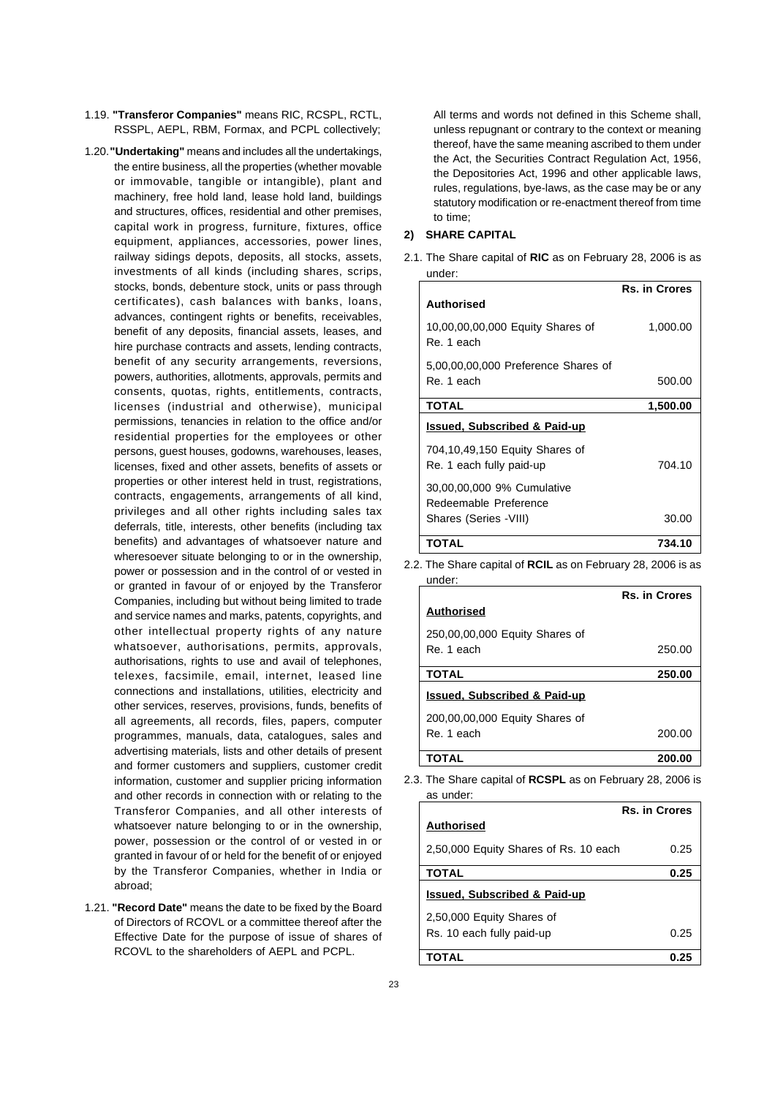- 1.19. **"Transferor Companies"** means RIC, RCSPL, RCTL, RSSPL, AEPL, RBM, Formax, and PCPL collectively;
- 1.20. **"Undertaking"** means and includes all the undertakings, the entire business, all the properties (whether movable or immovable, tangible or intangible), plant and machinery, free hold land, lease hold land, buildings and structures, offices, residential and other premises, capital work in progress, furniture, fixtures, office equipment, appliances, accessories, power lines, railway sidings depots, deposits, all stocks, assets, investments of all kinds (including shares, scrips, stocks, bonds, debenture stock, units or pass through certificates), cash balances with banks, loans, advances, contingent rights or benefits, receivables, benefit of any deposits, financial assets, leases, and hire purchase contracts and assets, lending contracts, benefit of any security arrangements, reversions, powers, authorities, allotments, approvals, permits and consents, quotas, rights, entitlements, contracts, licenses (industrial and otherwise), municipal permissions, tenancies in relation to the office and/or residential properties for the employees or other persons, guest houses, godowns, warehouses, leases, licenses, fixed and other assets, benefits of assets or properties or other interest held in trust, registrations, contracts, engagements, arrangements of all kind, privileges and all other rights including sales tax deferrals, title, interests, other benefits (including tax benefits) and advantages of whatsoever nature and wheresoever situate belonging to or in the ownership, power or possession and in the control of or vested in or granted in favour of or enjoyed by the Transferor Companies, including but without being limited to trade and service names and marks, patents, copyrights, and other intellectual property rights of any nature whatsoever, authorisations, permits, approvals, authorisations, rights to use and avail of telephones, telexes, facsimile, email, internet, leased line connections and installations, utilities, electricity and other services, reserves, provisions, funds, benefits of all agreements, all records, files, papers, computer programmes, manuals, data, catalogues, sales and advertising materials, lists and other details of present and former customers and suppliers, customer credit information, customer and supplier pricing information and other records in connection with or relating to the Transferor Companies, and all other interests of whatsoever nature belonging to or in the ownership, power, possession or the control of or vested in or granted in favour of or held for the benefit of or enjoyed by the Transferor Companies, whether in India or abroad;
- 1.21. **"Record Date"** means the date to be fixed by the Board of Directors of RCOVL or a committee thereof after the Effective Date for the purpose of issue of shares of RCOVL to the shareholders of AEPL and PCPL.

All terms and words not defined in this Scheme shall, unless repugnant or contrary to the context or meaning thereof, have the same meaning ascribed to them under the Act, the Securities Contract Regulation Act, 1956, the Depositories Act, 1996 and other applicable laws, rules, regulations, bye-laws, as the case may be or any statutory modification or re-enactment thereof from time to time;

# **2) SHARE CAPITAL**

2.1. The Share capital of **RIC** as on February 28, 2006 is as under:

|                                                            | <b>Rs. in Crores</b> |
|------------------------------------------------------------|----------------------|
| Authorised                                                 |                      |
| 10,00,00,00,000 Equity Shares of<br>Re. 1 each             | 1,000.00             |
| 5,00,00,00,000 Preference Shares of<br>Re. 1 each          | 500.00               |
| <b>TOTAL</b>                                               | 1,500.00             |
| <b>Issued, Subscribed &amp; Paid-up</b>                    |                      |
| 704,10,49,150 Equity Shares of<br>Re. 1 each fully paid-up | 704.10               |
| 30,00,00,000 9% Cumulative<br>Redeemable Preference        |                      |
| Shares (Series - VIII)                                     | 30.00                |
| <b>TOTAL</b>                                               | 734.10               |

2.2. The Share capital of **RCIL** as on February 28, 2006 is as under:

|                                         | <b>Rs. in Crores</b> |
|-----------------------------------------|----------------------|
| <b>Authorised</b>                       |                      |
| 250,00,00,000 Equity Shares of          |                      |
| Re. 1 each                              | 250.00               |
| <b>TOTAL</b>                            | 250.00               |
| <b>Issued, Subscribed &amp; Paid-up</b> |                      |
| 200,00,00,000 Equity Shares of          |                      |
| Re. 1 each                              | 200.00               |
| TOTAL                                   | 200.00               |

2.3. The Share capital of **RCSPL** as on February 28, 2006 is as under:

|                                         | Rs. in Crores |
|-----------------------------------------|---------------|
| <b>Authorised</b>                       |               |
| 2,50,000 Equity Shares of Rs. 10 each   | 0.25          |
| <b>TOTAL</b>                            | 0.25          |
| <b>Issued, Subscribed &amp; Paid-up</b> |               |
| 2,50,000 Equity Shares of               |               |
| Rs. 10 each fully paid-up               | 0.25          |
|                                         |               |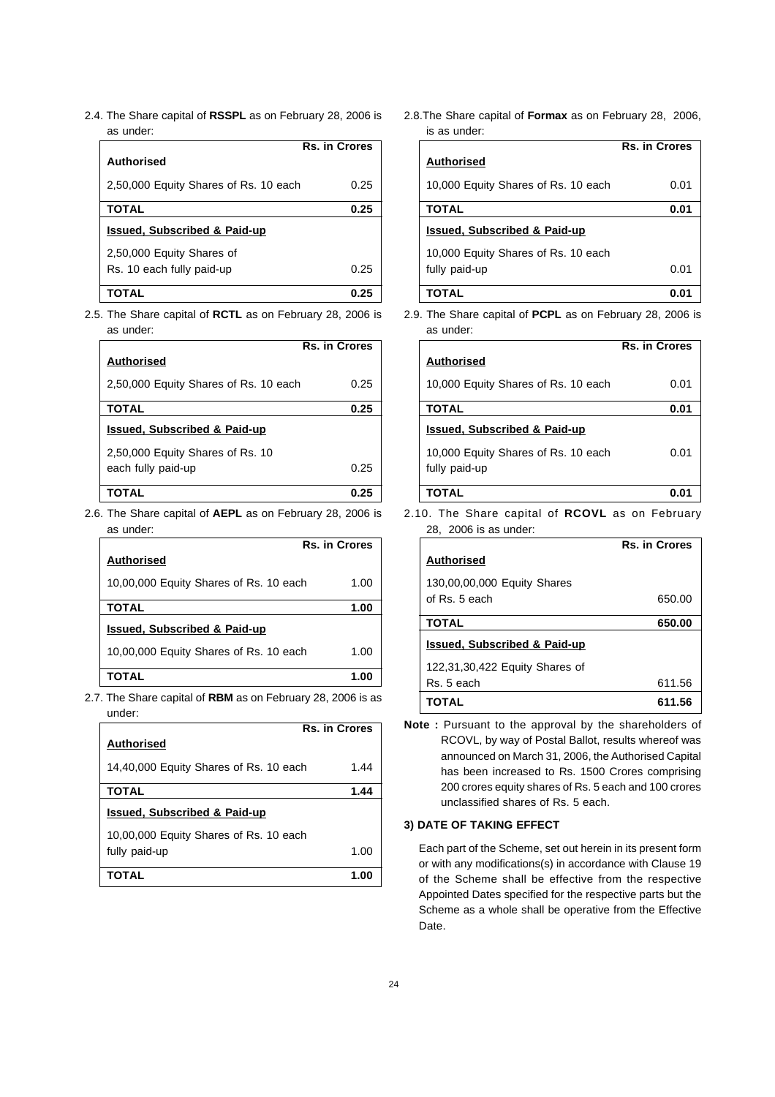2.4. The Share capital of **RSSPL** as on February 28, 2006 is as under:

|                                         | <b>Rs. in Crores</b> |
|-----------------------------------------|----------------------|
| Authorised                              |                      |
| 2,50,000 Equity Shares of Rs. 10 each   | 0.25                 |
| <b>TOTAL</b>                            | 0.25                 |
| <b>Issued, Subscribed &amp; Paid-up</b> |                      |
| 2,50,000 Equity Shares of               |                      |
| Rs. 10 each fully paid-up               | 0.25                 |
| TOTAL                                   | 0.25                 |

2.5. The Share capital of **RCTL** as on February 28, 2006 is as under:

|                                         | <b>Rs. in Crores</b> |
|-----------------------------------------|----------------------|
| <b>Authorised</b>                       |                      |
| 2,50,000 Equity Shares of Rs. 10 each   | 0.25                 |
| <b>TOTAL</b>                            | 0.25                 |
| <b>Issued, Subscribed &amp; Paid-up</b> |                      |
| 2,50,000 Equity Shares of Rs. 10        |                      |
| each fully paid-up                      | 0.25                 |
| <b>TOTAL</b>                            |                      |

2.6. The Share capital of **AEPL** as on February 28, 2006 is as under:

|                                         | Rs. in Crores |
|-----------------------------------------|---------------|
| Authorised                              |               |
| 10,00,000 Equity Shares of Rs. 10 each  | 1.00          |
| <b>TOTAL</b>                            | 1.00          |
| <b>Issued, Subscribed &amp; Paid-up</b> |               |
| 10,00,000 Equity Shares of Rs. 10 each  | 1.00          |
| <b>TOTAL</b>                            | 1.00          |
|                                         |               |

2.7. The Share capital of **RBM** as on February 28, 2006 is as under:

|                                         | Rs. in Crores |
|-----------------------------------------|---------------|
| Authorised                              |               |
| 14,40,000 Equity Shares of Rs. 10 each  | 1.44          |
| <b>TOTAL</b>                            | 1.44          |
| <b>Issued, Subscribed &amp; Paid-up</b> |               |
| 10,00,000 Equity Shares of Rs. 10 each  |               |
| fully paid-up                           | 1.00          |
| TOTAL                                   | 1.00          |

2.8.The Share capital of **Formax** as on February 28, 2006, is as under:

|                                         | Rs. in Crores |
|-----------------------------------------|---------------|
| Authorised                              |               |
| 10,000 Equity Shares of Rs. 10 each     | 0.01          |
| <b>TOTAL</b>                            | 0.01          |
| <b>Issued, Subscribed &amp; Paid-up</b> |               |
| 10,000 Equity Shares of Rs. 10 each     |               |
| fully paid-up                           | 0.O1          |
| ΤΟΤΑL                                   |               |

2.9. The Share capital of **PCPL** as on February 28, 2006 is as under:

|                                         | Rs. in Crores |
|-----------------------------------------|---------------|
| <b>Authorised</b>                       |               |
| 10,000 Equity Shares of Rs. 10 each     | 0.01          |
| <b>TOTAL</b>                            | 0.01          |
| <b>Issued, Subscribed &amp; Paid-up</b> |               |
| 10,000 Equity Shares of Rs. 10 each     | 0.01          |
| fully paid-up                           |               |
| TOTAL                                   |               |

2.10. The Share capital of **RCOVL** as on February 28, 2006 is as under:

|                                         | <b>Rs. in Crores</b> |
|-----------------------------------------|----------------------|
| <b>Authorised</b>                       |                      |
| 130,00,00,000 Equity Shares             |                      |
| of Rs. 5 each                           | 650.00               |
| <b>TOTAL</b>                            | 650.00               |
| <b>Issued, Subscribed &amp; Paid-up</b> |                      |
| 122,31,30,422 Equity Shares of          |                      |
| Rs. 5 each                              | 611.56               |
| TOTAL                                   | 611.56               |

**Note** : Pursuant to the approval by the shareholders of RCOVL, by way of Postal Ballot, results whereof was announced on March 31, 2006, the Authorised Capital has been increased to Rs. 1500 Crores comprising 200 crores equity shares of Rs. 5 each and 100 crores unclassified shares of Rs. 5 each.

# **3) DATE OF TAKING EFFECT**

Each part of the Scheme, set out herein in its present form or with any modifications(s) in accordance with Clause 19 of the Scheme shall be effective from the respective Appointed Dates specified for the respective parts but the Scheme as a whole shall be operative from the Effective Date.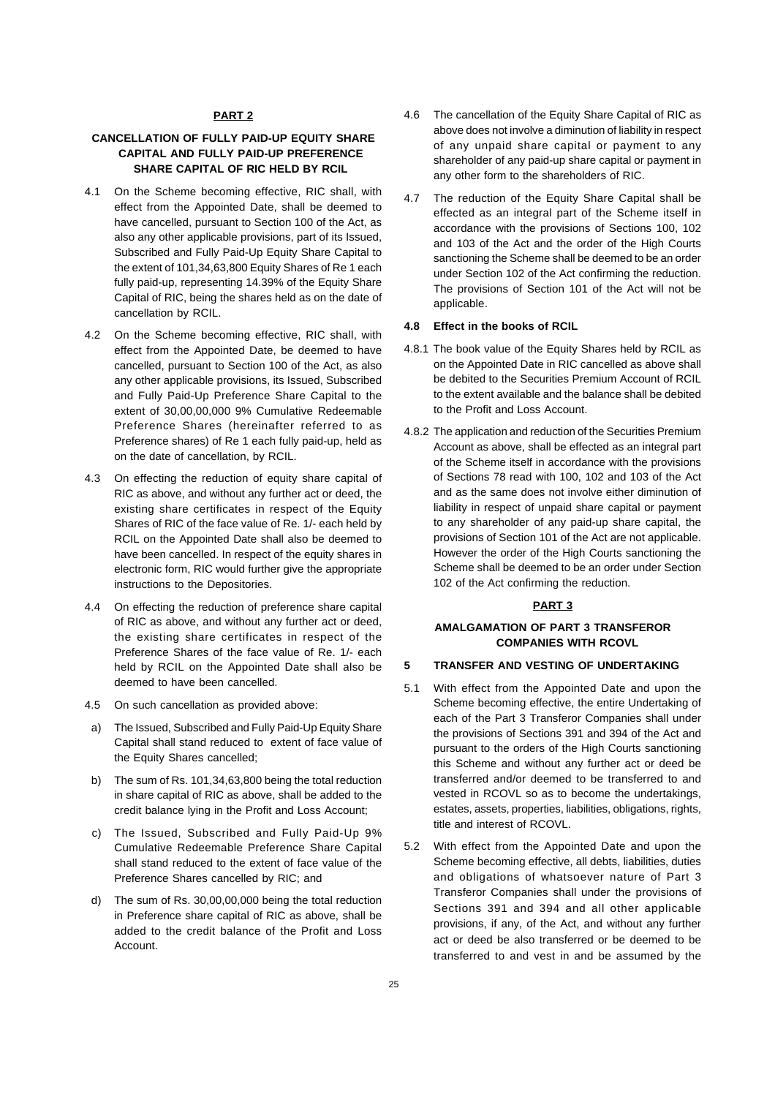#### **PART 2**

# **CANCELLATION OF FULLY PAID-UP EQUITY SHARE CAPITAL AND FULLY PAID-UP PREFERENCE SHARE CAPITAL OF RIC HELD BY RCIL**

- 4.1 On the Scheme becoming effective, RIC shall, with effect from the Appointed Date, shall be deemed to have cancelled, pursuant to Section 100 of the Act, as also any other applicable provisions, part of its Issued, Subscribed and Fully Paid-Up Equity Share Capital to the extent of 101,34,63,800 Equity Shares of Re 1 each fully paid-up, representing 14.39% of the Equity Share Capital of RIC, being the shares held as on the date of cancellation by RCIL.
- 4.2 On the Scheme becoming effective, RIC shall, with effect from the Appointed Date, be deemed to have cancelled, pursuant to Section 100 of the Act, as also any other applicable provisions, its Issued, Subscribed and Fully Paid-Up Preference Share Capital to the extent of 30,00,00,000 9% Cumulative Redeemable Preference Shares (hereinafter referred to as Preference shares) of Re 1 each fully paid-up, held as on the date of cancellation, by RCIL.
- 4.3 On effecting the reduction of equity share capital of RIC as above, and without any further act or deed, the existing share certificates in respect of the Equity Shares of RIC of the face value of Re. 1/- each held by RCIL on the Appointed Date shall also be deemed to have been cancelled. In respect of the equity shares in electronic form, RIC would further give the appropriate instructions to the Depositories.
- 4.4 On effecting the reduction of preference share capital of RIC as above, and without any further act or deed, the existing share certificates in respect of the Preference Shares of the face value of Re. 1/- each held by RCIL on the Appointed Date shall also be deemed to have been cancelled.
- 4.5 On such cancellation as provided above:
- a) The Issued, Subscribed and Fully Paid-Up Equity Share Capital shall stand reduced to extent of face value of the Equity Shares cancelled;
- b) The sum of Rs. 101,34,63,800 being the total reduction in share capital of RIC as above, shall be added to the credit balance lying in the Profit and Loss Account;
- c) The Issued, Subscribed and Fully Paid-Up 9% Cumulative Redeemable Preference Share Capital shall stand reduced to the extent of face value of the Preference Shares cancelled by RIC; and
- d) The sum of Rs. 30,00,00,000 being the total reduction in Preference share capital of RIC as above, shall be added to the credit balance of the Profit and Loss Account.
- 4.6 The cancellation of the Equity Share Capital of RIC as above does not involve a diminution of liability in respect of any unpaid share capital or payment to any shareholder of any paid-up share capital or payment in any other form to the shareholders of RIC.
- 4.7 The reduction of the Equity Share Capital shall be effected as an integral part of the Scheme itself in accordance with the provisions of Sections 100, 102 and 103 of the Act and the order of the High Courts sanctioning the Scheme shall be deemed to be an order under Section 102 of the Act confirming the reduction. The provisions of Section 101 of the Act will not be applicable.

#### **4.8 Effect in the books of RCIL**

- 4.8.1 The book value of the Equity Shares held by RCIL as on the Appointed Date in RIC cancelled as above shall be debited to the Securities Premium Account of RCIL to the extent available and the balance shall be debited to the Profit and Loss Account.
- 4.8.2 The application and reduction of the Securities Premium Account as above, shall be effected as an integral part of the Scheme itself in accordance with the provisions of Sections 78 read with 100, 102 and 103 of the Act and as the same does not involve either diminution of liability in respect of unpaid share capital or payment to any shareholder of any paid-up share capital, the provisions of Section 101 of the Act are not applicable. However the order of the High Courts sanctioning the Scheme shall be deemed to be an order under Section 102 of the Act confirming the reduction.

# **PART 3**

# **AMALGAMATION OF PART 3 TRANSFEROR COMPANIES WITH RCOVL**

#### **5 TRANSFER AND VESTING OF UNDERTAKING**

- 5.1 With effect from the Appointed Date and upon the Scheme becoming effective, the entire Undertaking of each of the Part 3 Transferor Companies shall under the provisions of Sections 391 and 394 of the Act and pursuant to the orders of the High Courts sanctioning this Scheme and without any further act or deed be transferred and/or deemed to be transferred to and vested in RCOVL so as to become the undertakings, estates, assets, properties, liabilities, obligations, rights, title and interest of RCOVL.
- 5.2 With effect from the Appointed Date and upon the Scheme becoming effective, all debts, liabilities, duties and obligations of whatsoever nature of Part 3 Transferor Companies shall under the provisions of Sections 391 and 394 and all other applicable provisions, if any, of the Act, and without any further act or deed be also transferred or be deemed to be transferred to and vest in and be assumed by the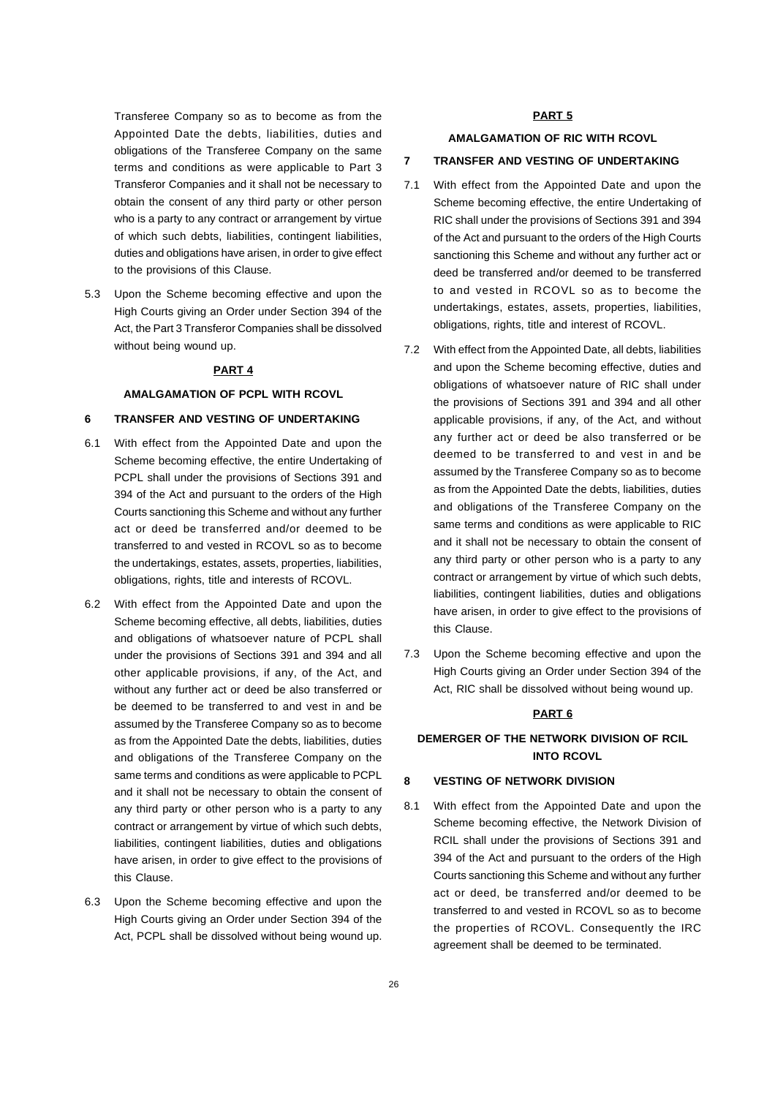Transferee Company so as to become as from the Appointed Date the debts, liabilities, duties and obligations of the Transferee Company on the same terms and conditions as were applicable to Part 3 Transferor Companies and it shall not be necessary to obtain the consent of any third party or other person who is a party to any contract or arrangement by virtue of which such debts, liabilities, contingent liabilities, duties and obligations have arisen, in order to give effect to the provisions of this Clause.

5.3 Upon the Scheme becoming effective and upon the High Courts giving an Order under Section 394 of the Act, the Part 3 Transferor Companies shall be dissolved without being wound up.

# **PART 4**

# **AMALGAMATION OF PCPL WITH RCOVL**

# **6 TRANSFER AND VESTING OF UNDERTAKING**

- 6.1 With effect from the Appointed Date and upon the Scheme becoming effective, the entire Undertaking of PCPL shall under the provisions of Sections 391 and 394 of the Act and pursuant to the orders of the High Courts sanctioning this Scheme and without any further act or deed be transferred and/or deemed to be transferred to and vested in RCOVL so as to become the undertakings, estates, assets, properties, liabilities, obligations, rights, title and interests of RCOVL.
- 6.2 With effect from the Appointed Date and upon the Scheme becoming effective, all debts, liabilities, duties and obligations of whatsoever nature of PCPL shall under the provisions of Sections 391 and 394 and all other applicable provisions, if any, of the Act, and without any further act or deed be also transferred or be deemed to be transferred to and vest in and be assumed by the Transferee Company so as to become as from the Appointed Date the debts, liabilities, duties and obligations of the Transferee Company on the same terms and conditions as were applicable to PCPL and it shall not be necessary to obtain the consent of any third party or other person who is a party to any contract or arrangement by virtue of which such debts, liabilities, contingent liabilities, duties and obligations have arisen, in order to give effect to the provisions of this Clause.
- 6.3 Upon the Scheme becoming effective and upon the High Courts giving an Order under Section 394 of the Act, PCPL shall be dissolved without being wound up.

## **PART 5**

# **AMALGAMATION OF RIC WITH RCOVL**

#### **7 TRANSFER AND VESTING OF UNDERTAKING**

- 7.1 With effect from the Appointed Date and upon the Scheme becoming effective, the entire Undertaking of RIC shall under the provisions of Sections 391 and 394 of the Act and pursuant to the orders of the High Courts sanctioning this Scheme and without any further act or deed be transferred and/or deemed to be transferred to and vested in RCOVL so as to become the undertakings, estates, assets, properties, liabilities, obligations, rights, title and interest of RCOVL.
- 7.2 With effect from the Appointed Date, all debts, liabilities and upon the Scheme becoming effective, duties and obligations of whatsoever nature of RIC shall under the provisions of Sections 391 and 394 and all other applicable provisions, if any, of the Act, and without any further act or deed be also transferred or be deemed to be transferred to and vest in and be assumed by the Transferee Company so as to become as from the Appointed Date the debts, liabilities, duties and obligations of the Transferee Company on the same terms and conditions as were applicable to RIC and it shall not be necessary to obtain the consent of any third party or other person who is a party to any contract or arrangement by virtue of which such debts, liabilities, contingent liabilities, duties and obligations have arisen, in order to give effect to the provisions of this Clause.
- 7.3 Upon the Scheme becoming effective and upon the High Courts giving an Order under Section 394 of the Act, RIC shall be dissolved without being wound up.

# **PART 6**

# **DEMERGER OF THE NETWORK DIVISION OF RCIL INTO RCOVL**

# **8 VESTING OF NETWORK DIVISION**

8.1 With effect from the Appointed Date and upon the Scheme becoming effective, the Network Division of RCIL shall under the provisions of Sections 391 and 394 of the Act and pursuant to the orders of the High Courts sanctioning this Scheme and without any further act or deed, be transferred and/or deemed to be transferred to and vested in RCOVL so as to become the properties of RCOVL. Consequently the IRC agreement shall be deemed to be terminated.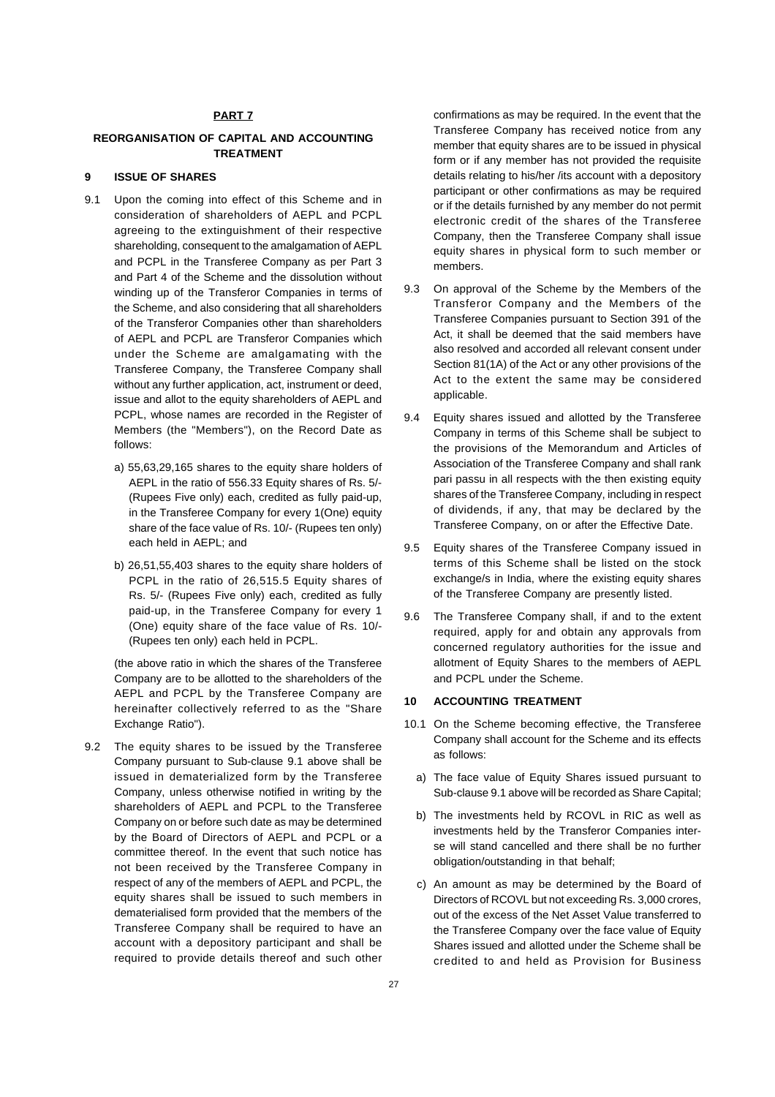#### **PART 7**

# **REORGANISATION OF CAPITAL AND ACCOUNTING TREATMENT**

## **9 ISSUE OF SHARES**

- 9.1 Upon the coming into effect of this Scheme and in consideration of shareholders of AEPL and PCPL agreeing to the extinguishment of their respective shareholding, consequent to the amalgamation of AEPL and PCPL in the Transferee Company as per Part 3 and Part 4 of the Scheme and the dissolution without winding up of the Transferor Companies in terms of the Scheme, and also considering that all shareholders of the Transferor Companies other than shareholders of AEPL and PCPL are Transferor Companies which under the Scheme are amalgamating with the Transferee Company, the Transferee Company shall without any further application, act, instrument or deed, issue and allot to the equity shareholders of AEPL and PCPL, whose names are recorded in the Register of Members (the "Members"), on the Record Date as follows:
	- a) 55,63,29,165 shares to the equity share holders of AEPL in the ratio of 556.33 Equity shares of Rs. 5/- (Rupees Five only) each, credited as fully paid-up, in the Transferee Company for every 1(One) equity share of the face value of Rs. 10/- (Rupees ten only) each held in AEPL; and
	- b) 26,51,55,403 shares to the equity share holders of PCPL in the ratio of 26,515.5 Equity shares of Rs. 5/- (Rupees Five only) each, credited as fully paid-up, in the Transferee Company for every 1 (One) equity share of the face value of Rs. 10/- (Rupees ten only) each held in PCPL.

(the above ratio in which the shares of the Transferee Company are to be allotted to the shareholders of the AEPL and PCPL by the Transferee Company are hereinafter collectively referred to as the "Share Exchange Ratio").

9.2 The equity shares to be issued by the Transferee Company pursuant to Sub-clause 9.1 above shall be issued in dematerialized form by the Transferee Company, unless otherwise notified in writing by the shareholders of AEPL and PCPL to the Transferee Company on or before such date as may be determined by the Board of Directors of AEPL and PCPL or a committee thereof. In the event that such notice has not been received by the Transferee Company in respect of any of the members of AEPL and PCPL, the equity shares shall be issued to such members in dematerialised form provided that the members of the Transferee Company shall be required to have an account with a depository participant and shall be required to provide details thereof and such other confirmations as may be required. In the event that the Transferee Company has received notice from any member that equity shares are to be issued in physical form or if any member has not provided the requisite details relating to his/her /its account with a depository participant or other confirmations as may be required or if the details furnished by any member do not permit electronic credit of the shares of the Transferee Company, then the Transferee Company shall issue equity shares in physical form to such member or members.

- 9.3 On approval of the Scheme by the Members of the Transferor Company and the Members of the Transferee Companies pursuant to Section 391 of the Act, it shall be deemed that the said members have also resolved and accorded all relevant consent under Section 81(1A) of the Act or any other provisions of the Act to the extent the same may be considered applicable.
- 9.4 Equity shares issued and allotted by the Transferee Company in terms of this Scheme shall be subject to the provisions of the Memorandum and Articles of Association of the Transferee Company and shall rank pari passu in all respects with the then existing equity shares of the Transferee Company, including in respect of dividends, if any, that may be declared by the Transferee Company, on or after the Effective Date.
- 9.5 Equity shares of the Transferee Company issued in terms of this Scheme shall be listed on the stock exchange/s in India, where the existing equity shares of the Transferee Company are presently listed.
- 9.6 The Transferee Company shall, if and to the extent required, apply for and obtain any approvals from concerned regulatory authorities for the issue and allotment of Equity Shares to the members of AEPL and PCPL under the Scheme.

#### **10 ACCOUNTING TREATMENT**

- 10.1 On the Scheme becoming effective, the Transferee Company shall account for the Scheme and its effects as follows:
	- a) The face value of Equity Shares issued pursuant to Sub-clause 9.1 above will be recorded as Share Capital;
	- b) The investments held by RCOVL in RIC as well as investments held by the Transferor Companies interse will stand cancelled and there shall be no further obligation/outstanding in that behalf;
	- c) An amount as may be determined by the Board of Directors of RCOVL but not exceeding Rs. 3,000 crores, out of the excess of the Net Asset Value transferred to the Transferee Company over the face value of Equity Shares issued and allotted under the Scheme shall be credited to and held as Provision for Business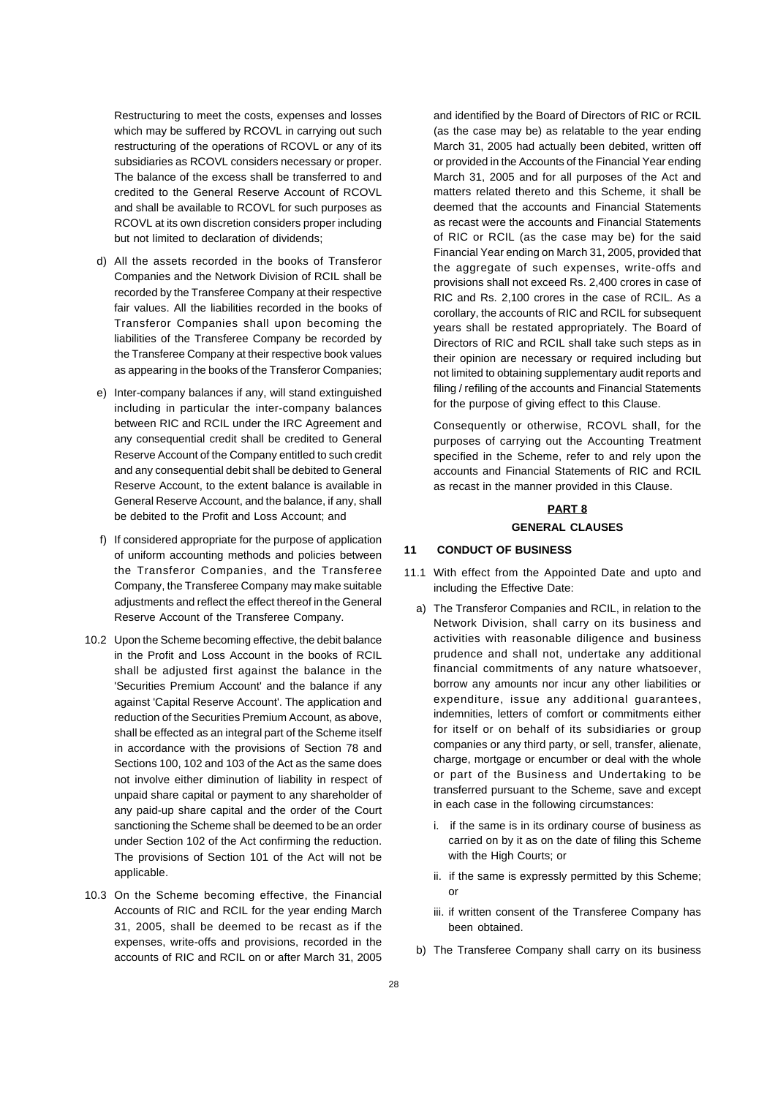Restructuring to meet the costs, expenses and losses which may be suffered by RCOVL in carrying out such restructuring of the operations of RCOVL or any of its subsidiaries as RCOVL considers necessary or proper. The balance of the excess shall be transferred to and credited to the General Reserve Account of RCOVL and shall be available to RCOVL for such purposes as RCOVL at its own discretion considers proper including but not limited to declaration of dividends;

- d) All the assets recorded in the books of Transferor Companies and the Network Division of RCIL shall be recorded by the Transferee Company at their respective fair values. All the liabilities recorded in the books of Transferor Companies shall upon becoming the liabilities of the Transferee Company be recorded by the Transferee Company at their respective book values as appearing in the books of the Transferor Companies;
- e) Inter-company balances if any, will stand extinguished including in particular the inter-company balances between RIC and RCIL under the IRC Agreement and any consequential credit shall be credited to General Reserve Account of the Company entitled to such credit and any consequential debit shall be debited to General Reserve Account, to the extent balance is available in General Reserve Account, and the balance, if any, shall be debited to the Profit and Loss Account; and
- f) If considered appropriate for the purpose of application of uniform accounting methods and policies between the Transferor Companies, and the Transferee Company, the Transferee Company may make suitable adjustments and reflect the effect thereof in the General Reserve Account of the Transferee Company.
- 10.2 Upon the Scheme becoming effective, the debit balance in the Profit and Loss Account in the books of RCIL shall be adjusted first against the balance in the 'Securities Premium Account' and the balance if any against 'Capital Reserve Account'. The application and reduction of the Securities Premium Account, as above, shall be effected as an integral part of the Scheme itself in accordance with the provisions of Section 78 and Sections 100, 102 and 103 of the Act as the same does not involve either diminution of liability in respect of unpaid share capital or payment to any shareholder of any paid-up share capital and the order of the Court sanctioning the Scheme shall be deemed to be an order under Section 102 of the Act confirming the reduction. The provisions of Section 101 of the Act will not be applicable.
- 10.3 On the Scheme becoming effective, the Financial Accounts of RIC and RCIL for the year ending March 31, 2005, shall be deemed to be recast as if the expenses, write-offs and provisions, recorded in the accounts of RIC and RCIL on or after March 31, 2005

and identified by the Board of Directors of RIC or RCIL (as the case may be) as relatable to the year ending March 31, 2005 had actually been debited, written off or provided in the Accounts of the Financial Year ending March 31, 2005 and for all purposes of the Act and matters related thereto and this Scheme, it shall be deemed that the accounts and Financial Statements as recast were the accounts and Financial Statements of RIC or RCIL (as the case may be) for the said Financial Year ending on March 31, 2005, provided that the aggregate of such expenses, write-offs and provisions shall not exceed Rs. 2,400 crores in case of RIC and Rs. 2,100 crores in the case of RCIL. As a corollary, the accounts of RIC and RCIL for subsequent years shall be restated appropriately. The Board of Directors of RIC and RCIL shall take such steps as in their opinion are necessary or required including but not limited to obtaining supplementary audit reports and filing / refiling of the accounts and Financial Statements for the purpose of giving effect to this Clause.

Consequently or otherwise, RCOVL shall, for the purposes of carrying out the Accounting Treatment specified in the Scheme, refer to and rely upon the accounts and Financial Statements of RIC and RCIL as recast in the manner provided in this Clause.

# **PART 8 GENERAL CLAUSES**

# **11 CONDUCT OF BUSINESS**

- 11.1 With effect from the Appointed Date and upto and including the Effective Date:
	- a) The Transferor Companies and RCIL, in relation to the Network Division, shall carry on its business and activities with reasonable diligence and business prudence and shall not, undertake any additional financial commitments of any nature whatsoever, borrow any amounts nor incur any other liabilities or expenditure, issue any additional guarantees, indemnities, letters of comfort or commitments either for itself or on behalf of its subsidiaries or group companies or any third party, or sell, transfer, alienate, charge, mortgage or encumber or deal with the whole or part of the Business and Undertaking to be transferred pursuant to the Scheme, save and except in each case in the following circumstances:
		- i. if the same is in its ordinary course of business as carried on by it as on the date of filing this Scheme with the High Courts; or
		- ii. if the same is expressly permitted by this Scheme; or
		- iii. if written consent of the Transferee Company has been obtained.
	- b) The Transferee Company shall carry on its business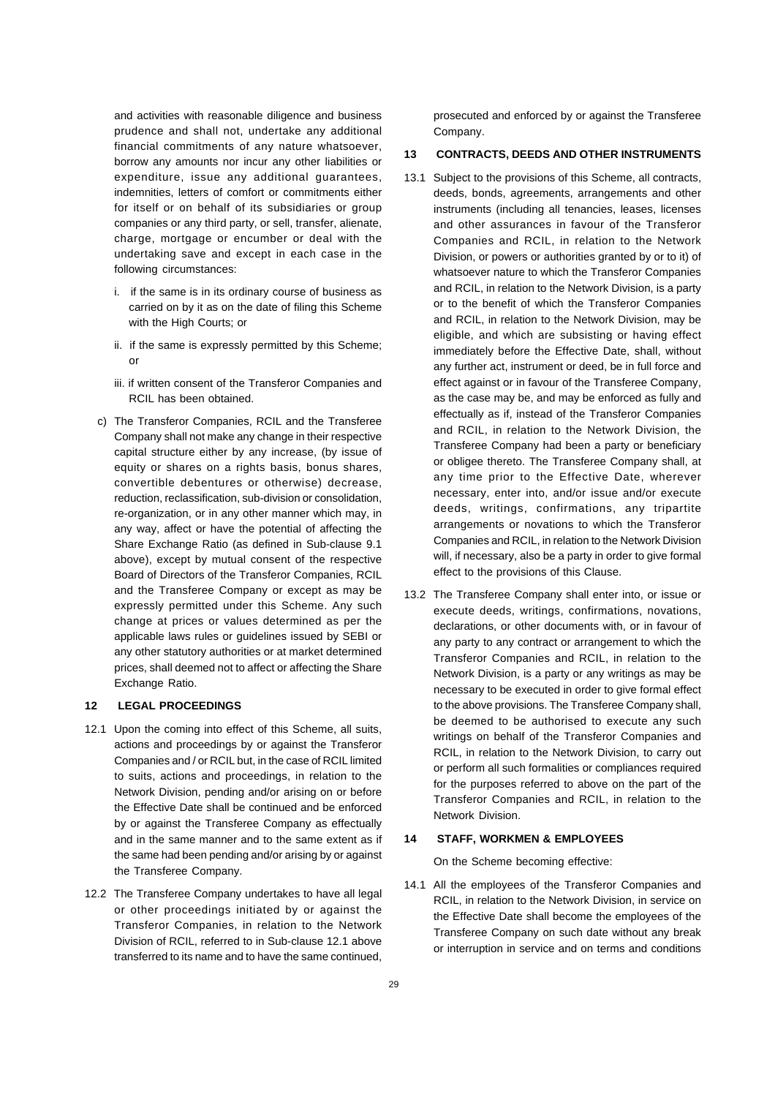and activities with reasonable diligence and business prudence and shall not, undertake any additional financial commitments of any nature whatsoever, borrow any amounts nor incur any other liabilities or expenditure, issue any additional guarantees, indemnities, letters of comfort or commitments either for itself or on behalf of its subsidiaries or group companies or any third party, or sell, transfer, alienate, charge, mortgage or encumber or deal with the undertaking save and except in each case in the following circumstances:

- i. if the same is in its ordinary course of business as carried on by it as on the date of filing this Scheme with the High Courts; or
- ii. if the same is expressly permitted by this Scheme; or
- iii. if written consent of the Transferor Companies and RCIL has been obtained.
- c) The Transferor Companies, RCIL and the Transferee Company shall not make any change in their respective capital structure either by any increase, (by issue of equity or shares on a rights basis, bonus shares, convertible debentures or otherwise) decrease, reduction, reclassification, sub-division or consolidation, re-organization, or in any other manner which may, in any way, affect or have the potential of affecting the Share Exchange Ratio (as defined in Sub-clause 9.1 above), except by mutual consent of the respective Board of Directors of the Transferor Companies, RCIL and the Transferee Company or except as may be expressly permitted under this Scheme. Any such change at prices or values determined as per the applicable laws rules or guidelines issued by SEBI or any other statutory authorities or at market determined prices, shall deemed not to affect or affecting the Share Exchange Ratio.

# **12 LEGAL PROCEEDINGS**

- 12.1 Upon the coming into effect of this Scheme, all suits, actions and proceedings by or against the Transferor Companies and / or RCIL but, in the case of RCIL limited to suits, actions and proceedings, in relation to the Network Division, pending and/or arising on or before the Effective Date shall be continued and be enforced by or against the Transferee Company as effectually and in the same manner and to the same extent as if the same had been pending and/or arising by or against the Transferee Company.
- 12.2 The Transferee Company undertakes to have all legal or other proceedings initiated by or against the Transferor Companies, in relation to the Network Division of RCIL, referred to in Sub-clause 12.1 above transferred to its name and to have the same continued,

prosecuted and enforced by or against the Transferee Company.

#### **13 CONTRACTS, DEEDS AND OTHER INSTRUMENTS**

- 13.1 Subject to the provisions of this Scheme, all contracts, deeds, bonds, agreements, arrangements and other instruments (including all tenancies, leases, licenses and other assurances in favour of the Transferor Companies and RCIL, in relation to the Network Division, or powers or authorities granted by or to it) of whatsoever nature to which the Transferor Companies and RCIL, in relation to the Network Division, is a party or to the benefit of which the Transferor Companies and RCIL, in relation to the Network Division, may be eligible, and which are subsisting or having effect immediately before the Effective Date, shall, without any further act, instrument or deed, be in full force and effect against or in favour of the Transferee Company, as the case may be, and may be enforced as fully and effectually as if, instead of the Transferor Companies and RCIL, in relation to the Network Division, the Transferee Company had been a party or beneficiary or obligee thereto. The Transferee Company shall, at any time prior to the Effective Date, wherever necessary, enter into, and/or issue and/or execute deeds, writings, confirmations, any tripartite arrangements or novations to which the Transferor Companies and RCIL, in relation to the Network Division will, if necessary, also be a party in order to give formal effect to the provisions of this Clause.
- 13.2 The Transferee Company shall enter into, or issue or execute deeds, writings, confirmations, novations, declarations, or other documents with, or in favour of any party to any contract or arrangement to which the Transferor Companies and RCIL, in relation to the Network Division, is a party or any writings as may be necessary to be executed in order to give formal effect to the above provisions. The Transferee Company shall, be deemed to be authorised to execute any such writings on behalf of the Transferor Companies and RCIL, in relation to the Network Division, to carry out or perform all such formalities or compliances required for the purposes referred to above on the part of the Transferor Companies and RCIL, in relation to the Network Division.

# **14 STAFF, WORKMEN & EMPLOYEES**

On the Scheme becoming effective:

14.1 All the employees of the Transferor Companies and RCIL, in relation to the Network Division, in service on the Effective Date shall become the employees of the Transferee Company on such date without any break or interruption in service and on terms and conditions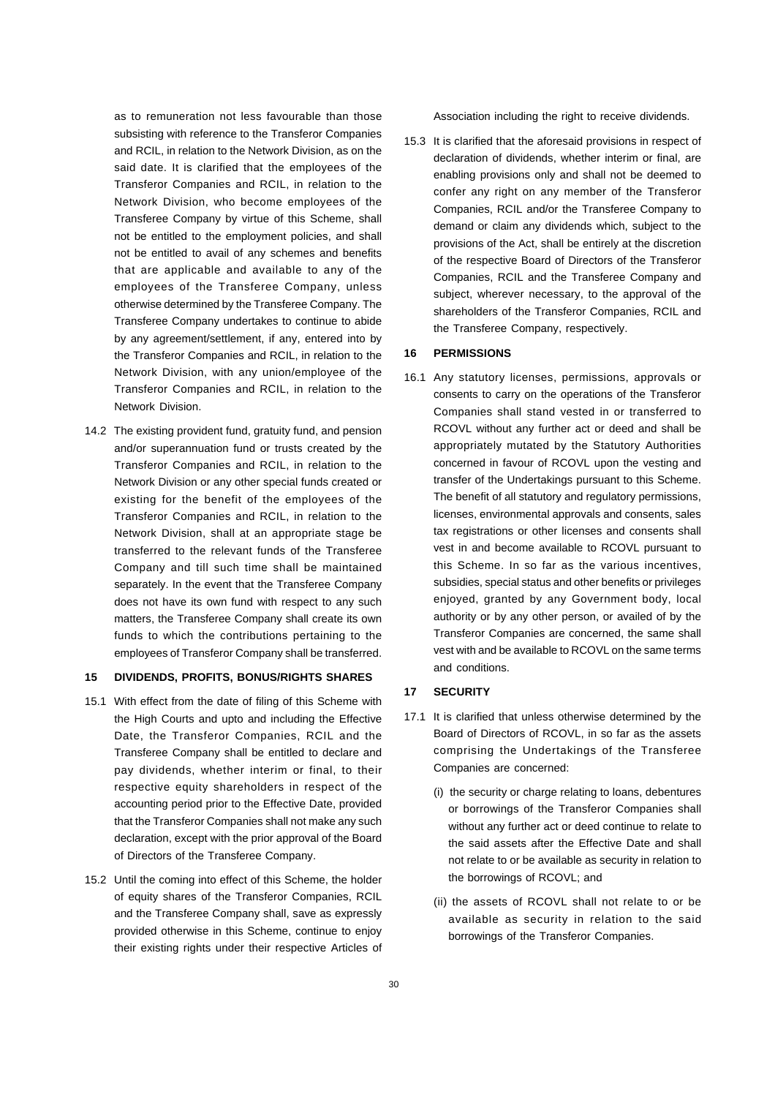as to remuneration not less favourable than those subsisting with reference to the Transferor Companies and RCIL, in relation to the Network Division, as on the said date. It is clarified that the employees of the Transferor Companies and RCIL, in relation to the Network Division, who become employees of the Transferee Company by virtue of this Scheme, shall not be entitled to the employment policies, and shall not be entitled to avail of any schemes and benefits that are applicable and available to any of the employees of the Transferee Company, unless otherwise determined by the Transferee Company. The Transferee Company undertakes to continue to abide by any agreement/settlement, if any, entered into by the Transferor Companies and RCIL, in relation to the Network Division, with any union/employee of the Transferor Companies and RCIL, in relation to the Network Division.

14.2 The existing provident fund, gratuity fund, and pension and/or superannuation fund or trusts created by the Transferor Companies and RCIL, in relation to the Network Division or any other special funds created or existing for the benefit of the employees of the Transferor Companies and RCIL, in relation to the Network Division, shall at an appropriate stage be transferred to the relevant funds of the Transferee Company and till such time shall be maintained separately. In the event that the Transferee Company does not have its own fund with respect to any such matters, the Transferee Company shall create its own funds to which the contributions pertaining to the employees of Transferor Company shall be transferred.

### **15 DIVIDENDS, PROFITS, BONUS/RIGHTS SHARES**

- 15.1 With effect from the date of filing of this Scheme with the High Courts and upto and including the Effective Date, the Transferor Companies, RCIL and the Transferee Company shall be entitled to declare and pay dividends, whether interim or final, to their respective equity shareholders in respect of the accounting period prior to the Effective Date, provided that the Transferor Companies shall not make any such declaration, except with the prior approval of the Board of Directors of the Transferee Company.
- 15.2 Until the coming into effect of this Scheme, the holder of equity shares of the Transferor Companies, RCIL and the Transferee Company shall, save as expressly provided otherwise in this Scheme, continue to enjoy their existing rights under their respective Articles of

Association including the right to receive dividends.

15.3 It is clarified that the aforesaid provisions in respect of declaration of dividends, whether interim or final, are enabling provisions only and shall not be deemed to confer any right on any member of the Transferor Companies, RCIL and/or the Transferee Company to demand or claim any dividends which, subject to the provisions of the Act, shall be entirely at the discretion of the respective Board of Directors of the Transferor Companies, RCIL and the Transferee Company and subject, wherever necessary, to the approval of the shareholders of the Transferor Companies, RCIL and the Transferee Company, respectively.

# **16 PERMISSIONS**

16.1 Any statutory licenses, permissions, approvals or consents to carry on the operations of the Transferor Companies shall stand vested in or transferred to RCOVL without any further act or deed and shall be appropriately mutated by the Statutory Authorities concerned in favour of RCOVL upon the vesting and transfer of the Undertakings pursuant to this Scheme. The benefit of all statutory and regulatory permissions, licenses, environmental approvals and consents, sales tax registrations or other licenses and consents shall vest in and become available to RCOVL pursuant to this Scheme. In so far as the various incentives, subsidies, special status and other benefits or privileges enjoyed, granted by any Government body, local authority or by any other person, or availed of by the Transferor Companies are concerned, the same shall vest with and be available to RCOVL on the same terms and conditions.

# **17 SECURITY**

- 17.1 It is clarified that unless otherwise determined by the Board of Directors of RCOVL, in so far as the assets comprising the Undertakings of the Transferee Companies are concerned:
	- (i) the security or charge relating to loans, debentures or borrowings of the Transferor Companies shall without any further act or deed continue to relate to the said assets after the Effective Date and shall not relate to or be available as security in relation to the borrowings of RCOVL; and
	- (ii) the assets of RCOVL shall not relate to or be available as security in relation to the said borrowings of the Transferor Companies.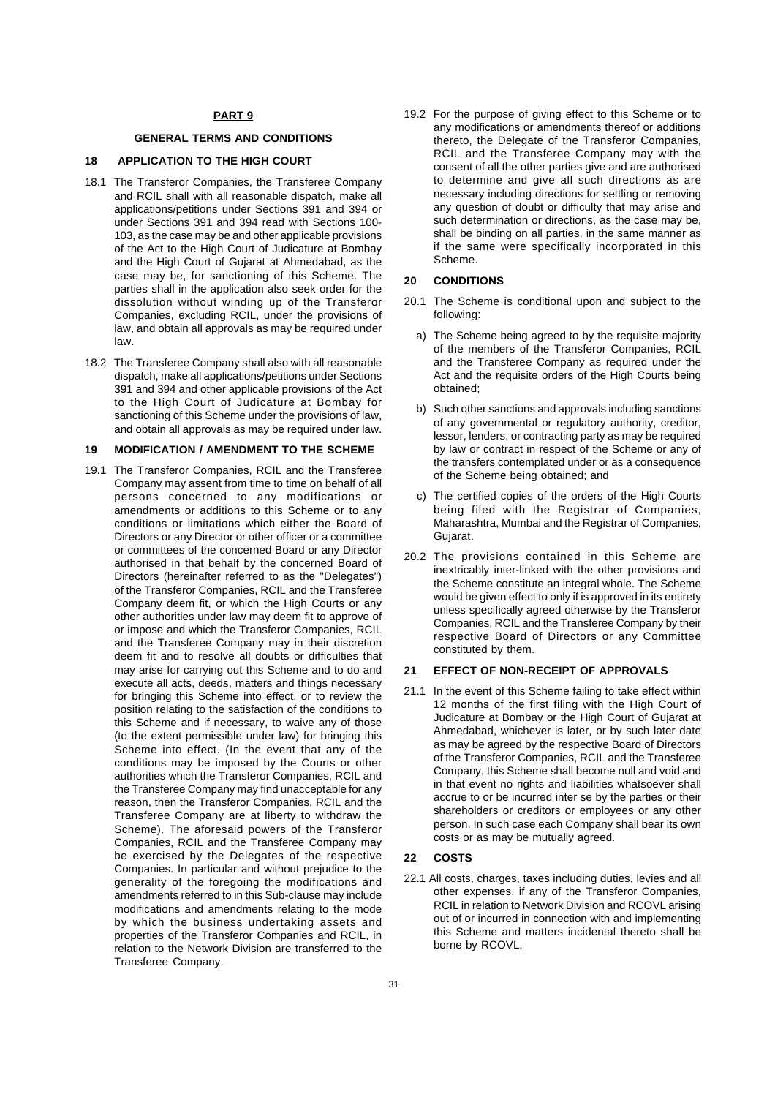#### **PART 9**

#### **GENERAL TERMS AND CONDITIONS**

#### **18 APPLICATION TO THE HIGH COURT**

- 18.1 The Transferor Companies, the Transferee Company and RCIL shall with all reasonable dispatch, make all applications/petitions under Sections 391 and 394 or under Sections 391 and 394 read with Sections 100- 103, as the case may be and other applicable provisions of the Act to the High Court of Judicature at Bombay and the High Court of Gujarat at Ahmedabad, as the case may be, for sanctioning of this Scheme. The parties shall in the application also seek order for the dissolution without winding up of the Transferor Companies, excluding RCIL, under the provisions of law, and obtain all approvals as may be required under law.
- 18.2 The Transferee Company shall also with all reasonable dispatch, make all applications/petitions under Sections 391 and 394 and other applicable provisions of the Act to the High Court of Judicature at Bombay for sanctioning of this Scheme under the provisions of law, and obtain all approvals as may be required under law.

#### **19 MODIFICATION / AMENDMENT TO THE SCHEME**

19.1 The Transferor Companies, RCIL and the Transferee Company may assent from time to time on behalf of all persons concerned to any modifications or amendments or additions to this Scheme or to any conditions or limitations which either the Board of Directors or any Director or other officer or a committee or committees of the concerned Board or any Director authorised in that behalf by the concerned Board of Directors (hereinafter referred to as the "Delegates") of the Transferor Companies, RCIL and the Transferee Company deem fit, or which the High Courts or any other authorities under law may deem fit to approve of or impose and which the Transferor Companies, RCIL and the Transferee Company may in their discretion deem fit and to resolve all doubts or difficulties that may arise for carrying out this Scheme and to do and execute all acts, deeds, matters and things necessary for bringing this Scheme into effect, or to review the position relating to the satisfaction of the conditions to this Scheme and if necessary, to waive any of those (to the extent permissible under law) for bringing this Scheme into effect. (In the event that any of the conditions may be imposed by the Courts or other authorities which the Transferor Companies, RCIL and the Transferee Company may find unacceptable for any reason, then the Transferor Companies, RCIL and the Transferee Company are at liberty to withdraw the Scheme). The aforesaid powers of the Transferor Companies, RCIL and the Transferee Company may be exercised by the Delegates of the respective Companies. In particular and without prejudice to the generality of the foregoing the modifications and amendments referred to in this Sub-clause may include modifications and amendments relating to the mode by which the business undertaking assets and properties of the Transferor Companies and RCIL, in relation to the Network Division are transferred to the Transferee Company.

19.2 For the purpose of giving effect to this Scheme or to any modifications or amendments thereof or additions thereto, the Delegate of the Transferor Companies, RCIL and the Transferee Company may with the consent of all the other parties give and are authorised to determine and give all such directions as are necessary including directions for settling or removing any question of doubt or difficulty that may arise and such determination or directions, as the case may be, shall be binding on all parties, in the same manner as if the same were specifically incorporated in this Scheme.

#### **20 CONDITIONS**

- 20.1 The Scheme is conditional upon and subject to the following:
	- a) The Scheme being agreed to by the requisite majority of the members of the Transferor Companies, RCIL and the Transferee Company as required under the Act and the requisite orders of the High Courts being obtained;
	- b) Such other sanctions and approvals including sanctions of any governmental or regulatory authority, creditor, lessor, lenders, or contracting party as may be required by law or contract in respect of the Scheme or any of the transfers contemplated under or as a consequence of the Scheme being obtained; and
	- c) The certified copies of the orders of the High Courts being filed with the Registrar of Companies, Maharashtra, Mumbai and the Registrar of Companies, Gujarat.
- 20.2 The provisions contained in this Scheme are inextricably inter-linked with the other provisions and the Scheme constitute an integral whole. The Scheme would be given effect to only if is approved in its entirety unless specifically agreed otherwise by the Transferor Companies, RCIL and the Transferee Company by their respective Board of Directors or any Committee constituted by them.

#### **21 EFFECT OF NON-RECEIPT OF APPROVALS**

21.1 In the event of this Scheme failing to take effect within 12 months of the first filing with the High Court of Judicature at Bombay or the High Court of Gujarat at Ahmedabad, whichever is later, or by such later date as may be agreed by the respective Board of Directors of the Transferor Companies, RCIL and the Transferee Company, this Scheme shall become null and void and in that event no rights and liabilities whatsoever shall accrue to or be incurred inter se by the parties or their shareholders or creditors or employees or any other person. In such case each Company shall bear its own costs or as may be mutually agreed.

#### **22 COSTS**

22.1 All costs, charges, taxes including duties, levies and all other expenses, if any of the Transferor Companies, RCIL in relation to Network Division and RCOVL arising out of or incurred in connection with and implementing this Scheme and matters incidental thereto shall be borne by RCOVL.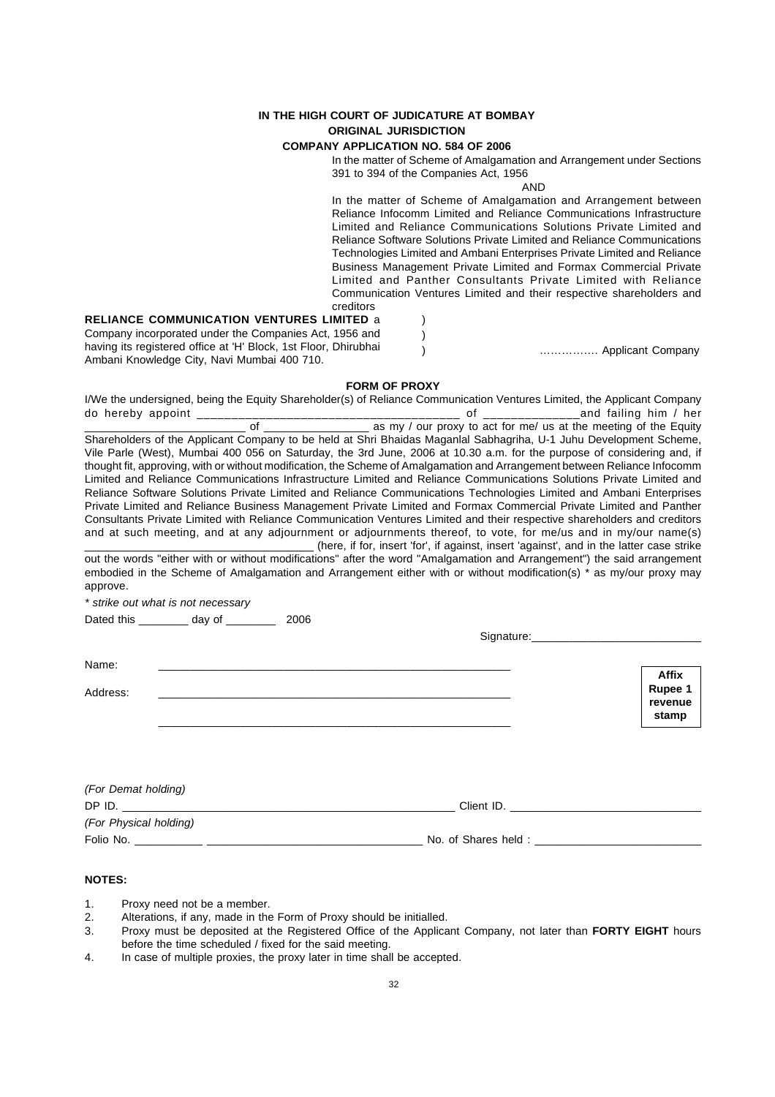# **IN THE HIGH COURT OF JUDICATURE AT BOMBAY ORIGINAL JURISDICTION**

#### **COMPANY APPLICATION NO. 584 OF 2006**

In the matter of Scheme of Amalgamation and Arrangement under Sections 391 to 394 of the Companies Act, 1956

AND

In the matter of Scheme of Amalgamation and Arrangement between Reliance Infocomm Limited and Reliance Communications Infrastructure Limited and Reliance Communications Solutions Private Limited and Reliance Software Solutions Private Limited and Reliance Communications Technologies Limited and Ambani Enterprises Private Limited and Reliance Business Management Private Limited and Formax Commercial Private Limited and Panther Consultants Private Limited with Reliance Communication Ventures Limited and their respective shareholders and creditors

| <b>RELIANCE COMMUNICATION VENTURES LIMITED a</b>                |                   |
|-----------------------------------------------------------------|-------------------|
| Company incorporated under the Companies Act, 1956 and          |                   |
| having its registered office at 'H' Block, 1st Floor, Dhirubhai | Applicant Company |
| Ambani Knowledge City, Navi Mumbai 400 710.                     |                   |

#### **FORM OF PROXY**

|                                      |      | I/We the undersigned, being the Equity Shareholder(s) of Reliance Communication Ventures Limited, the Applicant Company                                                                                                                         |              |  |  |
|--------------------------------------|------|-------------------------------------------------------------------------------------------------------------------------------------------------------------------------------------------------------------------------------------------------|--------------|--|--|
|                                      |      |                                                                                                                                                                                                                                                 |              |  |  |
|                                      |      |                                                                                                                                                                                                                                                 |              |  |  |
|                                      |      | Shareholders of the Applicant Company to be held at Shri Bhaidas Maganlal Sabhagriha, U-1 Juhu Development Scheme,                                                                                                                              |              |  |  |
|                                      |      | Vile Parle (West), Mumbai 400 056 on Saturday, the 3rd June, 2006 at 10.30 a.m. for the purpose of considering and, if                                                                                                                          |              |  |  |
|                                      |      | thought fit, approving, with or without modification, the Scheme of Amalgamation and Arrangement between Reliance Infocomm                                                                                                                      |              |  |  |
|                                      |      | Limited and Reliance Communications Infrastructure Limited and Reliance Communications Solutions Private Limited and                                                                                                                            |              |  |  |
|                                      |      | Reliance Software Solutions Private Limited and Reliance Communications Technologies Limited and Ambani Enterprises<br>Private Limited and Reliance Business Management Private Limited and Formax Commercial Private Limited and Panther       |              |  |  |
|                                      |      | Consultants Private Limited with Reliance Communication Ventures Limited and their respective shareholders and creditors                                                                                                                        |              |  |  |
|                                      |      | and at such meeting, and at any adjournment or adjournments thereof, to vote, for me/us and in my/our name(s)                                                                                                                                   |              |  |  |
|                                      |      | (here, if for, insert 'for', if against, insert 'against', and in the latter case strike                                                                                                                                                        |              |  |  |
| approve.                             |      | out the words "either with or without modifications" after the word "Amalgamation and Arrangement") the said arrangement<br>embodied in the Scheme of Amalgamation and Arrangement either with or without modification(s) * as my/our proxy may |              |  |  |
|                                      |      |                                                                                                                                                                                                                                                 |              |  |  |
| * strike out what is not necessary   |      |                                                                                                                                                                                                                                                 |              |  |  |
| Dated this _________ day of ________ | 2006 |                                                                                                                                                                                                                                                 |              |  |  |
|                                      |      | Signature:___________________                                                                                                                                                                                                                   |              |  |  |
| Name:                                |      |                                                                                                                                                                                                                                                 |              |  |  |
|                                      |      |                                                                                                                                                                                                                                                 | <b>Affix</b> |  |  |
| Address:                             |      |                                                                                                                                                                                                                                                 | Rupee 1      |  |  |
|                                      |      |                                                                                                                                                                                                                                                 | revenue      |  |  |
|                                      |      |                                                                                                                                                                                                                                                 | stamp        |  |  |
|                                      |      |                                                                                                                                                                                                                                                 |              |  |  |
|                                      |      |                                                                                                                                                                                                                                                 |              |  |  |
|                                      |      |                                                                                                                                                                                                                                                 |              |  |  |
| (For Demat holding)                  |      |                                                                                                                                                                                                                                                 |              |  |  |
| DP ID.                               |      | Client ID.                                                                                                                                                                                                                                      |              |  |  |
| (For Physical holding)               |      |                                                                                                                                                                                                                                                 |              |  |  |
| Folio No. $\frac{1}{2}$              |      | No. of Shares held : _____                                                                                                                                                                                                                      |              |  |  |

# **NOTES:**

- 1. Proxy need not be a member.
- 2. Alterations, if any, made in the Form of Proxy should be initialled.
- 3. Proxy must be deposited at the Registered Office of the Applicant Company, not later than **FORTY EIGHT** hours before the time scheduled / fixed for the said meeting.
- 4. In case of multiple proxies, the proxy later in time shall be accepted.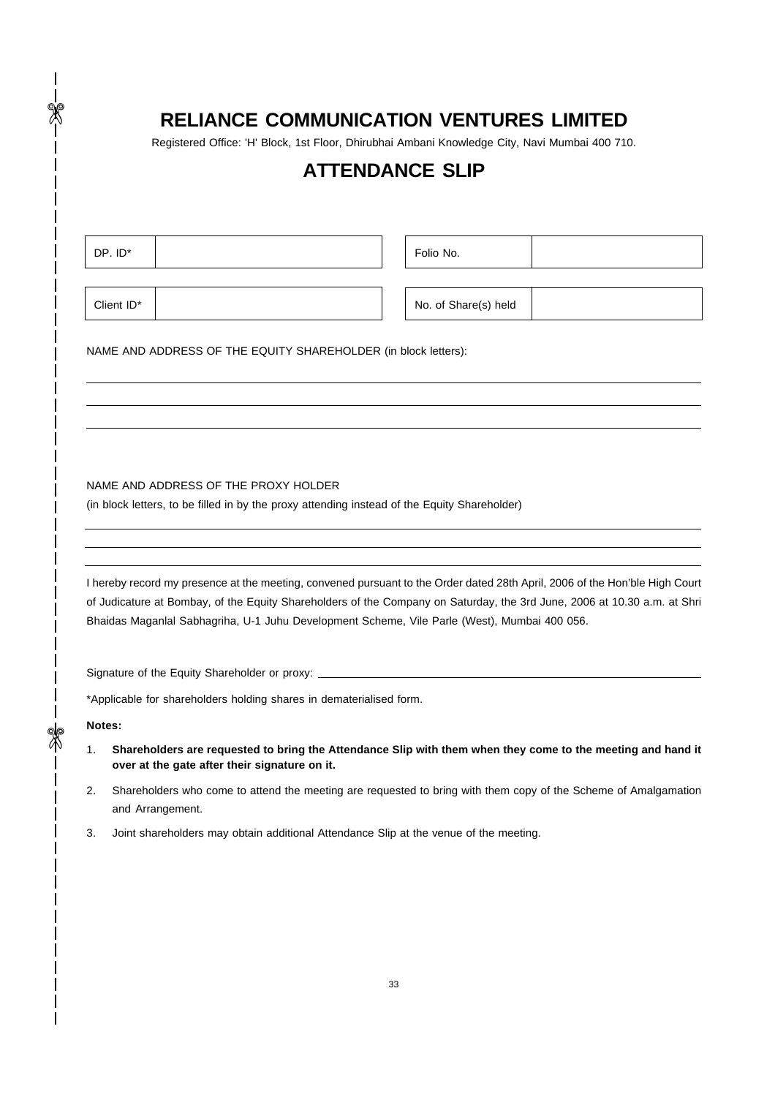# **RELIANCE COMMUNICATION VENTURES LIMITED**

Registered Office: 'H' Block, 1st Floor, Dhirubhai Ambani Knowledge City, Navi Mumbai 400 710.

# **ATTENDANCE SLIP**

\$

Folio No.

Client ID\* | No. of Share(s) held

NAME AND ADDRESS OF THE EQUITY SHAREHOLDER (in block letters):

NAME AND ADDRESS OF THE PROXY HOLDER

(in block letters, to be filled in by the proxy attending instead of the Equity Shareholder)

I hereby record my presence at the meeting, convened pursuant to the Order dated 28th April, 2006 of the Hon'ble High Court of Judicature at Bombay, of the Equity Shareholders of the Company on Saturday, the 3rd June, 2006 at 10.30 a.m. at Shri Bhaidas Maganlal Sabhagriha, U-1 Juhu Development Scheme, Vile Parle (West), Mumbai 400 056.

Signature of the Equity Shareholder or proxy:

\*Applicable for shareholders holding shares in dematerialised form.

**Notes:**

90<br>80

- 1. **Shareholders are requested to bring the Attendance Slip with them when they come to the meeting and hand it over at the gate after their signature on it.**
- 2. Shareholders who come to attend the meeting are requested to bring with them copy of the Scheme of Amalgamation and Arrangement.
- 3. Joint shareholders may obtain additional Attendance Slip at the venue of the meeting.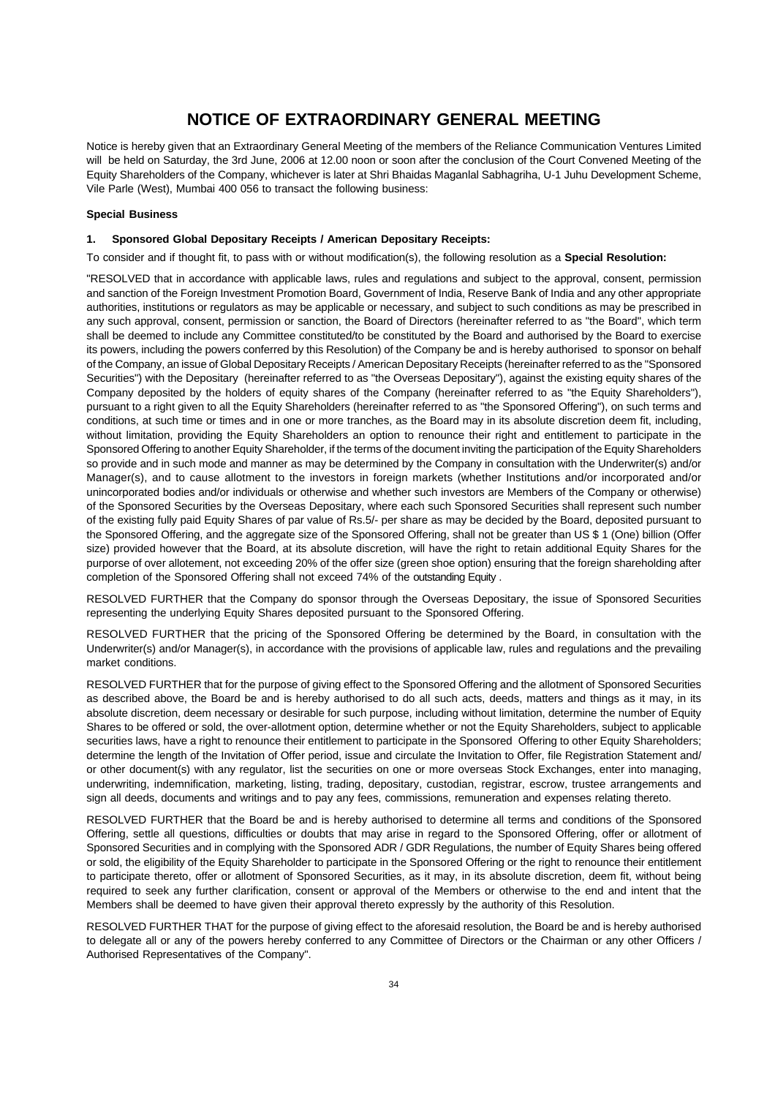# **NOTICE OF EXTRAORDINARY GENERAL MEETING**

Notice is hereby given that an Extraordinary General Meeting of the members of the Reliance Communication Ventures Limited will be held on Saturday, the 3rd June, 2006 at 12.00 noon or soon after the conclusion of the Court Convened Meeting of the Equity Shareholders of the Company, whichever is later at Shri Bhaidas Maganlal Sabhagriha, U-1 Juhu Development Scheme, Vile Parle (West), Mumbai 400 056 to transact the following business:

#### **Special Business**

#### **1. Sponsored Global Depositary Receipts / American Depositary Receipts:**

To consider and if thought fit, to pass with or without modification(s), the following resolution as a **Special Resolution:**

"RESOLVED that in accordance with applicable laws, rules and regulations and subject to the approval, consent, permission and sanction of the Foreign Investment Promotion Board, Government of India, Reserve Bank of India and any other appropriate authorities, institutions or regulators as may be applicable or necessary, and subject to such conditions as may be prescribed in any such approval, consent, permission or sanction, the Board of Directors (hereinafter referred to as "the Board", which term shall be deemed to include any Committee constituted/to be constituted by the Board and authorised by the Board to exercise its powers, including the powers conferred by this Resolution) of the Company be and is hereby authorised to sponsor on behalf of the Company, an issue of Global Depositary Receipts / American Depositary Receipts (hereinafter referred to as the "Sponsored Securities") with the Depositary (hereinafter referred to as "the Overseas Depositary"), against the existing equity shares of the Company deposited by the holders of equity shares of the Company (hereinafter referred to as "the Equity Shareholders"), pursuant to a right given to all the Equity Shareholders (hereinafter referred to as "the Sponsored Offering"), on such terms and conditions, at such time or times and in one or more tranches, as the Board may in its absolute discretion deem fit, including, without limitation, providing the Equity Shareholders an option to renounce their right and entitlement to participate in the Sponsored Offering to another Equity Shareholder, if the terms of the document inviting the participation of the Equity Shareholders so provide and in such mode and manner as may be determined by the Company in consultation with the Underwriter(s) and/or Manager(s), and to cause allotment to the investors in foreign markets (whether Institutions and/or incorporated and/or unincorporated bodies and/or individuals or otherwise and whether such investors are Members of the Company or otherwise) of the Sponsored Securities by the Overseas Depositary, where each such Sponsored Securities shall represent such number of the existing fully paid Equity Shares of par value of Rs.5/- per share as may be decided by the Board, deposited pursuant to the Sponsored Offering, and the aggregate size of the Sponsored Offering, shall not be greater than US \$ 1 (One) billion (Offer size) provided however that the Board, at its absolute discretion, will have the right to retain additional Equity Shares for the purporse of over allotement, not exceeding 20% of the offer size (green shoe option) ensuring that the foreign shareholding after completion of the Sponsored Offering shall not exceed 74% of the outstanding Equity .

RESOLVED FURTHER that the Company do sponsor through the Overseas Depositary, the issue of Sponsored Securities representing the underlying Equity Shares deposited pursuant to the Sponsored Offering.

RESOLVED FURTHER that the pricing of the Sponsored Offering be determined by the Board, in consultation with the Underwriter(s) and/or Manager(s), in accordance with the provisions of applicable law, rules and regulations and the prevailing market conditions.

RESOLVED FURTHER that for the purpose of giving effect to the Sponsored Offering and the allotment of Sponsored Securities as described above, the Board be and is hereby authorised to do all such acts, deeds, matters and things as it may, in its absolute discretion, deem necessary or desirable for such purpose, including without limitation, determine the number of Equity Shares to be offered or sold, the over-allotment option, determine whether or not the Equity Shareholders, subject to applicable securities laws, have a right to renounce their entitlement to participate in the Sponsored Offering to other Equity Shareholders; determine the length of the Invitation of Offer period, issue and circulate the Invitation to Offer, file Registration Statement and/ or other document(s) with any regulator, list the securities on one or more overseas Stock Exchanges, enter into managing, underwriting, indemnification, marketing, listing, trading, depositary, custodian, registrar, escrow, trustee arrangements and sign all deeds, documents and writings and to pay any fees, commissions, remuneration and expenses relating thereto.

RESOLVED FURTHER that the Board be and is hereby authorised to determine all terms and conditions of the Sponsored Offering, settle all questions, difficulties or doubts that may arise in regard to the Sponsored Offering, offer or allotment of Sponsored Securities and in complying with the Sponsored ADR / GDR Regulations, the number of Equity Shares being offered or sold, the eligibility of the Equity Shareholder to participate in the Sponsored Offering or the right to renounce their entitlement to participate thereto, offer or allotment of Sponsored Securities, as it may, in its absolute discretion, deem fit, without being required to seek any further clarification, consent or approval of the Members or otherwise to the end and intent that the Members shall be deemed to have given their approval thereto expressly by the authority of this Resolution.

RESOLVED FURTHER THAT for the purpose of giving effect to the aforesaid resolution, the Board be and is hereby authorised to delegate all or any of the powers hereby conferred to any Committee of Directors or the Chairman or any other Officers / Authorised Representatives of the Company".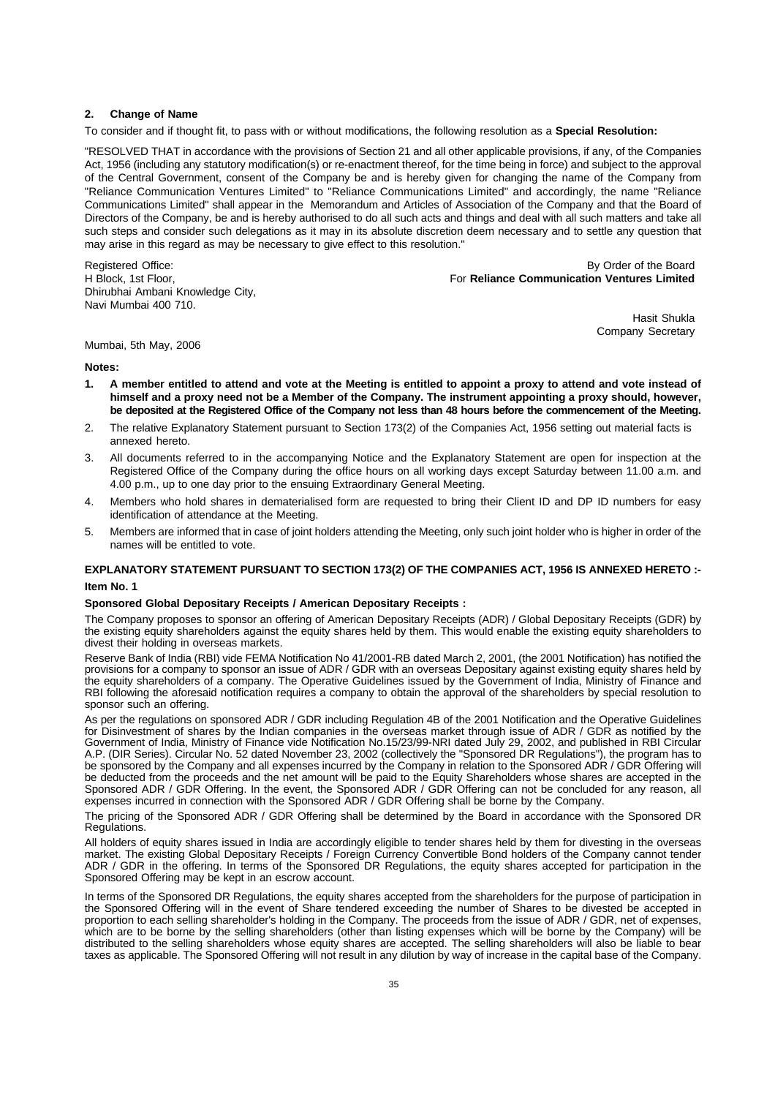#### **2. Change of Name**

To consider and if thought fit, to pass with or without modifications, the following resolution as a **Special Resolution:**

"RESOLVED THAT in accordance with the provisions of Section 21 and all other applicable provisions, if any, of the Companies Act, 1956 (including any statutory modification(s) or re-enactment thereof, for the time being in force) and subject to the approval of the Central Government, consent of the Company be and is hereby given for changing the name of the Company from "Reliance Communication Ventures Limited" to "Reliance Communications Limited" and accordingly, the name "Reliance Communications Limited" shall appear in the Memorandum and Articles of Association of the Company and that the Board of Directors of the Company, be and is hereby authorised to do all such acts and things and deal with all such matters and take all such steps and consider such delegations as it may in its absolute discretion deem necessary and to settle any question that may arise in this regard as may be necessary to give effect to this resolution."

Dhirubhai Ambani Knowledge City, Navi Mumbai 400 710.

Registered Office: By Order of the Board<br>H Block, 1st Floor, By Order of the Board H Block, 1st Floor, By Order of the Board For Reliance Communication Ventures Limited

> Hasit Shukla Company Secretary

Mumbai, 5th May, 2006

#### **Notes:**

- **1. A member entitled to attend and vote at the Meeting is entitled to appoint a proxy to attend and vote instead of himself and a proxy need not be a Member of the Company. The instrument appointing a proxy should, however, be deposited at the Registered Office of the Company not less than 48 hours before the commencement of the Meeting.**
- 2. The relative Explanatory Statement pursuant to Section 173(2) of the Companies Act, 1956 setting out material facts is annexed hereto.
- 3. All documents referred to in the accompanying Notice and the Explanatory Statement are open for inspection at the Registered Office of the Company during the office hours on all working days except Saturday between 11.00 a.m. and 4.00 p.m., up to one day prior to the ensuing Extraordinary General Meeting.
- 4. Members who hold shares in dematerialised form are requested to bring their Client ID and DP ID numbers for easy identification of attendance at the Meeting.
- 5. Members are informed that in case of joint holders attending the Meeting, only such joint holder who is higher in order of the names will be entitled to vote.

#### **EXPLANATORY STATEMENT PURSUANT TO SECTION 173(2) OF THE COMPANIES ACT, 1956 IS ANNEXED HERETO :- Item No. 1**

#### **Sponsored Global Depositary Receipts / American Depositary Receipts :**

The Company proposes to sponsor an offering of American Depositary Receipts (ADR) / Global Depositary Receipts (GDR) by the existing equity shareholders against the equity shares held by them. This would enable the existing equity shareholders to divest their holding in overseas markets.

Reserve Bank of India (RBI) vide FEMA Notification No 41/2001-RB dated March 2, 2001, (the 2001 Notification) has notified the provisions for a company to sponsor an issue of ADR / GDR with an overseas Depositary against existing equity shares held by the equity shareholders of a company. The Operative Guidelines issued by the Government of India, Ministry of Finance and RBI following the aforesaid notification requires a company to obtain the approval of the shareholders by special resolution to sponsor such an offering.

As per the regulations on sponsored ADR / GDR including Regulation 4B of the 2001 Notification and the Operative Guidelines for Disinvestment of shares by the Indian companies in the overseas market through issue of ADR / GDR as notified by the Government of India, Ministry of Finance vide Notification No.15/23/99-NRI dated July 29, 2002, and published in RBI Circular A.P. (DIR Series). Circular No. 52 dated November 23, 2002 (collectively the "Sponsored DR Regulations"), the program has to be sponsored by the Company and all expenses incurred by the Company in relation to the Sponsored ADR / GDR Offering will be deducted from the proceeds and the net amount will be paid to the Equity Shareholders whose shares are accepted in the Sponsored ADR / GDR Offering. In the event, the Sponsored ADR / GDR Offering can not be concluded for any reason, all expenses incurred in connection with the Sponsored ADR / GDR Offering shall be borne by the Company.

The pricing of the Sponsored ADR / GDR Offering shall be determined by the Board in accordance with the Sponsored DR Regulations.

All holders of equity shares issued in India are accordingly eligible to tender shares held by them for divesting in the overseas market. The existing Global Depositary Receipts / Foreign Currency Convertible Bond holders of the Company cannot tender ADR / GDR in the offering. In terms of the Sponsored DR Regulations, the equity shares accepted for participation in the Sponsored Offering may be kept in an escrow account.

In terms of the Sponsored DR Regulations, the equity shares accepted from the shareholders for the purpose of participation in the Sponsored Offering will in the event of Share tendered exceeding the number of Shares to be divested be accepted in proportion to each selling shareholder's holding in the Company. The proceeds from the issue of ADR / GDR, net of expenses, which are to be borne by the selling shareholders (other than listing expenses which will be borne by the Company) will be distributed to the selling shareholders whose equity shares are accepted. The selling shareholders will also be liable to bear taxes as applicable. The Sponsored Offering will not result in any dilution by way of increase in the capital base of the Company.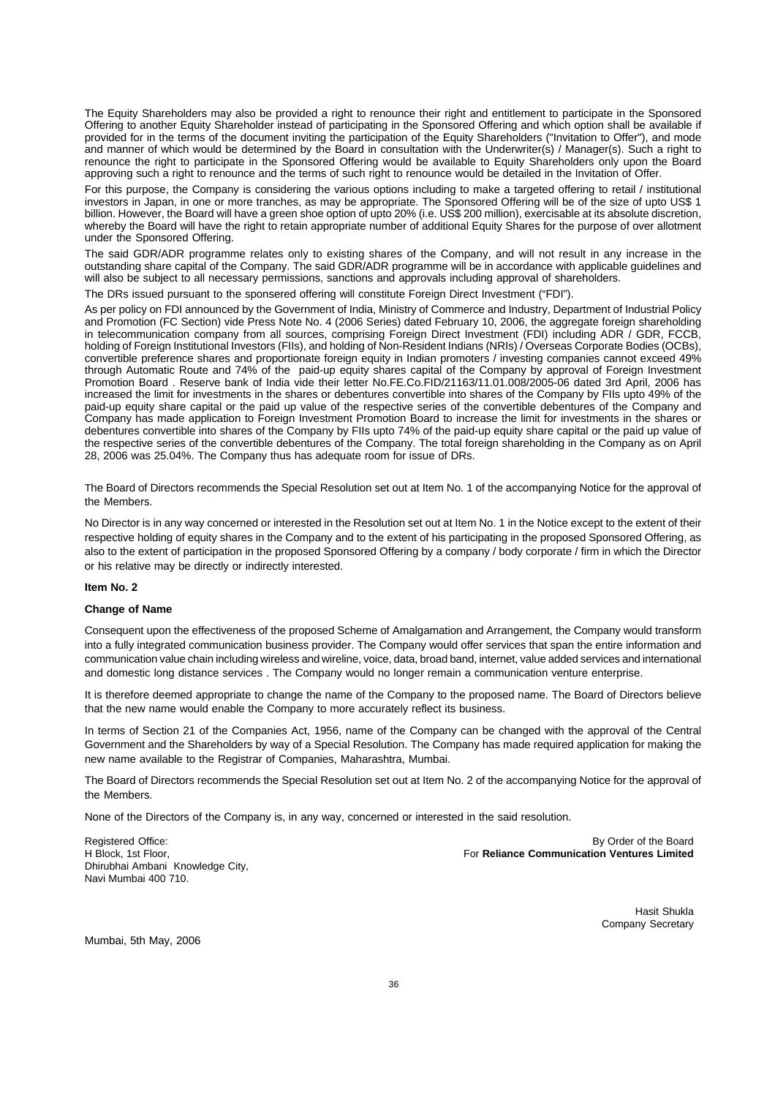The Equity Shareholders may also be provided a right to renounce their right and entitlement to participate in the Sponsored Offering to another Equity Shareholder instead of participating in the Sponsored Offering and which option shall be available if provided for in the terms of the document inviting the participation of the Equity Shareholders ("Invitation to Offer"), and mode and manner of which would be determined by the Board in consultation with the Underwriter(s) / Manager(s). Such a right to renounce the right to participate in the Sponsored Offering would be available to Equity Shareholders only upon the Board approving such a right to renounce and the terms of such right to renounce would be detailed in the Invitation of Offer.

For this purpose, the Company is considering the various options including to make a targeted offering to retail / institutional investors in Japan, in one or more tranches, as may be appropriate. The Sponsored Offering will be of the size of upto US\$ 1 billion. However, the Board will have a green shoe option of upto 20% (i.e. US\$ 200 million), exercisable at its absolute discretion, whereby the Board will have the right to retain appropriate number of additional Equity Shares for the purpose of over allotment under the Sponsored Offering.

The said GDR/ADR programme relates only to existing shares of the Company, and will not result in any increase in the outstanding share capital of the Company. The said GDR/ADR programme will be in accordance with applicable guidelines and will also be subject to all necessary permissions, sanctions and approvals including approval of shareholders.

The DRs issued pursuant to the sponsered offering will constitute Foreign Direct Investment ("FDI").

As per policy on FDI announced by the Government of India, Ministry of Commerce and Industry, Department of Industrial Policy and Promotion (FC Section) vide Press Note No. 4 (2006 Series) dated February 10, 2006, the aggregate foreign shareholding in telecommunication company from all sources, comprising Foreign Direct Investment (FDI) including ADR / GDR, FCCB, holding of Foreign Institutional Investors (FIIs), and holding of Non-Resident Indians (NRIs) / Overseas Corporate Bodies (OCBs), convertible preference shares and proportionate foreign equity in Indian promoters / investing companies cannot exceed 49% through Automatic Route and 74% of the paid-up equity shares capital of the Company by approval of Foreign Investment Promotion Board . Reserve bank of India vide their letter No.FE.Co.FID/21163/11.01.008/2005-06 dated 3rd April, 2006 has increased the limit for investments in the shares or debentures convertible into shares of the Company by FIIs upto 49% of the paid-up equity share capital or the paid up value of the respective series of the convertible debentures of the Company and Company has made application to Foreign Investment Promotion Board to increase the limit for investments in the shares or debentures convertible into shares of the Company by FIIs upto 74% of the paid-up equity share capital or the paid up value of the respective series of the convertible debentures of the Company. The total foreign shareholding in the Company as on April 28, 2006 was 25.04%. The Company thus has adequate room for issue of DRs.

The Board of Directors recommends the Special Resolution set out at Item No. 1 of the accompanying Notice for the approval of the Members.

No Director is in any way concerned or interested in the Resolution set out at Item No. 1 in the Notice except to the extent of their respective holding of equity shares in the Company and to the extent of his participating in the proposed Sponsored Offering, as also to the extent of participation in the proposed Sponsored Offering by a company / body corporate / firm in which the Director or his relative may be directly or indirectly interested.

#### **Item No. 2**

#### **Change of Name**

Consequent upon the effectiveness of the proposed Scheme of Amalgamation and Arrangement, the Company would transform into a fully integrated communication business provider. The Company would offer services that span the entire information and communication value chain including wireless and wireline, voice, data, broad band, internet, value added services and international and domestic long distance services . The Company would no longer remain a communication venture enterprise.

It is therefore deemed appropriate to change the name of the Company to the proposed name. The Board of Directors believe that the new name would enable the Company to more accurately reflect its business.

In terms of Section 21 of the Companies Act, 1956, name of the Company can be changed with the approval of the Central Government and the Shareholders by way of a Special Resolution. The Company has made required application for making the new name available to the Registrar of Companies, Maharashtra, Mumbai.

The Board of Directors recommends the Special Resolution set out at Item No. 2 of the accompanying Notice for the approval of the Members.

None of the Directors of the Company is, in any way, concerned or interested in the said resolution.

Dhirubhai Ambani Knowledge City, Navi Mumbai 400 710.

Registered Office: By Order of the Board H Block, 1st Floor, **For Reliance Communication Ventures Limited** 

> Hasit Shukla Company Secretary

Mumbai, 5th May, 2006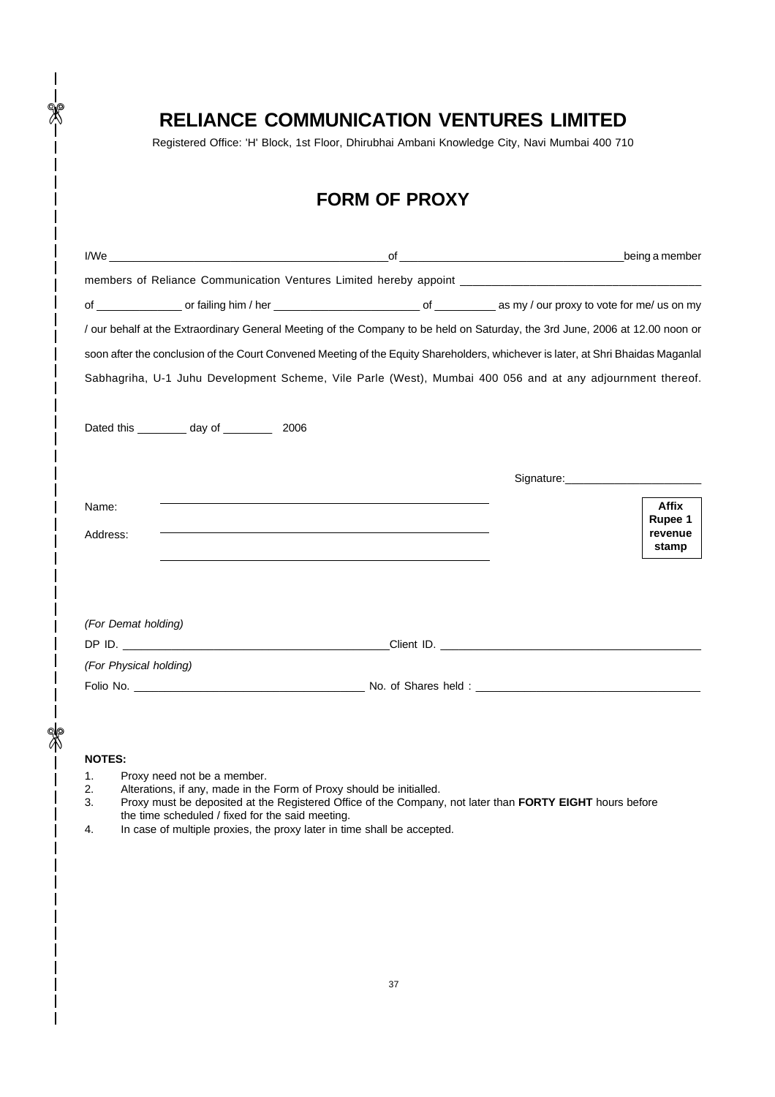# **RELIANCE COMMUNICATION VENTURES LIMITED**

Registered Office: 'H' Block, 1st Floor, Dhirubhai Ambani Knowledge City, Navi Mumbai 400 710

# **FORM OF PROXY**

|                        |                                                 | / our behalf at the Extraordinary General Meeting of the Company to be held on Saturday, the 3rd June, 2006 at 12.00 noon or     |                       |                             |
|------------------------|-------------------------------------------------|----------------------------------------------------------------------------------------------------------------------------------|-----------------------|-----------------------------|
|                        |                                                 | soon after the conclusion of the Court Convened Meeting of the Equity Shareholders, whichever is later, at Shri Bhaidas Maganlal |                       |                             |
|                        |                                                 | Sabhagriha, U-1 Juhu Development Scheme, Vile Parle (West), Mumbai 400 056 and at any adjournment thereof.                       |                       |                             |
|                        | Dated this __________ day of _____________ 2006 |                                                                                                                                  | Signature: Signature: |                             |
| Name:                  |                                                 |                                                                                                                                  |                       | <b>Affix</b>                |
| Address:               |                                                 | the contract of the contract of the contract of the contract of the contract of the contract of the contract of                  |                       | Rupee 1<br>revenue<br>stamp |
|                        |                                                 | ,我们也不能在这里的时候,我们也不能在这里的时候,我们也不能会在这里的时候,我们也不能会在这里的时候,我们也不能会在这里的时候,我们也不能会在这里的时候,我们也                                                 |                       |                             |
| (For Demat holding)    |                                                 |                                                                                                                                  |                       |                             |
|                        |                                                 |                                                                                                                                  | Client ID.            |                             |
| (For Physical holding) |                                                 |                                                                                                                                  |                       |                             |
|                        |                                                 |                                                                                                                                  |                       |                             |

# **NOTES:**

\$

 $-80$ 

 $\overline{\phantom{a}}$ 

- 1. Proxy need not be a member.
- 2. Alterations, if any, made in the Form of Proxy should be initialled.
- 3. Proxy must be deposited at the Registered Office of the Company, not later than **FORTY EIGHT** hours before the time scheduled / fixed for the said meeting.
- 4. In case of multiple proxies, the proxy later in time shall be accepted.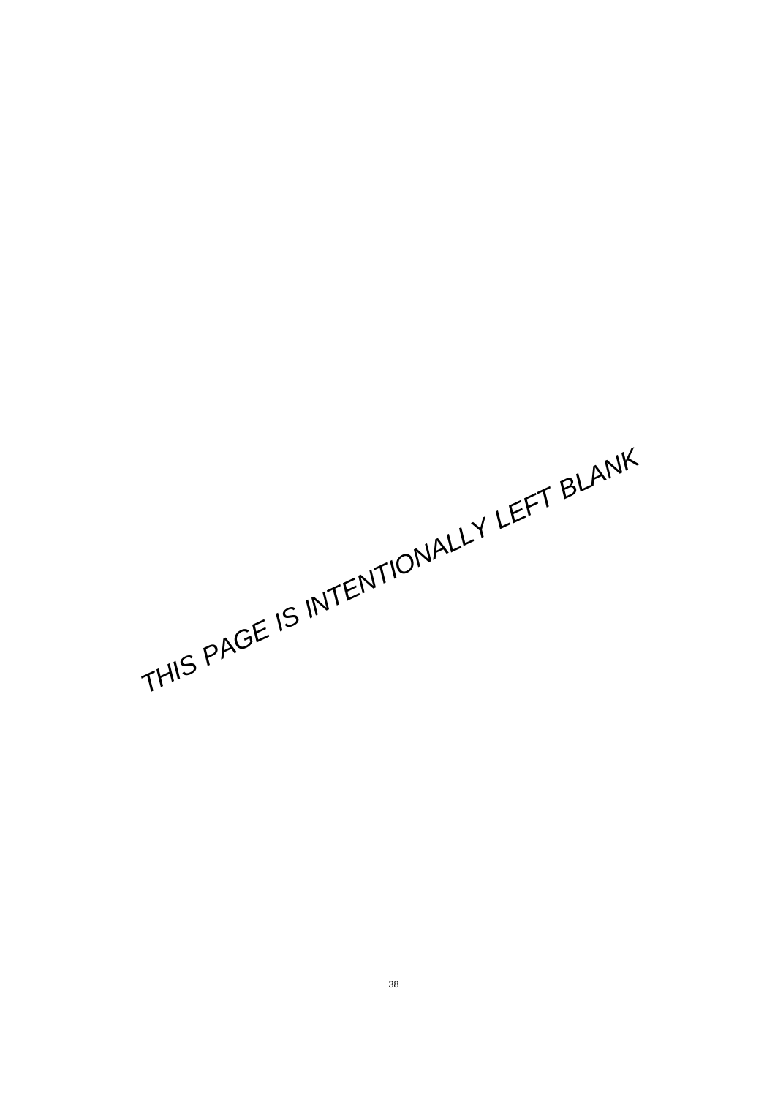THIS PAGE IS INTENTIONALLY LEFT BLANK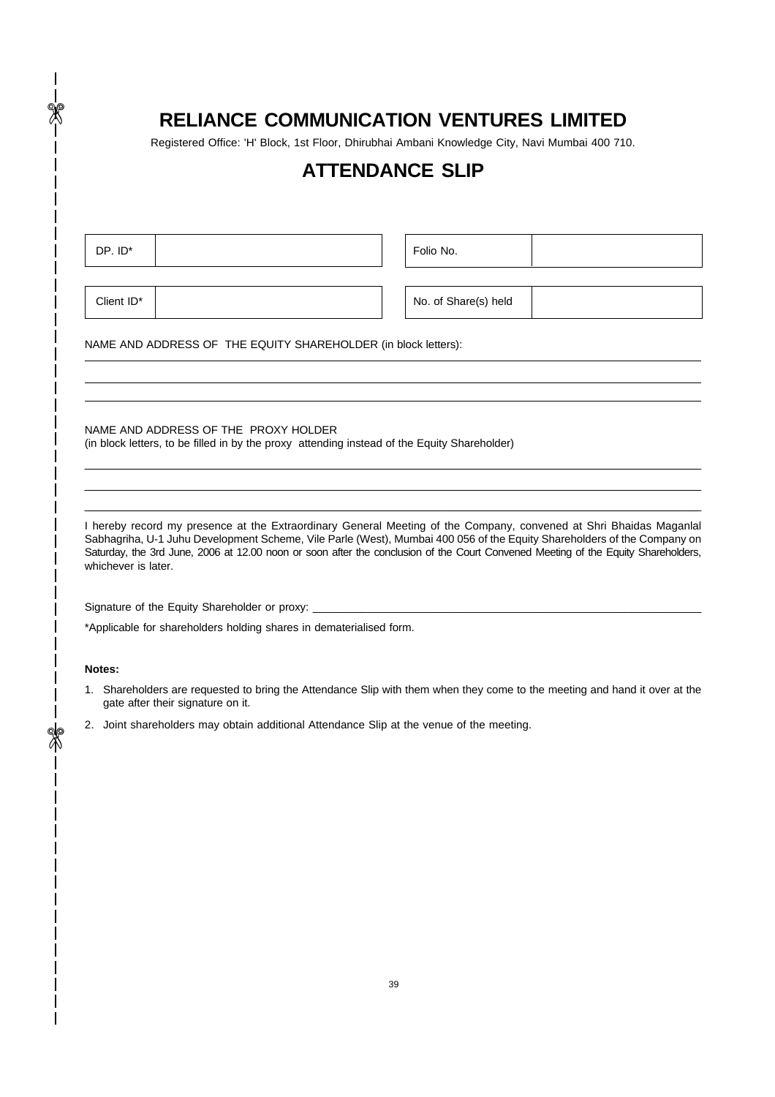Registered Office: 'H' Block, 1st Floor, Dhirubhai Ambani Knowledge City, Navi Mumbai 400 710.

# **ATTENDANCE SLIP**

 $DP. ID^*$  Folio No.

\$

Client ID\* | No. of Share(s) held

NAME AND ADDRESS OF THE EQUITY SHAREHOLDER (in block letters):

NAME AND ADDRESS OF THE PROXY HOLDER

(in block letters, to be filled in by the proxy attending instead of the Equity Shareholder)

I hereby record my presence at the Extraordinary General Meeting of the Company, convened at Shri Bhaidas Maganlal Sabhagriha, U-1 Juhu Development Scheme, Vile Parle (West), Mumbai 400 056 of the Equity Shareholders of the Company on Saturday, the 3rd June, 2006 at 12.00 noon or soon after the conclusion of the Court Convened Meeting of the Equity Shareholders, whichever is later.

\_\_\_\_\_\_\_\_\_\_\_\_\_\_\_\_\_\_\_\_\_\_\_\_\_\_\_\_\_\_\_\_\_\_\_\_\_\_\_\_\_\_\_\_\_\_\_\_\_\_\_\_\_\_\_\_\_\_\_\_\_\_\_\_\_\_\_\_\_\_\_\_\_\_\_\_\_\_\_\_\_\_\_\_\_\_\_\_\_\_\_\_\_\_\_\_\_\_\_\_\_\_\_\_\_\_\_\_\_\_\_\_\_\_\_\_\_\_\_\_\_\_\_\_\_\_\_\_\_\_\_\_\_\_\_\_\_\_\_\_\_\_\_\_\_\_\_\_\_\_\_\_\_\_\_\_\_\_\_\_\_\_\_\_\_\_\_\_\_\_\_\_\_\_ \_\_\_\_\_\_\_\_\_\_\_\_\_\_\_\_\_\_\_\_\_\_\_\_\_\_\_\_\_\_\_\_\_\_\_\_\_\_\_\_\_\_\_\_\_\_\_\_\_\_\_\_\_\_\_\_\_\_\_\_\_\_\_\_\_\_\_\_\_\_\_\_\_\_\_\_\_\_\_\_\_\_\_\_\_\_\_\_\_\_\_\_\_\_\_\_\_\_\_\_\_\_\_\_\_\_\_\_\_\_\_\_\_\_\_\_\_\_\_\_\_\_\_\_\_\_\_\_\_\_\_\_\_\_\_\_\_\_\_\_\_\_\_\_\_\_\_\_\_\_\_\_\_\_\_\_\_\_\_\_\_\_\_\_\_\_\_\_\_\_\_\_\_\_ \_\_\_\_\_\_\_\_\_\_\_\_\_\_\_\_\_\_\_\_\_\_\_\_\_\_\_\_\_\_\_\_\_\_\_\_\_\_\_\_\_\_\_\_\_\_\_\_\_\_\_\_\_\_\_\_\_\_\_\_\_\_\_\_\_\_\_\_\_\_\_\_\_\_\_\_\_\_\_\_\_\_\_\_\_\_\_\_\_\_\_\_\_\_\_\_\_\_\_\_\_\_\_\_\_\_\_\_\_\_\_\_\_\_\_\_\_\_\_\_\_\_\_\_\_\_\_\_\_\_\_\_\_\_\_\_\_\_\_\_\_\_\_\_\_\_\_\_\_\_\_\_\_\_\_\_\_\_\_\_\_\_\_\_\_\_\_\_\_\_\_\_\_\_

Signature of the Equity Shareholder or proxy:

\*Applicable for shareholders holding shares in dematerialised form.

# **Notes:**

90<br>80

1. Shareholders are requested to bring the Attendance Slip with them when they come to the meeting and hand it over at the gate after their signature on it.

39

2. Joint shareholders may obtain additional Attendance Slip at the venue of the meeting.